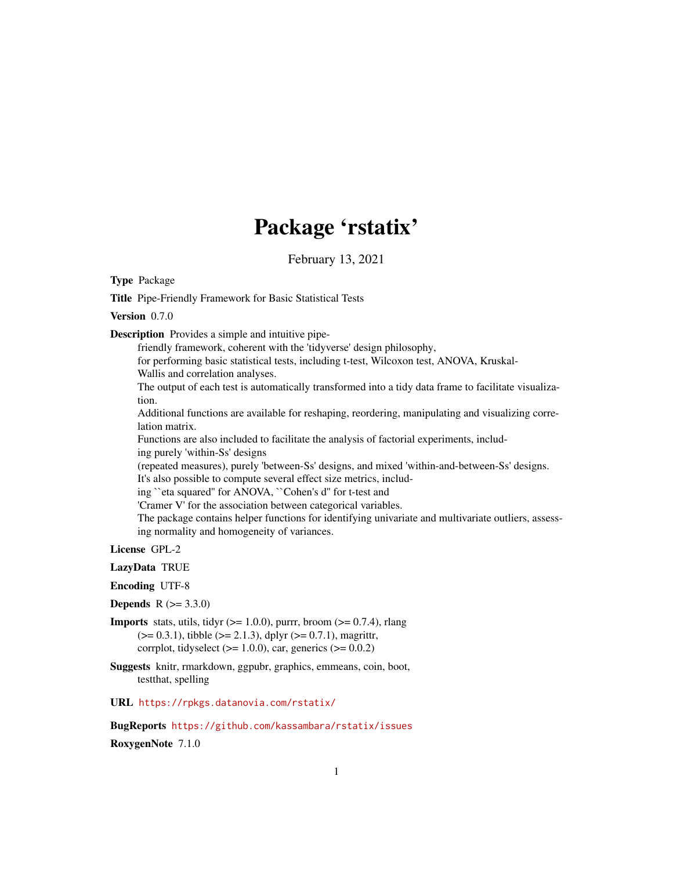# Package 'rstatix'

February 13, 2021

<span id="page-0-0"></span>Type Package

Title Pipe-Friendly Framework for Basic Statistical Tests

Version 0.7.0

Description Provides a simple and intuitive pipe-

friendly framework, coherent with the 'tidyverse' design philosophy, for performing basic statistical tests, including t-test, Wilcoxon test, ANOVA, Kruskal-Wallis and correlation analyses. The output of each test is automatically transformed into a tidy data frame to facilitate visualization. Additional functions are available for reshaping, reordering, manipulating and visualizing correlation matrix. Functions are also included to facilitate the analysis of factorial experiments, including purely 'within-Ss' designs (repeated measures), purely 'between-Ss' designs, and mixed 'within-and-between-Ss' designs. It's also possible to compute several effect size metrics, including ``eta squared'' for ANOVA, ``Cohen's d'' for t-test and 'Cramer V' for the association between categorical variables. The package contains helper functions for identifying univariate and multivariate outliers, assessing normality and homogeneity of variances.

License GPL-2

LazyData TRUE

Encoding UTF-8

**Depends**  $R (= 3.3.0)$ 

**Imports** stats, utils, tidyr  $(>= 1.0.0)$ , purrr, broom  $(>= 0.7.4)$ , rlang  $(>= 0.3.1)$ , tibble  $(>= 2.1.3)$ , dplyr  $(>= 0.7.1)$ , magrittr, corrplot, tidyselect ( $>= 1.0.0$ ), car, generics ( $>= 0.0.2$ )

Suggests knitr, rmarkdown, ggpubr, graphics, emmeans, coin, boot, testthat, spelling

URL <https://rpkgs.datanovia.com/rstatix/>

BugReports <https://github.com/kassambara/rstatix/issues> RoxygenNote 7.1.0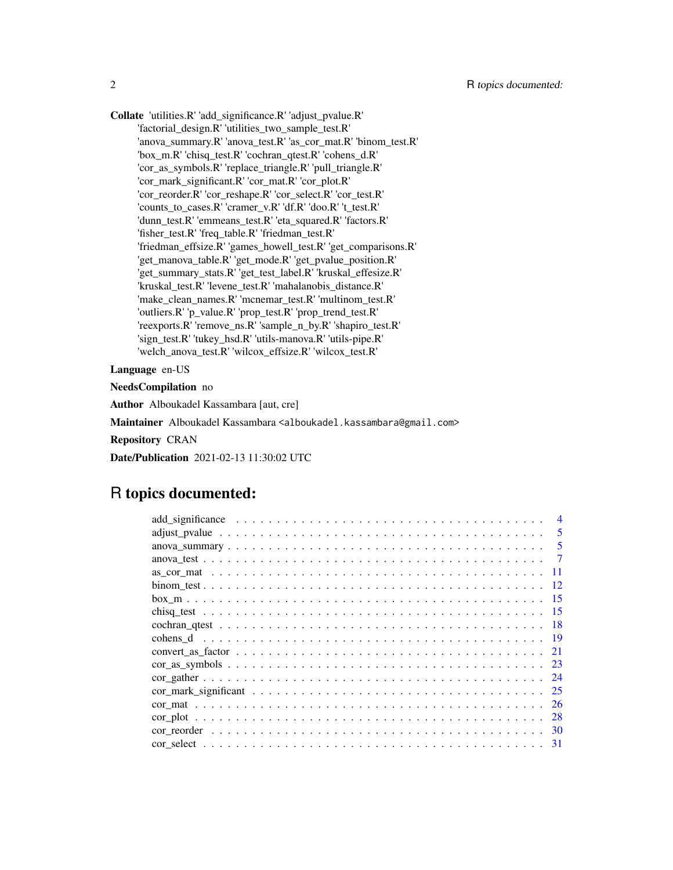Collate 'utilities.R' 'add\_significance.R' 'adjust\_pvalue.R' 'factorial\_design.R' 'utilities\_two\_sample\_test.R' 'anova\_summary.R' 'anova\_test.R' 'as\_cor\_mat.R' 'binom\_test.R' 'box\_m.R' 'chisq\_test.R' 'cochran\_qtest.R' 'cohens\_d.R' 'cor\_as\_symbols.R' 'replace\_triangle.R' 'pull\_triangle.R' 'cor\_mark\_significant.R' 'cor\_mat.R' 'cor\_plot.R' 'cor\_reorder.R' 'cor\_reshape.R' 'cor\_select.R' 'cor\_test.R' 'counts\_to\_cases.R' 'cramer\_v.R' 'df.R' 'doo.R' 't\_test.R' 'dunn\_test.R' 'emmeans\_test.R' 'eta\_squared.R' 'factors.R' 'fisher\_test.R' 'freq\_table.R' 'friedman\_test.R' 'friedman\_effsize.R' 'games\_howell\_test.R' 'get\_comparisons.R' 'get\_manova\_table.R' 'get\_mode.R' 'get\_pvalue\_position.R' 'get\_summary\_stats.R' 'get\_test\_label.R' 'kruskal\_effesize.R' 'kruskal\_test.R' 'levene\_test.R' 'mahalanobis\_distance.R' 'make\_clean\_names.R' 'mcnemar\_test.R' 'multinom\_test.R' 'outliers.R' 'p\_value.R' 'prop\_test.R' 'prop\_trend\_test.R' 'reexports.R' 'remove\_ns.R' 'sample\_n\_by.R' 'shapiro\_test.R' 'sign\_test.R' 'tukey\_hsd.R' 'utils-manova.R' 'utils-pipe.R' 'welch\_anova\_test.R' 'wilcox\_effsize.R' 'wilcox\_test.R'

Language en-US

NeedsCompilation no

Author Alboukadel Kassambara [aut, cre]

Maintainer Alboukadel Kassambara <alboukadel.kassambara@gmail.com>

Repository CRAN

Date/Publication 2021-02-13 11:30:02 UTC

## R topics documented:

| 5      |
|--------|
| -5     |
| -7     |
| 11     |
| $-12.$ |
| - 15   |
|        |
|        |
|        |
|        |
|        |
|        |
|        |
|        |
|        |
|        |
|        |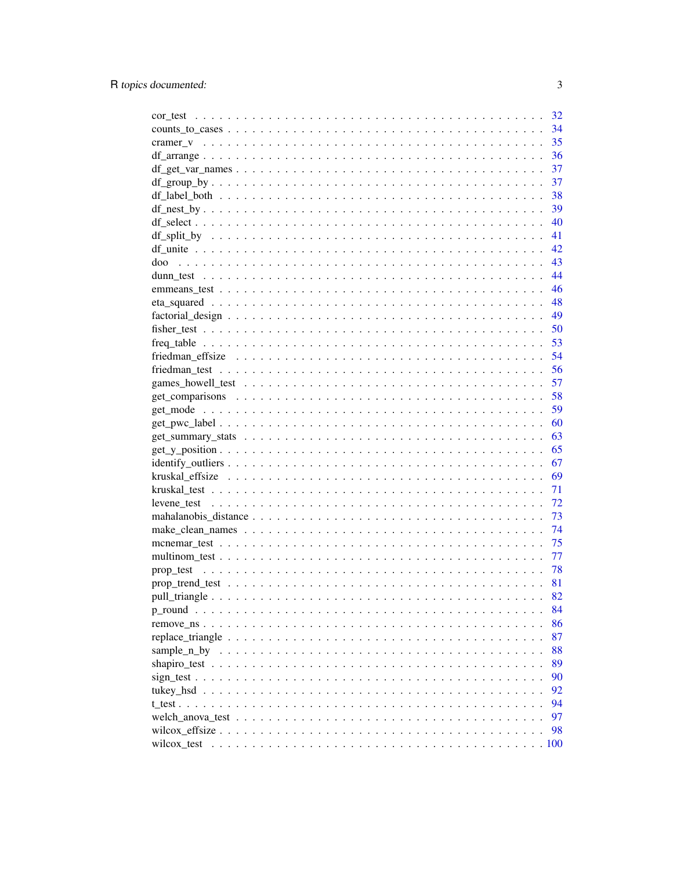|                                                                                                                | 32       |
|----------------------------------------------------------------------------------------------------------------|----------|
|                                                                                                                | 34       |
|                                                                                                                | 35       |
|                                                                                                                | 36       |
|                                                                                                                | 37       |
|                                                                                                                | 37       |
|                                                                                                                | 38       |
|                                                                                                                | 39       |
|                                                                                                                | 40       |
|                                                                                                                | 41       |
|                                                                                                                | 42       |
| doo                                                                                                            | 43       |
|                                                                                                                | 44       |
|                                                                                                                | 46       |
|                                                                                                                | 48       |
| $factorial\_design \ldots \ldots \ldots \ldots \ldots \ldots \ldots \ldots \ldots \ldots \ldots \ldots \ldots$ | 49       |
|                                                                                                                | 50       |
|                                                                                                                | 53       |
|                                                                                                                | 54       |
|                                                                                                                | 56       |
|                                                                                                                | 57       |
|                                                                                                                | 58       |
|                                                                                                                | 59       |
|                                                                                                                | 60       |
|                                                                                                                |          |
|                                                                                                                | 63<br>65 |
|                                                                                                                |          |
|                                                                                                                | 67       |
|                                                                                                                | 69       |
|                                                                                                                | 71       |
|                                                                                                                | 72       |
|                                                                                                                | 73       |
|                                                                                                                | 74       |
|                                                                                                                | 75       |
|                                                                                                                | 77       |
|                                                                                                                | 78       |
|                                                                                                                | 81       |
|                                                                                                                | 82       |
|                                                                                                                | 84       |
|                                                                                                                | 86       |
|                                                                                                                | 87       |
|                                                                                                                | 88       |
|                                                                                                                | 89       |
|                                                                                                                | 90       |
|                                                                                                                | 92       |
| t test                                                                                                         | 94       |
|                                                                                                                | 97       |
|                                                                                                                | 98       |
|                                                                                                                |          |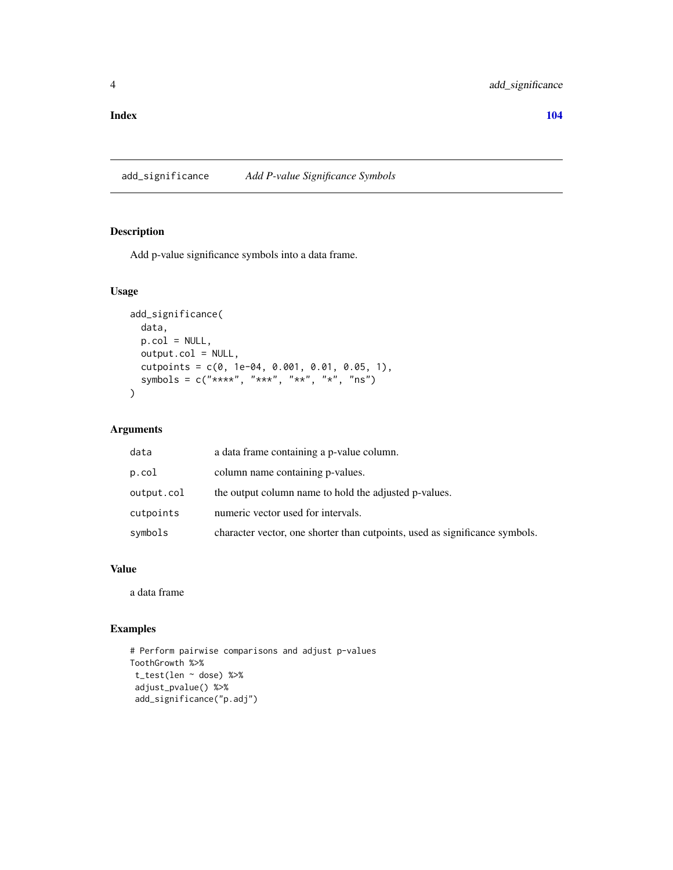#### <span id="page-3-0"></span>**Index** the contract of the contract of the contract of the contract of the contract of the contract of the contract of the contract of the contract of the contract of the contract of the contract of the contract of the co

add\_significance *Add P-value Significance Symbols*

## Description

Add p-value significance symbols into a data frame.

## Usage

```
add_significance(
 data,
 p.col = NULL,
 output.col = NULL,
 cutpoints = c(0, 1e-04, 0.001, 0.01, 0.05, 1),
  symbols = c("***", "***", "**", "**", "ns")\mathcal{L}
```
## Arguments

| data       | a data frame containing a p-value column.                                   |
|------------|-----------------------------------------------------------------------------|
| p.col      | column name containing p-values.                                            |
| output.col | the output column name to hold the adjusted p-values.                       |
| cutpoints  | numeric vector used for intervals.                                          |
| symbols    | character vector, one shorter than cutpoints, used as significance symbols. |

## Value

a data frame

```
# Perform pairwise comparisons and adjust p-values
ToothGrowth %>%
t_test(len ~ dose) %>%
 adjust_pvalue() %>%
 add_significance("p.adj")
```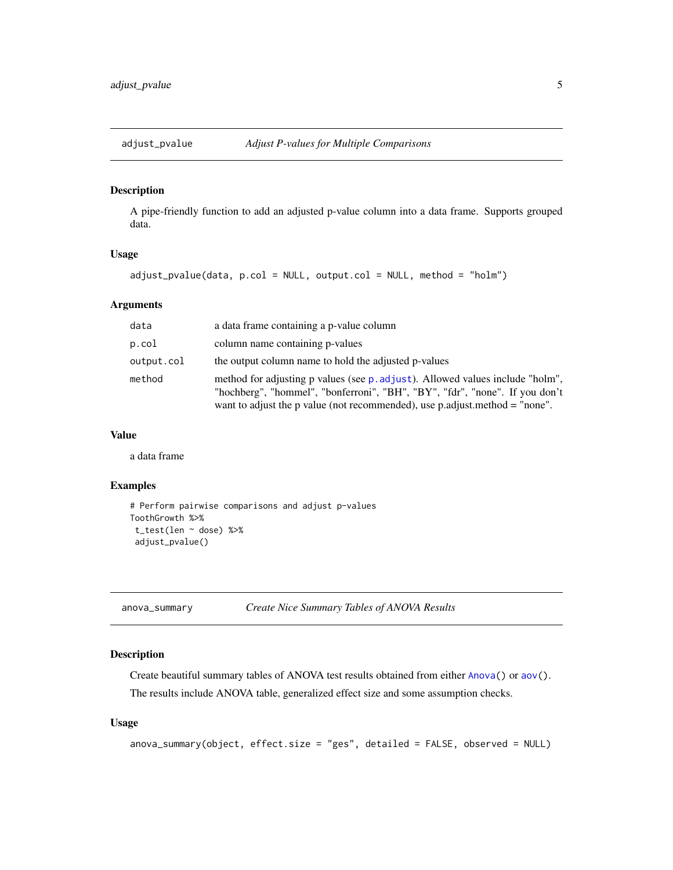<span id="page-4-0"></span>

## Description

A pipe-friendly function to add an adjusted p-value column into a data frame. Supports grouped data.

#### Usage

```
adjust_pvalue(data, p.col = NULL, output.col = NULL, method = "holm")
```
#### Arguments

| data       | a data frame containing a p-value column                                                                                                                                                                                                      |
|------------|-----------------------------------------------------------------------------------------------------------------------------------------------------------------------------------------------------------------------------------------------|
| p.col      | column name containing p-values                                                                                                                                                                                                               |
| output.col | the output column name to hold the adjusted p-values                                                                                                                                                                                          |
| method     | method for adjusting p values (see p. adjust). Allowed values include "holm",<br>"hochberg", "hommel", "bonferroni", "BH", "BY", "fdr", "none". If you don't<br>want to adjust the p value (not recommended), use p.adjust.method $=$ "none". |

### Value

a data frame

## Examples

```
# Perform pairwise comparisons and adjust p-values
ToothGrowth %>%
 t_test(len ~ dose) %>%
 adjust_pvalue()
```
<span id="page-4-1"></span>anova\_summary *Create Nice Summary Tables of ANOVA Results*

## Description

Create beautiful summary tables of ANOVA test results obtained from either [Anova\(](#page-0-0)) or [aov\(](#page-0-0)).

The results include ANOVA table, generalized effect size and some assumption checks.

#### Usage

```
anova_summary(object, effect.size = "ges", detailed = FALSE, observed = NULL)
```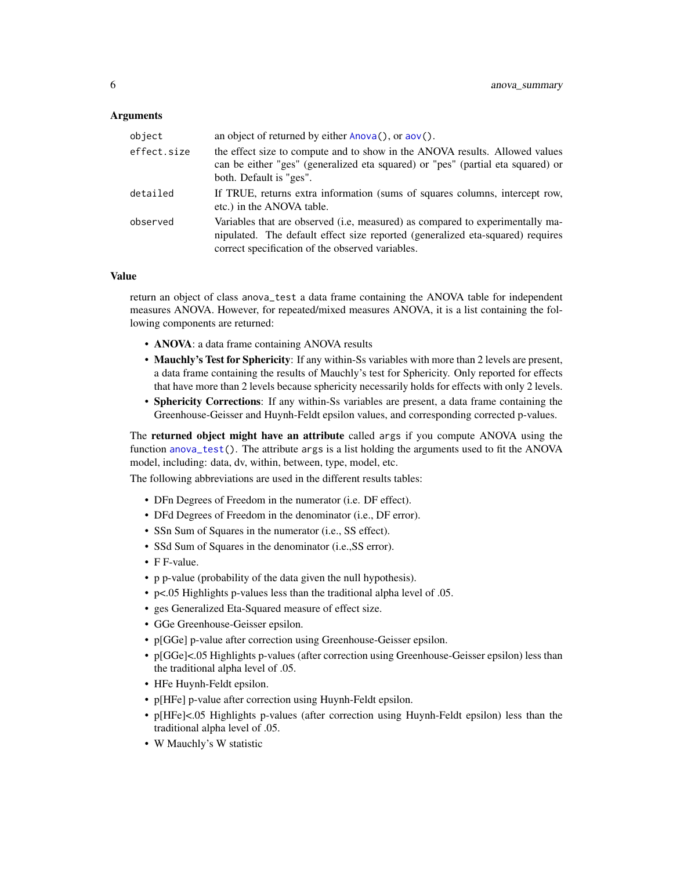#### Arguments

| object      | an object of returned by either $Anova()$ , or $aov()$ .                                                                                                                                                            |
|-------------|---------------------------------------------------------------------------------------------------------------------------------------------------------------------------------------------------------------------|
| effect.size | the effect size to compute and to show in the ANOVA results. Allowed values<br>can be either "ges" (generalized eta squared) or "pes" (partial eta squared) or<br>both. Default is "ges".                           |
| detailed    | If TRUE, returns extra information (sums of squares columns, intercept row,<br>etc.) in the ANOVA table.                                                                                                            |
| observed    | Variables that are observed (i.e, measured) as compared to experimentally ma-<br>nipulated. The default effect size reported (generalized eta-squared) requires<br>correct specification of the observed variables. |

#### Value

return an object of class anova\_test a data frame containing the ANOVA table for independent measures ANOVA. However, for repeated/mixed measures ANOVA, it is a list containing the following components are returned:

- ANOVA: a data frame containing ANOVA results
- Mauchly's Test for Sphericity: If any within-Ss variables with more than 2 levels are present, a data frame containing the results of Mauchly's test for Sphericity. Only reported for effects that have more than 2 levels because sphericity necessarily holds for effects with only 2 levels.
- Sphericity Corrections: If any within-Ss variables are present, a data frame containing the Greenhouse-Geisser and Huynh-Feldt epsilon values, and corresponding corrected p-values.

The **returned object might have an attribute** called args if you compute ANOVA using the function [anova\\_test\(](#page-6-1)). The attribute args is a list holding the arguments used to fit the ANOVA model, including: data, dv, within, between, type, model, etc.

The following abbreviations are used in the different results tables:

- DFn Degrees of Freedom in the numerator (i.e. DF effect).
- DFd Degrees of Freedom in the denominator (i.e., DF error).
- SSn Sum of Squares in the numerator (i.e., SS effect).
- SSd Sum of Squares in the denominator (i.e.,SS error).
- F F-value.
- p p-value (probability of the data given the null hypothesis).
- p<.05 Highlights p-values less than the traditional alpha level of .05.
- ges Generalized Eta-Squared measure of effect size.
- GGe Greenhouse-Geisser epsilon.
- p[GGe] p-value after correction using Greenhouse-Geisser epsilon.
- p[GGe]<.05 Highlights p-values (after correction using Greenhouse-Geisser epsilon) less than the traditional alpha level of .05.
- HFe Huynh-Feldt epsilon.
- p[HFe] p-value after correction using Huynh-Feldt epsilon.
- p[HFe]<.05 Highlights p-values (after correction using Huynh-Feldt epsilon) less than the traditional alpha level of .05.
- W Mauchly's W statistic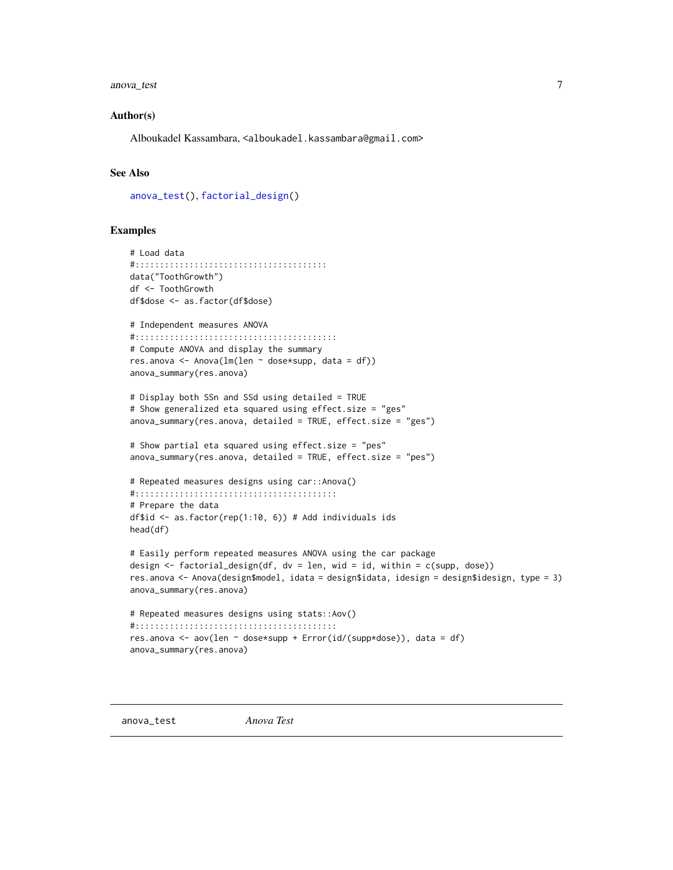#### <span id="page-6-0"></span>anova\_test 7

#### Author(s)

Alboukadel Kassambara, <alboukadel.kassambara@gmail.com>

## See Also

[anova\\_test\(](#page-6-1)), [factorial\\_design\(](#page-48-1))

## Examples

```
# Load data
#:::::::::::::::::::::::::::::::::::::::
data("ToothGrowth")
df <- ToothGrowth
df$dose <- as.factor(df$dose)
# Independent measures ANOVA
#:::::::::::::::::::::::::::::::::::::::::
# Compute ANOVA and display the summary
res.anova <- Anova(lm(len ~ dose*supp, data = df))
anova_summary(res.anova)
# Display both SSn and SSd using detailed = TRUE
# Show generalized eta squared using effect.size = "ges"
anova_summary(res.anova, detailed = TRUE, effect.size = "ges")
# Show partial eta squared using effect.size = "pes"
anova_summary(res.anova, detailed = TRUE, effect.size = "pes")
# Repeated measures designs using car::Anova()
#:::::::::::::::::::::::::::::::::::::::::
# Prepare the data
df$id <- as.factor(rep(1:10, 6)) # Add individuals ids
head(df)
# Easily perform repeated measures ANOVA using the car package
design \leq factorial_design(df, dv = len, wid = id, within = c(supp, dose))
res.anova <- Anova(design$model, idata = design$idata, idesign = design$idesign, type = 3)
anova_summary(res.anova)
# Repeated measures designs using stats::Aov()
#:::::::::::::::::::::::::::::::::::::::::
res.anova <- aov(len ~ dose*supp + Error(id/(supp*dose)), data = df)
anova_summary(res.anova)
```
<span id="page-6-1"></span>anova\_test *Anova Test*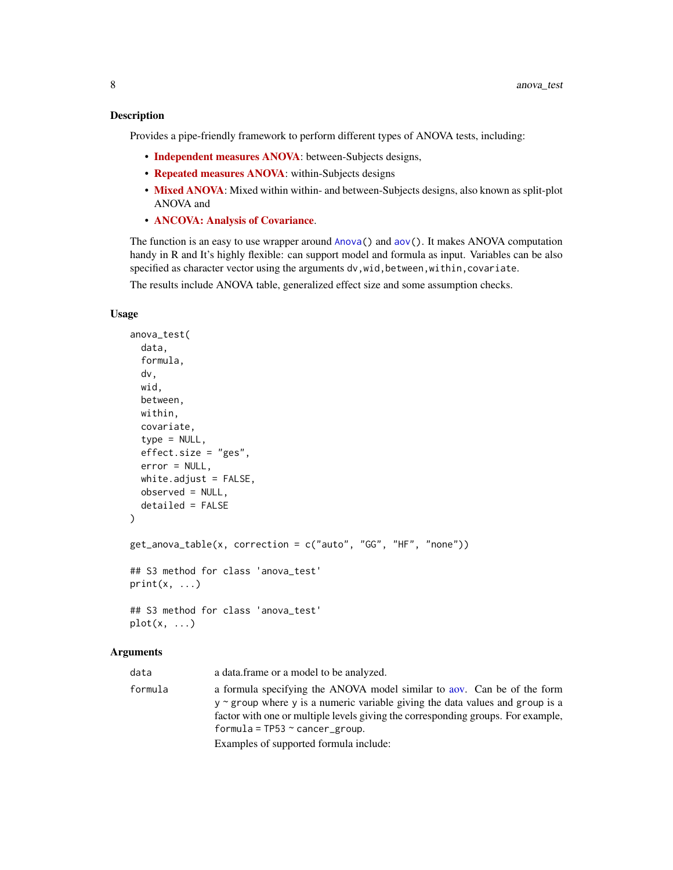### Description

Provides a pipe-friendly framework to perform different types of ANOVA tests, including:

- [Independent measures ANOVA](https://www.datanovia.com/en/lessons/anova-in-r/): between-Subjects designs,
- [Repeated measures ANOVA](https://www.datanovia.com/en/lessons/repeated-measures-anova-in-r/): within-Subjects designs
- [Mixed ANOVA](https://www.datanovia.com/en/lessons/mixed-anova-in-r/): Mixed within within- and between-Subjects designs, also known as split-plot ANOVA and
- [ANCOVA: Analysis of Covariance](https://www.datanovia.com/en/lessons/ancova-in-r/).

The function is an easy to use wrapper around [Anova\(](#page-0-0)) and [aov\(](#page-0-0)). It makes ANOVA computation handy in R and It's highly flexible: can support model and formula as input. Variables can be also specified as character vector using the arguments dv, wid, between, within, covariate.

The results include ANOVA table, generalized effect size and some assumption checks.

## Usage

```
anova_test(
  data,
  formula,
  dv,
 wid,
  between,
 within,
  covariate,
  type = NULL,
  effect.size = "ges",
  error = NULL,
 white.adjust = FALSE,
  observed = NULL,
  detailed = FALSE
)
get_anova_table(x, correction = c("auto", "GG", "HF", "none"))
## S3 method for class 'anova_test'
print(x, \ldots)## S3 method for class 'anova_test'
plot(x, \ldots)
```
### Arguments

data a data.frame or a model to be analyzed. formula a formula specifying the ANOVA model similar to [aov.](#page-0-0) Can be of the form y ~ group where y is a numeric variable giving the data values and group is a factor with one or multiple levels giving the corresponding groups. For example,  $formula = TP53 ~ \sim \text{cancer\_group}.$ Examples of supported formula include: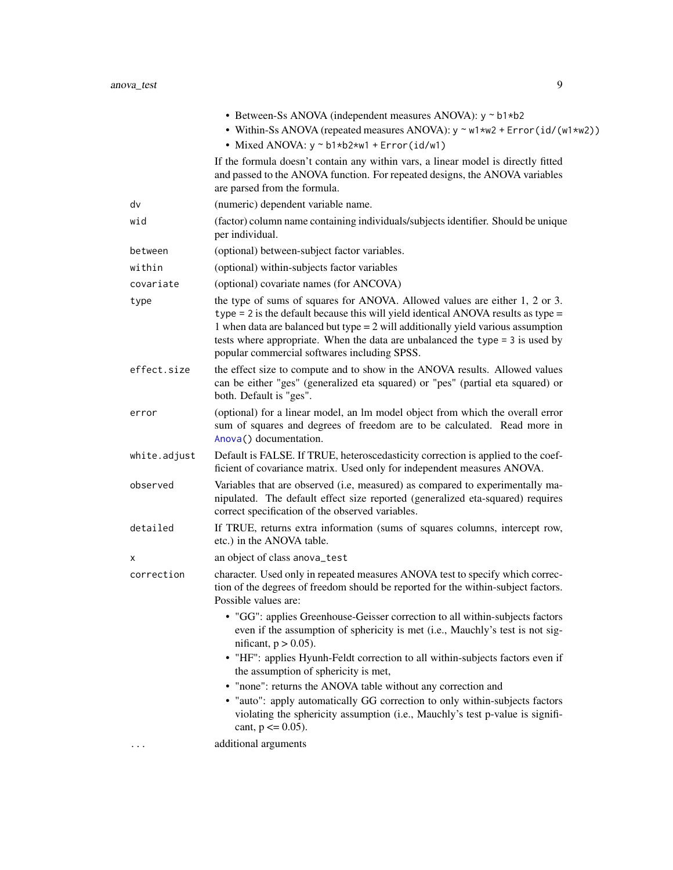|         | • Between-Ss ANOVA (independent measures ANOVA): $y \sim b1 * b2$                                                                                                                                |
|---------|--------------------------------------------------------------------------------------------------------------------------------------------------------------------------------------------------|
|         | • Within-Ss ANOVA (repeated measures ANOVA): $y \sim w1 \star w2 + \text{Error}(id/(w1 \star w2))$                                                                                               |
|         | • Mixed ANOVA: $y \sim b1*b2*w1 + Error(id/w1)$                                                                                                                                                  |
|         | If the formula doesn't contain any within vars, a linear model is directly fitted<br>and passed to the ANOVA function. For repeated designs, the ANOVA variables<br>are parsed from the formula. |
| dv      | (numeric) dependent variable name.                                                                                                                                                               |
| wid     | (factor) column name containing individuals/subjects identifier. Should be unique<br>per individual.                                                                                             |
| between | (optional) between-subject factor variables.                                                                                                                                                     |
| within  | (optional) within-subjects factor variables                                                                                                                                                      |
|         |                                                                                                                                                                                                  |

covariate (optional) covariate names (for ANCOVA)

- type the type of sums of squares for ANOVA. Allowed values are either 1, 2 or 3. type = 2 is the default because this will yield identical ANOVA results as type = 1 when data are balanced but type = 2 will additionally yield various assumption tests where appropriate. When the data are unbalanced the type = 3 is used by popular commercial softwares including SPSS.
- effect.size the effect size to compute and to show in the ANOVA results. Allowed values can be either "ges" (generalized eta squared) or "pes" (partial eta squared) or both. Default is "ges".
- error (optional) for a linear model, an lm model object from which the overall error sum of squares and degrees of freedom are to be calculated. Read more in [Anova\(](#page-0-0)) documentation.
- white.adjust Default is FALSE. If TRUE, heteroscedasticity correction is applied to the coefficient of covariance matrix. Used only for independent measures ANOVA.
- observed Variables that are observed (i.e, measured) as compared to experimentally manipulated. The default effect size reported (generalized eta-squared) requires correct specification of the observed variables.
- detailed If TRUE, returns extra information (sums of squares columns, intercept row, etc.) in the ANOVA table.

x an object of class anova\_test

- correction character. Used only in repeated measures ANOVA test to specify which correction of the degrees of freedom should be reported for the within-subject factors. Possible values are:
	- "GG": applies Greenhouse-Geisser correction to all within-subjects factors even if the assumption of sphericity is met (i.e., Mauchly's test is not significant,  $p > 0.05$ ).
	- "HF": applies Hyunh-Feldt correction to all within-subjects factors even if the assumption of sphericity is met,
	- "none": returns the ANOVA table without any correction and
	- "auto": apply automatically GG correction to only within-subjects factors violating the sphericity assumption (i.e., Mauchly's test p-value is significant,  $p \le 0.05$ ).

... additional arguments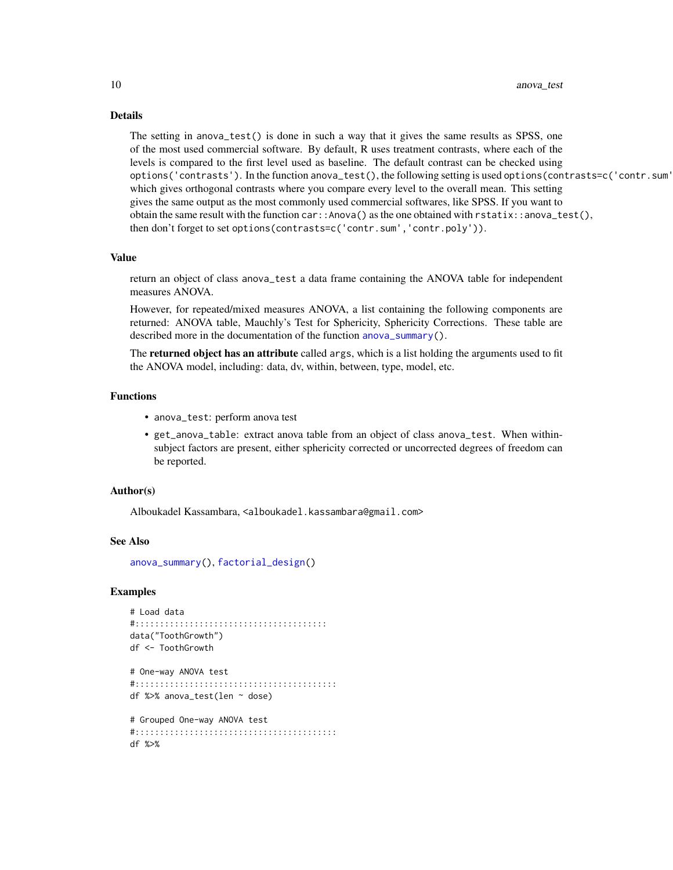#### Details

The setting in anova\_test() is done in such a way that it gives the same results as SPSS, one of the most used commercial software. By default, R uses treatment contrasts, where each of the levels is compared to the first level used as baseline. The default contrast can be checked using options('contrasts'). In the function anova\_test(), the following setting is used options(contrasts=c('contr.sum' which gives orthogonal contrasts where you compare every level to the overall mean. This setting gives the same output as the most commonly used commercial softwares, like SPSS. If you want to obtain the same result with the function car::Anova() as the one obtained with rstatix::anova\_test(), then don't forget to set options(contrasts=c('contr.sum','contr.poly')).

## Value

return an object of class anova\_test a data frame containing the ANOVA table for independent measures ANOVA.

However, for repeated/mixed measures ANOVA, a list containing the following components are returned: ANOVA table, Mauchly's Test for Sphericity, Sphericity Corrections. These table are described more in the documentation of the function [anova\\_summary\(](#page-4-1)).

The **returned object has an attribute** called args, which is a list holding the arguments used to fit the ANOVA model, including: data, dv, within, between, type, model, etc.

#### Functions

- anova\_test: perform anova test
- get\_anova\_table: extract anova table from an object of class anova\_test. When withinsubject factors are present, either sphericity corrected or uncorrected degrees of freedom can be reported.

#### Author(s)

Alboukadel Kassambara, <alboukadel.kassambara@gmail.com>

#### See Also

[anova\\_summary\(](#page-4-1)), [factorial\\_design\(](#page-48-1))

```
# Load data
#:::::::::::::::::::::::::::::::::::::::
data("ToothGrowth")
df <- ToothGrowth
```

```
# One-way ANOVA test
#:::::::::::::::::::::::::::::::::::::::::
df %>% anova_test(len ~ dose)
```

```
# Grouped One-way ANOVA test
#:::::::::::::::::::::::::::::::::::::::::
df %>%
```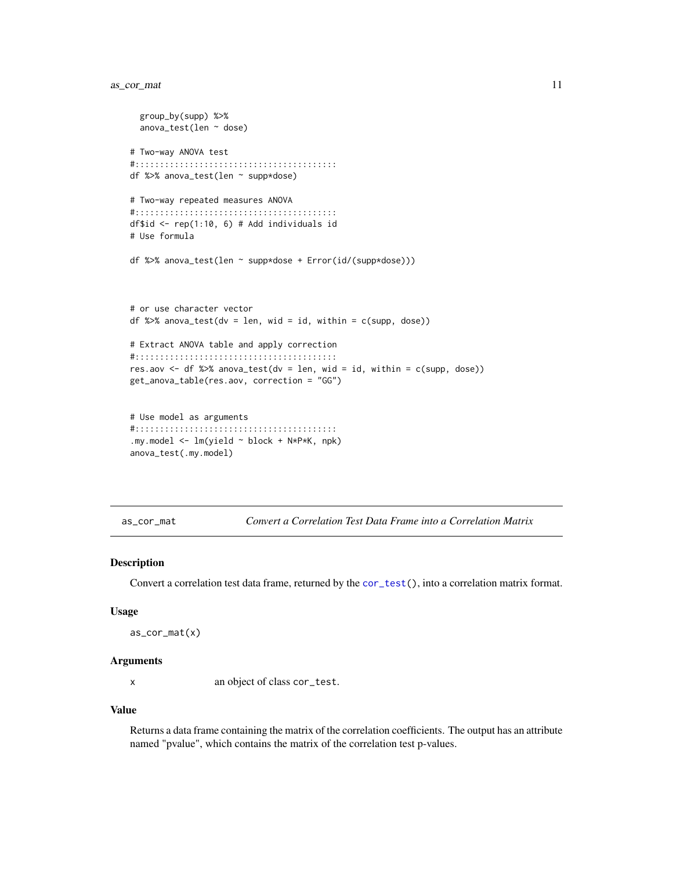## <span id="page-10-0"></span>as\_cor\_mat 11

```
group_by(supp) %>%
 anova_test(len ~ dose)
# Two-way ANOVA test
#:::::::::::::::::::::::::::::::::::::::::
df %>% anova_test(len ~ supp*dose)
# Two-way repeated measures ANOVA
#:::::::::::::::::::::::::::::::::::::::::
df$id <- rep(1:10, 6) # Add individuals id
# Use formula
df %>% anova_test(len ~ supp*dose + Error(id/(supp*dose)))
# or use character vector
df %>% anova_test(dv = len, wid = id, within = c(supp, dose))
# Extract ANOVA table and apply correction
#:::::::::::::::::::::::::::::::::::::::::
res.aov <- df %>% anova_test(dv = len, wid = id, within = c(supp, dose))
get_anova_table(res.aov, correction = "GG")
# Use model as arguments
#:::::::::::::::::::::::::::::::::::::::::
```

```
.my.model <- lm(yield ~ block + N*P*K, npk)
anova_test(.my.model)
```
<span id="page-10-1"></span>as\_cor\_mat *Convert a Correlation Test Data Frame into a Correlation Matrix*

#### Description

Convert a correlation test data frame, returned by the [cor\\_test\(](#page-31-1)), into a correlation matrix format.

#### Usage

```
as_cor_mat(x)
```
#### Arguments

x an object of class cor\_test.

#### Value

Returns a data frame containing the matrix of the correlation coefficients. The output has an attribute named "pvalue", which contains the matrix of the correlation test p-values.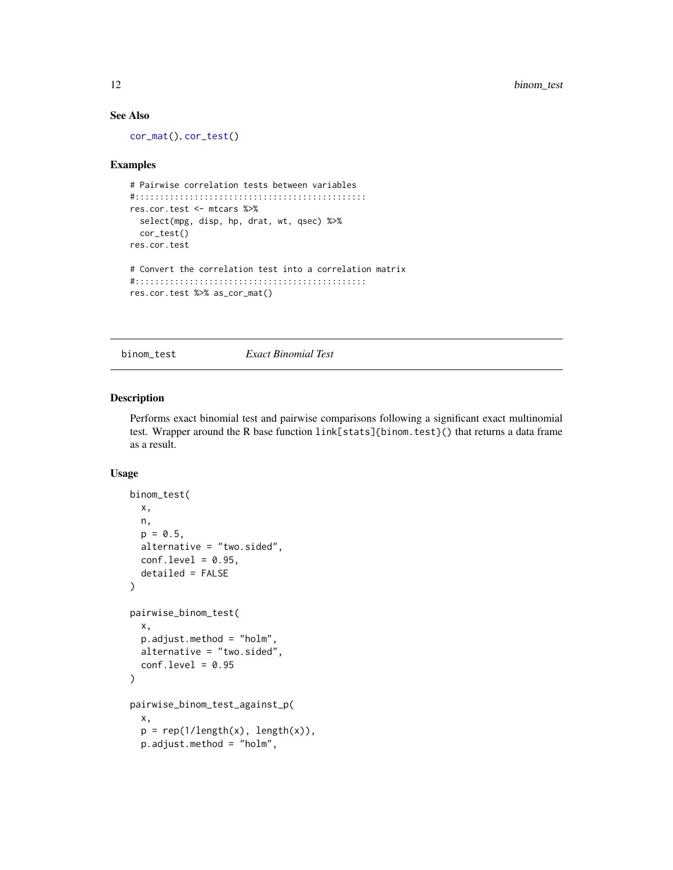## See Also

[cor\\_mat\(](#page-25-1)), [cor\\_test\(](#page-31-1))

#### Examples

```
# Pairwise correlation tests between variables
#:::::::::::::::::::::::::::::::::::::::::::::::
res.cor.test <- mtcars %>%
  select(mpg, disp, hp, drat, wt, qsec) %>%
  cor_test()
res.cor.test
# Convert the correlation test into a correlation matrix
#:::::::::::::::::::::::::::::::::::::::::::::::
res.cor.test %>% as_cor_mat()
```
binom\_test *Exact Binomial Test*

## Description

Performs exact binomial test and pairwise comparisons following a significant exact multinomial test. Wrapper around the R base function link[stats]{binom.test}() that returns a data frame as a result.

#### Usage

```
binom_test(
  x,
  n,
  p = 0.5,
  alternative = "two.sided",
  conf. level = 0.95,detailed = FALSE
)
pairwise_binom_test(
  x,
  p.adjust.method = "holm",
  alternative = "two.sided",
  conf. level = 0.95\mathcal{L}pairwise_binom_test_against_p(
  x,
  p = rep(1/length(x), length(x)),p.adjust.method = "holm",
```
<span id="page-11-0"></span>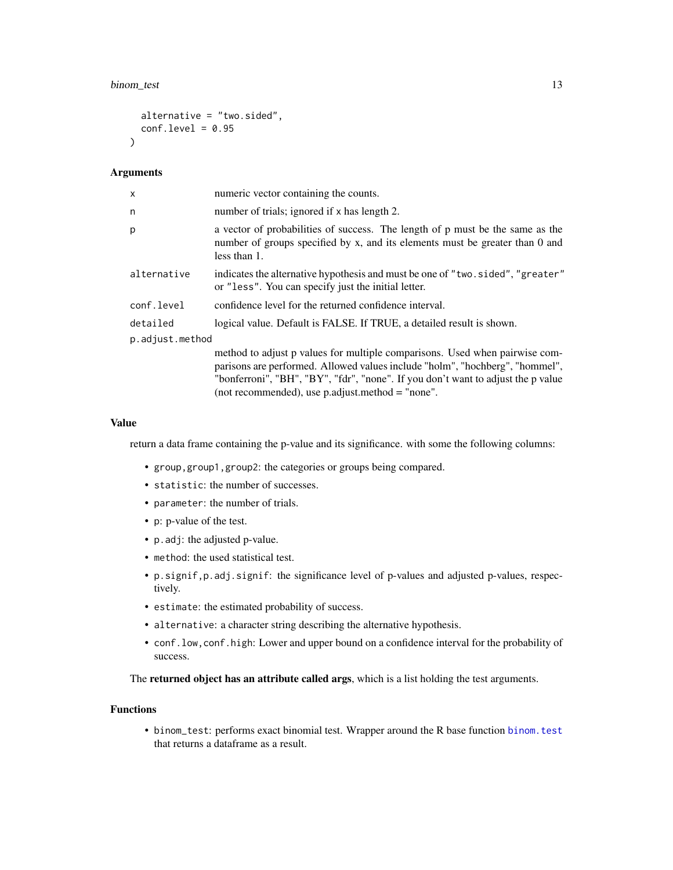## binom\_test 13

```
alternative = "two.sided",
  conf. level = 0.95\lambda
```
#### Arguments

| $\times$        | numeric vector containing the counts.                                                                                                                                                                                                                                                                 |  |
|-----------------|-------------------------------------------------------------------------------------------------------------------------------------------------------------------------------------------------------------------------------------------------------------------------------------------------------|--|
| n               | number of trials; ignored if x has length 2.                                                                                                                                                                                                                                                          |  |
| p               | a vector of probabilities of success. The length of p must be the same as the<br>number of groups specified by x, and its elements must be greater than 0 and<br>less than 1.                                                                                                                         |  |
| alternative     | indicates the alternative hypothesis and must be one of "two.sided", "greater"<br>or "less". You can specify just the initial letter.                                                                                                                                                                 |  |
| conf.level      | confidence level for the returned confidence interval.                                                                                                                                                                                                                                                |  |
| detailed        | logical value. Default is FALSE. If TRUE, a detailed result is shown.                                                                                                                                                                                                                                 |  |
| p.adjust.method |                                                                                                                                                                                                                                                                                                       |  |
|                 | method to adjust p values for multiple comparisons. Used when pairwise com-<br>parisons are performed. Allowed values include "holm", "hochberg", "hommel",<br>"bonferroni", "BH", "BY", "fdr", "none". If you don't want to adjust the p value<br>(not recommended), use $p$ adjust method = "none". |  |

#### Value

return a data frame containing the p-value and its significance. with some the following columns:

- group,group1,group2: the categories or groups being compared.
- statistic: the number of successes.
- parameter: the number of trials.
- p: p-value of the test.
- p.adj: the adjusted p-value.
- method: the used statistical test.
- p.signif,p.adj.signif: the significance level of p-values and adjusted p-values, respectively.
- estimate: the estimated probability of success.
- alternative: a character string describing the alternative hypothesis.
- conf.low,conf.high: Lower and upper bound on a confidence interval for the probability of success.

The returned object has an attribute called args, which is a list holding the test arguments.

## Functions

• binom\_test: performs exact binomial test. Wrapper around the R base function [binom.test](#page-0-0) that returns a dataframe as a result.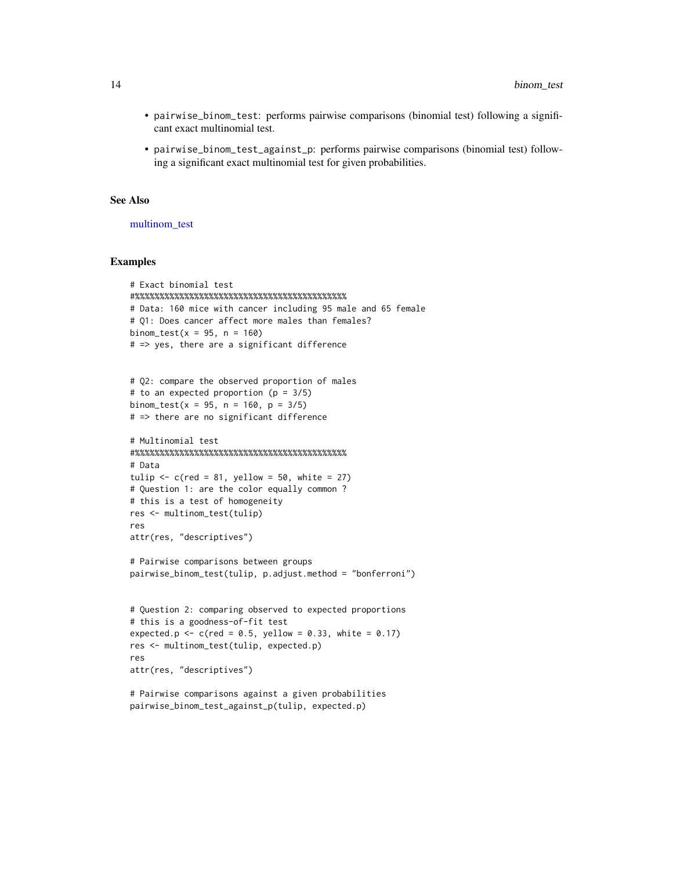- pairwise\_binom\_test: performs pairwise comparisons (binomial test) following a significant exact multinomial test.
- pairwise\_binom\_test\_against\_p: performs pairwise comparisons (binomial test) following a significant exact multinomial test for given probabilities.

#### See Also

[multinom\\_test](#page-76-1)

```
# Exact binomial test
#%%%%%%%%%%%%%%%%%%%%%%%%%%%%%%%%%%%%%%%%%%%
# Data: 160 mice with cancer including 95 male and 65 female
# Q1: Does cancer affect more males than females?
binom_test(x = 95, n = 160)
# => yes, there are a significant difference
# Q2: compare the observed proportion of males
# to an expected proportion (p = 3/5)
binom_test(x = 95, n = 160, p = 3/5)
# => there are no significant difference
# Multinomial test
#%%%%%%%%%%%%%%%%%%%%%%%%%%%%%%%%%%%%%%%%%%%
# Data
tulip \leftarrow c(red = 81, yellow = 50, white = 27)
# Question 1: are the color equally common ?
# this is a test of homogeneity
res <- multinom_test(tulip)
res
attr(res, "descriptives")
# Pairwise comparisons between groups
pairwise_binom_test(tulip, p.adjust.method = "bonferroni")
```

```
# Question 2: comparing observed to expected proportions
# this is a goodness-of-fit test
expected.p <- c(red = 0.5, yellow = 0.33, white = 0.17)
res <- multinom_test(tulip, expected.p)
res
attr(res, "descriptives")
```

```
# Pairwise comparisons against a given probabilities
pairwise_binom_test_against_p(tulip, expected.p)
```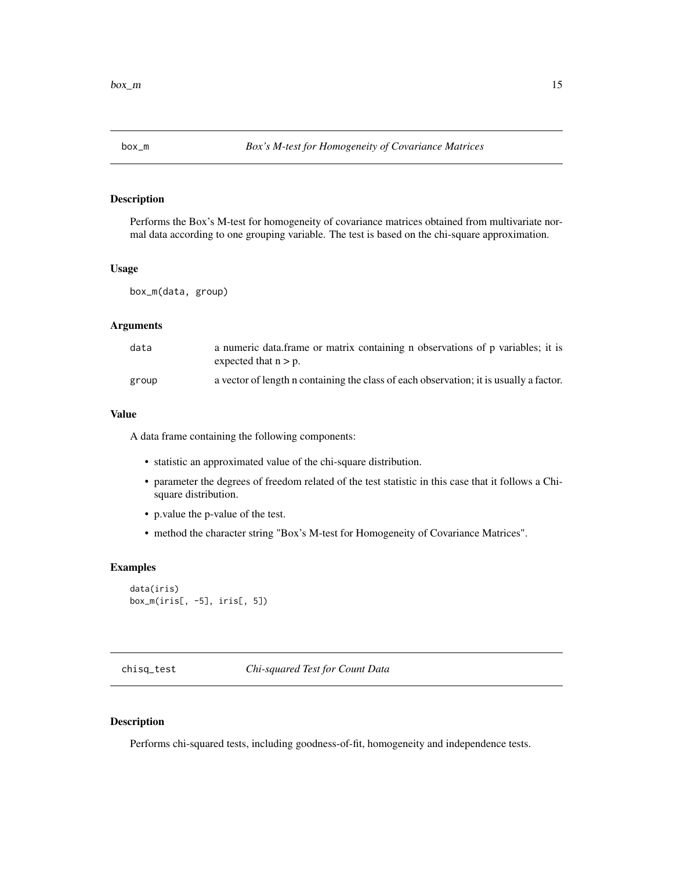## <span id="page-14-0"></span>Description

Performs the Box's M-test for homogeneity of covariance matrices obtained from multivariate normal data according to one grouping variable. The test is based on the chi-square approximation.

#### Usage

box\_m(data, group)

#### Arguments

| data  | a numeric data.frame or matrix containing n observations of p variables; it is<br>expected that $n > p$ . |
|-------|-----------------------------------------------------------------------------------------------------------|
| group | a vector of length n containing the class of each observation; it is usually a factor.                    |

#### Value

A data frame containing the following components:

- statistic an approximated value of the chi-square distribution.
- parameter the degrees of freedom related of the test statistic in this case that it follows a Chisquare distribution.
- p.value the p-value of the test.
- method the character string "Box's M-test for Homogeneity of Covariance Matrices".

## Examples

```
data(iris)
box_m(iris[, -5], iris[, 5])
```
chisq\_test *Chi-squared Test for Count Data*

#### Description

Performs chi-squared tests, including goodness-of-fit, homogeneity and independence tests.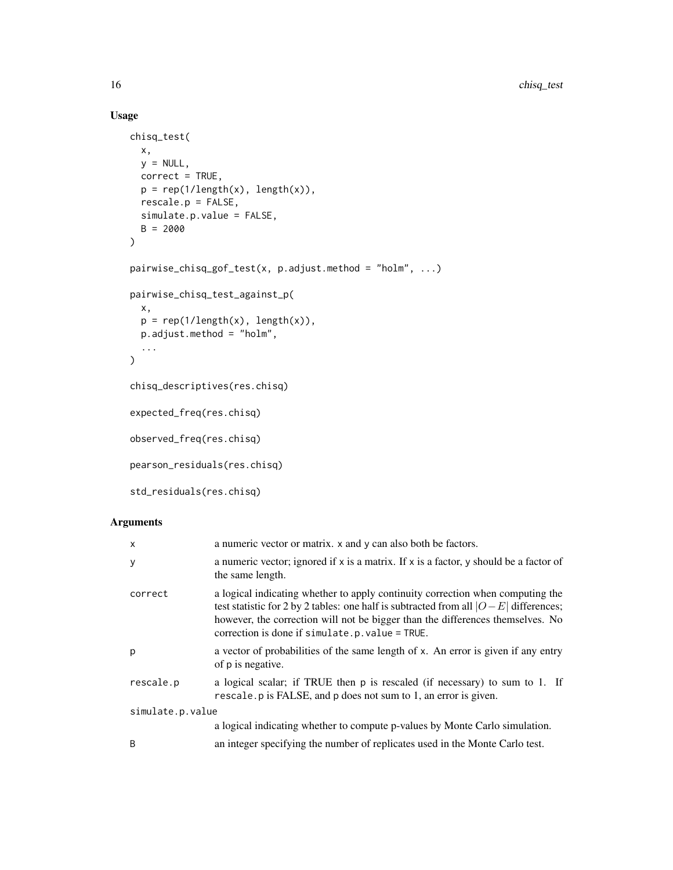## Usage

```
chisq_test(
  x,
  y = NULL,correct = TRUE,p = rep(1/length(x), length(x)),rescale.p = FALSE,
  simulate.p.value = FALSE,
  B = 2000
\mathcal{L}pairwise_chisq_gof_test(x, p.adjust.method = "holm", ...)
pairwise_chisq_test_against_p(
  x,
  p = rep(1/length(x), length(x)),p.adjust.method = "holm",
  ...
\mathcal{L}chisq_descriptives(res.chisq)
expected_freq(res.chisq)
observed_freq(res.chisq)
pearson_residuals(res.chisq)
std_residuals(res.chisq)
```
## Arguments

| X                | a numeric vector or matrix. x and y can also both be factors.                                                                                                                                                                                                                                                |
|------------------|--------------------------------------------------------------------------------------------------------------------------------------------------------------------------------------------------------------------------------------------------------------------------------------------------------------|
| У                | a numeric vector; ignored if x is a matrix. If x is a factor, y should be a factor of<br>the same length.                                                                                                                                                                                                    |
| correct          | a logical indicating whether to apply continuity correction when computing the<br>test statistic for 2 by 2 tables: one half is subtracted from all $ O-E $ differences;<br>however, the correction will not be bigger than the differences themselves. No<br>correction is done if simulate.p.value = TRUE. |
| p                | a vector of probabilities of the same length of x. An error is given if any entry<br>of p is negative.                                                                                                                                                                                                       |
| rescale.p        | a logical scalar; if TRUE then p is rescaled (if necessary) to sum to 1. If<br>rescale. p is FALSE, and p does not sum to 1, an error is given.                                                                                                                                                              |
| simulate.p.value |                                                                                                                                                                                                                                                                                                              |
|                  | a logical indicating whether to compute p-values by Monte Carlo simulation.                                                                                                                                                                                                                                  |
| B                | an integer specifying the number of replicates used in the Monte Carlo test.                                                                                                                                                                                                                                 |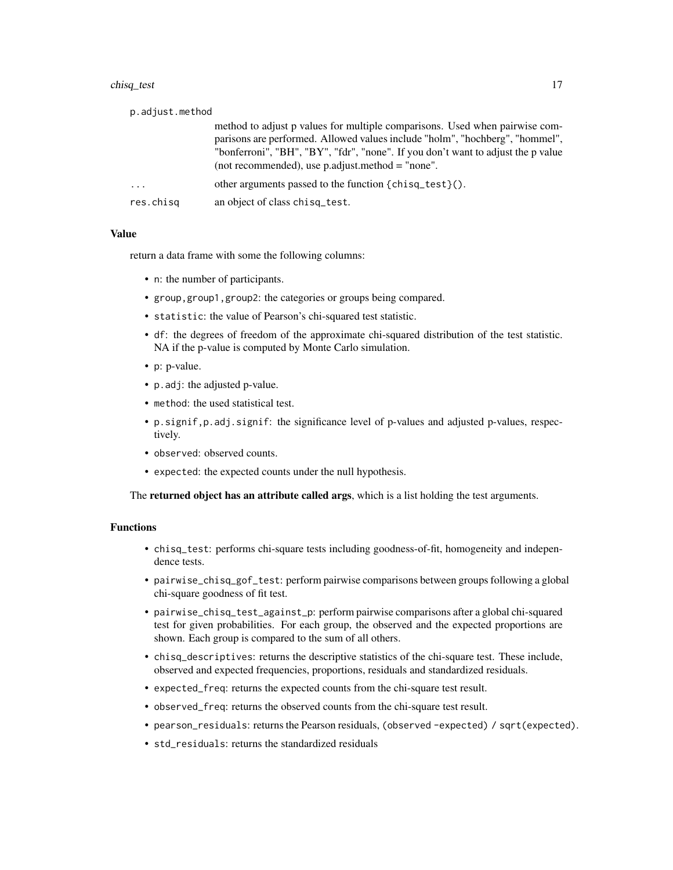#### chisq\_test 17

| p.adjust.method |                                                                                                                                                                                                                                                                                                       |
|-----------------|-------------------------------------------------------------------------------------------------------------------------------------------------------------------------------------------------------------------------------------------------------------------------------------------------------|
|                 | method to adjust p values for multiple comparisons. Used when pairwise com-<br>parisons are performed. Allowed values include "holm", "hochberg", "hommel",<br>"bonferroni", "BH", "BY", "fdr", "none". If you don't want to adjust the p value<br>(not recommended), use $p$ adjust method = "none". |
| $\cdots$        | other arguments passed to the function $\{chisq\_test\}()$ .                                                                                                                                                                                                                                          |
| res.chisg       | an object of class chisq test.                                                                                                                                                                                                                                                                        |

#### Value

return a data frame with some the following columns:

- n: the number of participants.
- group,group1,group2: the categories or groups being compared.
- statistic: the value of Pearson's chi-squared test statistic.
- df: the degrees of freedom of the approximate chi-squared distribution of the test statistic. NA if the p-value is computed by Monte Carlo simulation.
- p: p-value.
- p.adj: the adjusted p-value.
- method: the used statistical test.
- p.signif,p.adj.signif: the significance level of p-values and adjusted p-values, respectively.
- observed: observed counts.
- expected: the expected counts under the null hypothesis.

The returned object has an attribute called args, which is a list holding the test arguments.

## Functions

- chisq\_test: performs chi-square tests including goodness-of-fit, homogeneity and independence tests.
- pairwise\_chisq\_gof\_test: perform pairwise comparisons between groups following a global chi-square goodness of fit test.
- pairwise\_chisq\_test\_against\_p: perform pairwise comparisons after a global chi-squared test for given probabilities. For each group, the observed and the expected proportions are shown. Each group is compared to the sum of all others.
- chisq\_descriptives: returns the descriptive statistics of the chi-square test. These include, observed and expected frequencies, proportions, residuals and standardized residuals.
- expected\_freq: returns the expected counts from the chi-square test result.
- observed\_freq: returns the observed counts from the chi-square test result.
- pearson\_residuals: returns the Pearson residuals, (observed -expected) / sqrt(expected).
- std\_residuals: returns the standardized residuals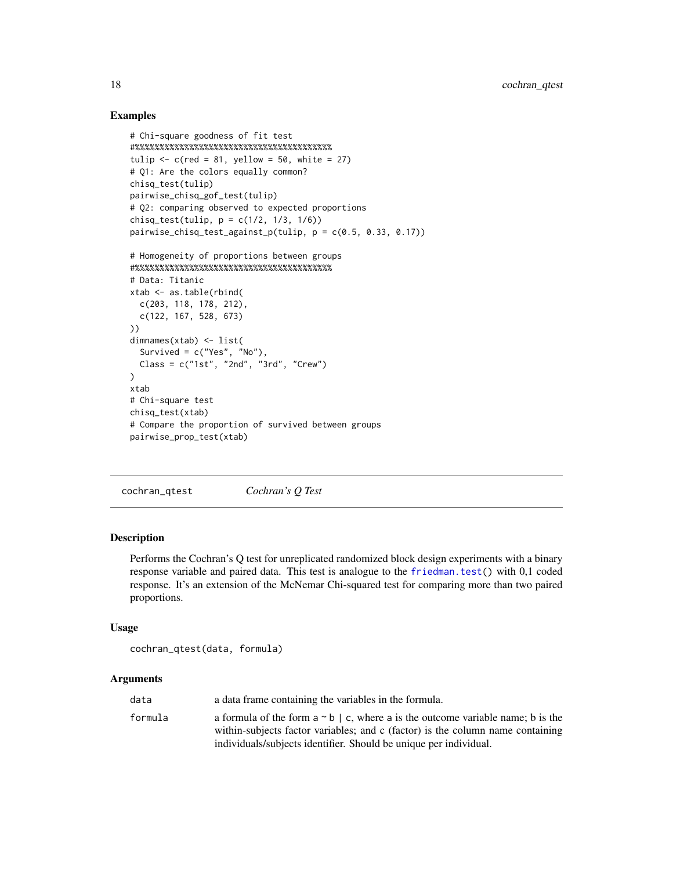## Examples

```
# Chi-square goodness of fit test
#%%%%%%%%%%%%%%%%%%%%%%%%%%%%%%%%%%%%%%%%
tulip \leq c(red = 81, yellow = 50, white = 27)
# Q1: Are the colors equally common?
chisq_test(tulip)
pairwise_chisq_gof_test(tulip)
# Q2: comparing observed to expected proportions
chisq_test(tulip, p = c(1/2, 1/3, 1/6))
pairwise_chisq_test_against_p(tulip, p = c(0.5, 0.33, 0.17))
# Homogeneity of proportions between groups
#%%%%%%%%%%%%%%%%%%%%%%%%%%%%%%%%%%%%%%%%
# Data: Titanic
xtab <- as.table(rbind(
  c(203, 118, 178, 212),
  c(122, 167, 528, 673)
))
dimnames(xtab) <- list(
  Survived = c("Yes", "No"),
  Class = c("1st", "2nd", "3rd", "Crew"))
xtab
# Chi-square test
chisq_test(xtab)
# Compare the proportion of survived between groups
pairwise_prop_test(xtab)
```
cochran\_qtest *Cochran's Q Test*

## **Description**

Performs the Cochran's Q test for unreplicated randomized block design experiments with a binary response variable and paired data. This test is analogue to the [friedman.test\(](#page-0-0)) with 0,1 coded response. It's an extension of the McNemar Chi-squared test for comparing more than two paired proportions.

#### Usage

```
cochran_qtest(data, formula)
```
#### Arguments

| data    | a data frame containing the variables in the formula.                                    |
|---------|------------------------------------------------------------------------------------------|
| formula | a formula of the form $a \sim b \mid c$ , where a is the outcome variable name; b is the |
|         | within-subjects factor variables; and c (factor) is the column name containing           |
|         | individuals/subjects identifier. Should be unique per individual.                        |

<span id="page-17-0"></span>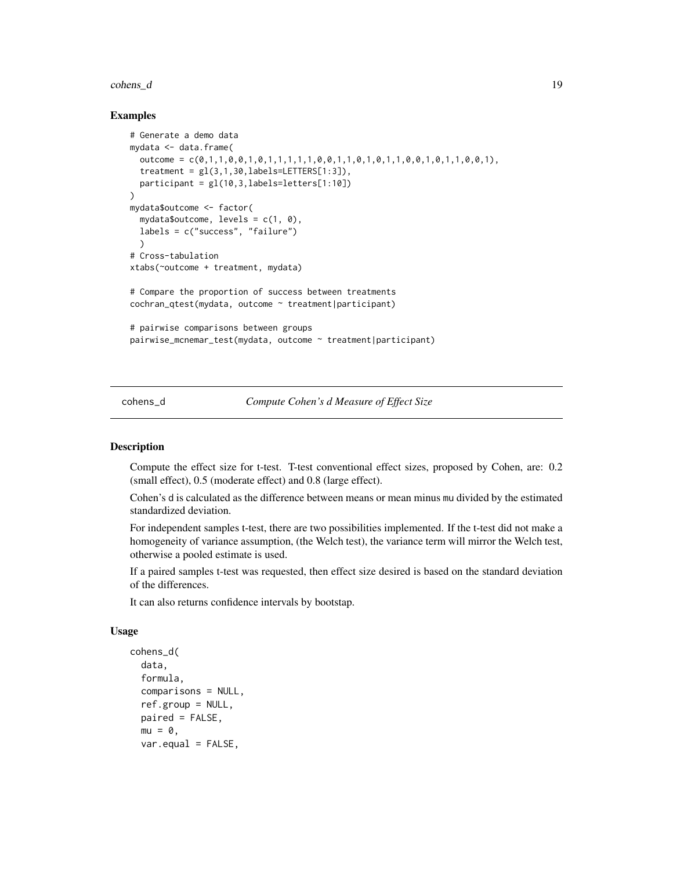#### <span id="page-18-0"></span>cohens\_d 19

#### Examples

```
# Generate a demo data
mydata <- data.frame(
  outcome = c(\emptyset, 1, 1, 0, 0, 1, 0, 1, 1, 1, 1, 1, 0, 0, 1, 1, 0, 1, 1, 0, 0, 1, 1, 0, 0, 1),treatment = gl(3,1,30, \text{labels}=\text{LETTERS}[1:3]),
  participant = gl(10,3,labels=letters[1:10])
\mathcal{L}mydata$outcome <- factor(
  mydata$outcome, levels = c(1, 0),
  labels = c("success", "failure")
  )
# Cross-tabulation
xtabs(~outcome + treatment, mydata)
# Compare the proportion of success between treatments
cochran_qtest(mydata, outcome ~ treatment|participant)
# pairwise comparisons between groups
pairwise_mcnemar_test(mydata, outcome ~ treatment|participant)
```
cohens\_d *Compute Cohen's d Measure of Effect Size*

## Description

Compute the effect size for t-test. T-test conventional effect sizes, proposed by Cohen, are: 0.2 (small effect), 0.5 (moderate effect) and 0.8 (large effect).

Cohen's d is calculated as the difference between means or mean minus mu divided by the estimated standardized deviation.

For independent samples t-test, there are two possibilities implemented. If the t-test did not make a homogeneity of variance assumption, (the Welch test), the variance term will mirror the Welch test, otherwise a pooled estimate is used.

If a paired samples t-test was requested, then effect size desired is based on the standard deviation of the differences.

It can also returns confidence intervals by bootstap.

#### Usage

```
cohens_d(
  data,
  formula,
  comparisons = NULL,
  ref.group = NULL,
 paired = FALSE,
 mu = 0,
  var.equals = FALSE,
```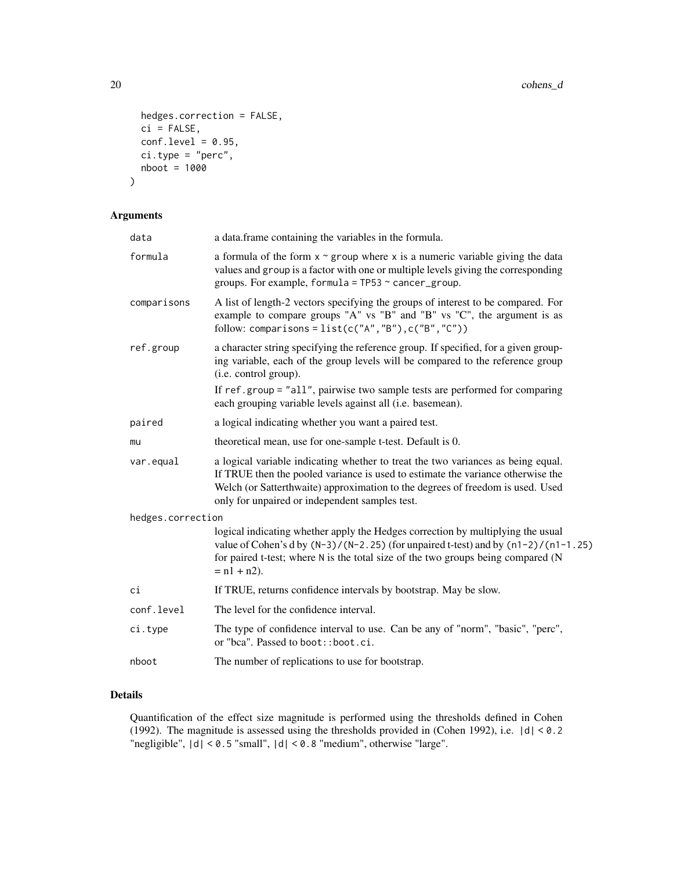```
hedges.correction = FALSE,
 ci = FALSE,conf. level = 0.95,ci.type = "perc",
 nboot = 1000
)
```
## Arguments

| a data.frame containing the variables in the formula.                                                                                                                                                                                                                                                                                       |
|---------------------------------------------------------------------------------------------------------------------------------------------------------------------------------------------------------------------------------------------------------------------------------------------------------------------------------------------|
| a formula of the form $x \sim g$ roup where x is a numeric variable giving the data<br>values and group is a factor with one or multiple levels giving the corresponding<br>groups. For example, formula = $TP53 \sim$ cancer_group.                                                                                                        |
| A list of length-2 vectors specifying the groups of interest to be compared. For<br>example to compare groups "A" vs "B" and "B" vs "C", the argument is as<br>follow: comparisons = $list(c("A", "B"), c("B", "C"))$                                                                                                                       |
| a character string specifying the reference group. If specified, for a given group-<br>ing variable, each of the group levels will be compared to the reference group<br>(i.e. control group).<br>If ref.group = "all", pairwise two sample tests are performed for comparing<br>each grouping variable levels against all (i.e. basemean). |
|                                                                                                                                                                                                                                                                                                                                             |
| a logical indicating whether you want a paired test.                                                                                                                                                                                                                                                                                        |
| theoretical mean, use for one-sample t-test. Default is 0.                                                                                                                                                                                                                                                                                  |
| a logical variable indicating whether to treat the two variances as being equal.<br>If TRUE then the pooled variance is used to estimate the variance otherwise the<br>Welch (or Satterthwaite) approximation to the degrees of freedom is used. Used<br>only for unpaired or independent samples test.                                     |
| hedges.correction                                                                                                                                                                                                                                                                                                                           |
| logical indicating whether apply the Hedges correction by multiplying the usual<br>value of Cohen's d by $(N-3)/(N-2.25)$ (for unpaired t-test) and by $(n1-2)/(n1-1.25)$<br>for paired t-test; where N is the total size of the two groups being compared (N<br>$= n1 + n2$ ).                                                             |
| If TRUE, returns confidence intervals by bootstrap. May be slow.                                                                                                                                                                                                                                                                            |
| The level for the confidence interval.                                                                                                                                                                                                                                                                                                      |
| The type of confidence interval to use. Can be any of "norm", "basic", "perc",<br>or "bca". Passed to boot:: boot.ci.                                                                                                                                                                                                                       |
| The number of replications to use for bootstrap.                                                                                                                                                                                                                                                                                            |
|                                                                                                                                                                                                                                                                                                                                             |

## Details

Quantification of the effect size magnitude is performed using the thresholds defined in Cohen (1992). The magnitude is assessed using the thresholds provided in (Cohen 1992), i.e. |d| < 0.2 "negligible", |d| < 0.5 "small", |d| < 0.8 "medium", otherwise "large".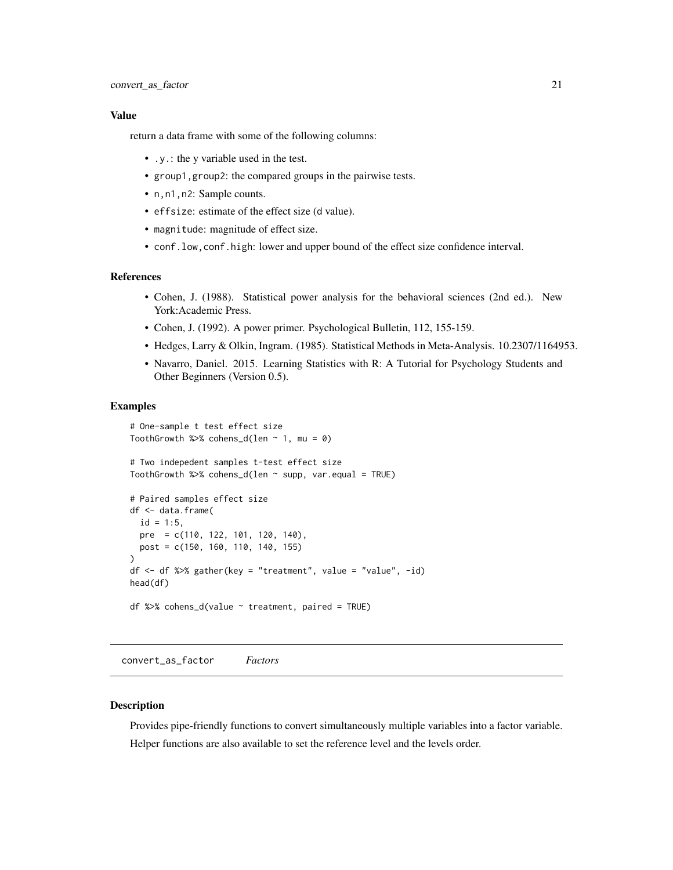#### <span id="page-20-0"></span>Value

return a data frame with some of the following columns:

- .y.: the y variable used in the test.
- group1,group2: the compared groups in the pairwise tests.
- n,n1,n2: Sample counts.
- effsize: estimate of the effect size (d value).
- magnitude: magnitude of effect size.
- conf.low,conf.high: lower and upper bound of the effect size confidence interval.

#### References

- Cohen, J. (1988). Statistical power analysis for the behavioral sciences (2nd ed.). New York:Academic Press.
- Cohen, J. (1992). A power primer. Psychological Bulletin, 112, 155-159.
- Hedges, Larry & Olkin, Ingram. (1985). Statistical Methods in Meta-Analysis. 10.2307/1164953.
- Navarro, Daniel. 2015. Learning Statistics with R: A Tutorial for Psychology Students and Other Beginners (Version 0.5).

#### Examples

```
# One-sample t test effect size
ToothGrowth %>% cohens_d(len \sim 1, mu = 0)
# Two indepedent samples t-test effect size
ToothGrowth %>% cohens_d(len \sim supp, var.equal = TRUE)
# Paired samples effect size
df <- data.frame(
  id = 1:5.
 pre = c(110, 122, 101, 120, 140),
 post = c(150, 160, 110, 140, 155)
\lambdadf \leq df %>% gather(key = "treatment", value = "value", -id)
head(df)
df %>% cohens_d(value \sim treatment, paired = TRUE)
```
convert\_as\_factor *Factors*

#### **Description**

Provides pipe-friendly functions to convert simultaneously multiple variables into a factor variable. Helper functions are also available to set the reference level and the levels order.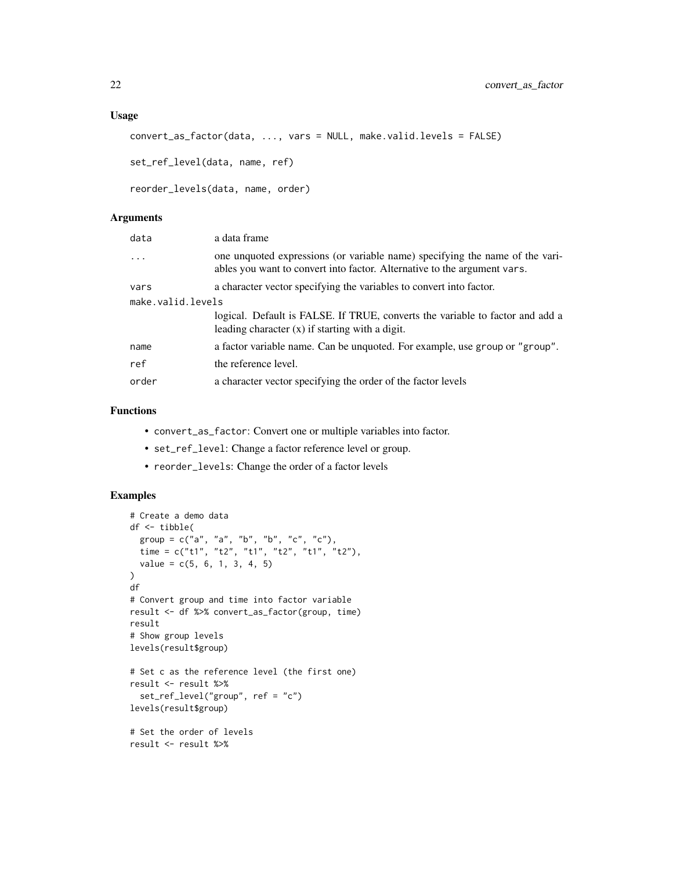## Usage

```
convert_as_factor(data, ..., vars = NULL, make.valid.levels = FALSE)
```
set\_ref\_level(data, name, ref)

```
reorder_levels(data, name, order)
```
## Arguments

| data              | a data frame                                                                                                                                             |
|-------------------|----------------------------------------------------------------------------------------------------------------------------------------------------------|
| $\ddots$          | one unquoted expressions (or variable name) specifying the name of the vari-<br>ables you want to convert into factor. Alternative to the argument vars. |
| vars              | a character vector specifying the variables to convert into factor.                                                                                      |
| make.valid.levels |                                                                                                                                                          |
|                   | logical. Default is FALSE. If TRUE, converts the variable to factor and add a<br>leading character $(x)$ if starting with a digit.                       |
| name              | a factor variable name. Can be unquoted. For example, use group or "group".                                                                              |
| ref               | the reference level.                                                                                                                                     |
| order             | a character vector specifying the order of the factor levels                                                                                             |

## Functions

- convert\_as\_factor: Convert one or multiple variables into factor.
- set\_ref\_level: Change a factor reference level or group.
- reorder\_levels: Change the order of a factor levels

```
# Create a demo data
df <- tibble(
  group = c("a", "a", "b", "b", "c", "c"),
  time = c("t1", "t2", "t1", "t2", "t1", "t2"),
  value = c(5, 6, 1, 3, 4, 5))
df
# Convert group and time into factor variable
result <- df %>% convert_as_factor(group, time)
result
# Show group levels
levels(result$group)
# Set c as the reference level (the first one)
result <- result %>%
  set_ref_level("group", ref = "c")
levels(result$group)
# Set the order of levels
result <- result %>%
```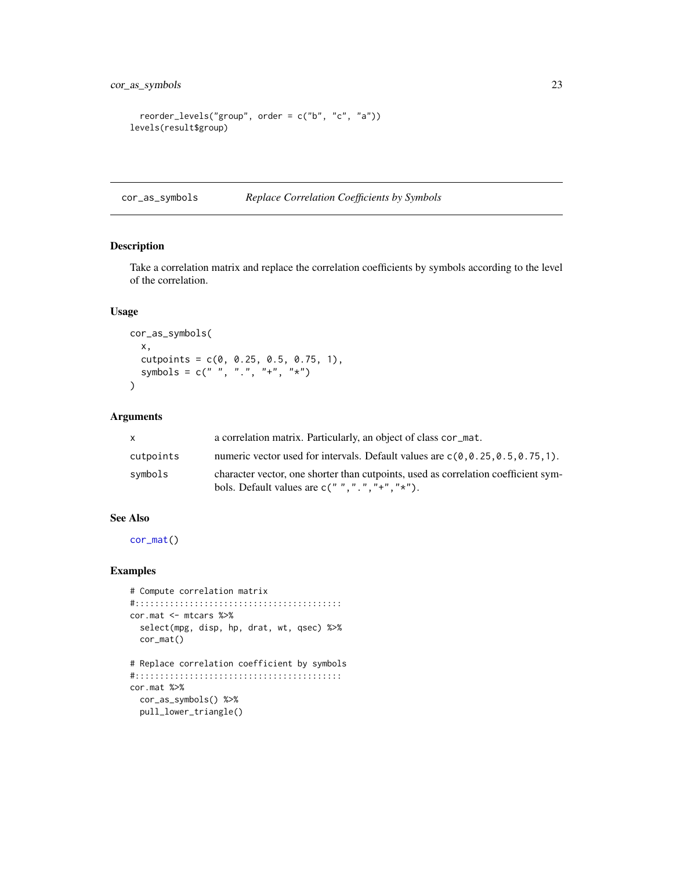```
reorder_levels("group", order = c("b", "c", "a"))
levels(result$group)
```
<span id="page-22-1"></span>cor\_as\_symbols *Replace Correlation Coefficients by Symbols*

#### Description

Take a correlation matrix and replace the correlation coefficients by symbols according to the level of the correlation.

## Usage

```
cor_as_symbols(
  x,
  cutpoints = c(0, 0.25, 0.5, 0.75, 1),
  symbols = c(" " , " . " , " + " , " *")\mathcal{L}
```
## Arguments

| $\mathsf{x}$ | a correlation matrix. Particularly, an object of class cor_mat.                                                                         |
|--------------|-----------------------------------------------------------------------------------------------------------------------------------------|
| cutpoints    | numeric vector used for intervals. Default values are $c(0, 0.25, 0.5, 0.75, 1)$ .                                                      |
| symbols      | character vector, one shorter than cutpoints, used as correlation coefficient sym-<br>bols. Default values are $c("", "," " +", " *").$ |

## See Also

[cor\\_mat\(](#page-25-1))

```
# Compute correlation matrix
#::::::::::::::::::::::::::::::::::::::::::
cor.mat <- mtcars %>%
 select(mpg, disp, hp, drat, wt, qsec) %>%
 cor_mat()
# Replace correlation coefficient by symbols
#::::::::::::::::::::::::::::::::::::::::::
cor.mat %>%
  cor_as_symbols() %>%
  pull_lower_triangle()
```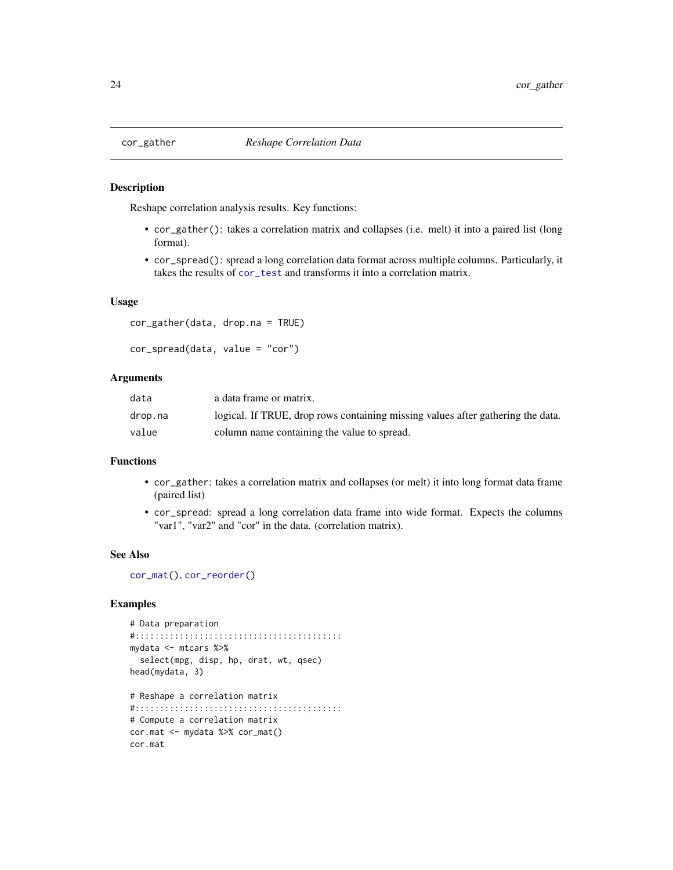#### <span id="page-23-2"></span>Description

Reshape correlation analysis results. Key functions:

- cor\_gather(): takes a correlation matrix and collapses (i.e. melt) it into a paired list (long format).
- cor\_spread(): spread a long correlation data format across multiple columns. Particularly, it takes the results of [cor\\_test](#page-31-1) and transforms it into a correlation matrix.

## Usage

```
cor_gather(data, drop.na = TRUE)
```

```
cor_spread(data, value = "cor")
```
## Arguments

| data    | a data frame or matrix.                                                         |
|---------|---------------------------------------------------------------------------------|
| drop.na | logical. If TRUE, drop rows containing missing values after gathering the data. |
| value   | column name containing the value to spread.                                     |

#### Functions

- cor\_gather: takes a correlation matrix and collapses (or melt) it into long format data frame (paired list)
- cor\_spread: spread a long correlation data frame into wide format. Expects the columns "var1", "var2" and "cor" in the data. (correlation matrix).

#### See Also

[cor\\_mat\(](#page-25-1)), [cor\\_reorder\(](#page-29-1))

```
# Data preparation
#::::::::::::::::::::::::::::::::::::::::::
mydata <- mtcars %>%
  select(mpg, disp, hp, drat, wt, qsec)
head(mydata, 3)
# Reshape a correlation matrix
#::::::::::::::::::::::::::::::::::::::::::
# Compute a correlation matrix
cor.mat <- mydata %>% cor_mat()
cor.mat
```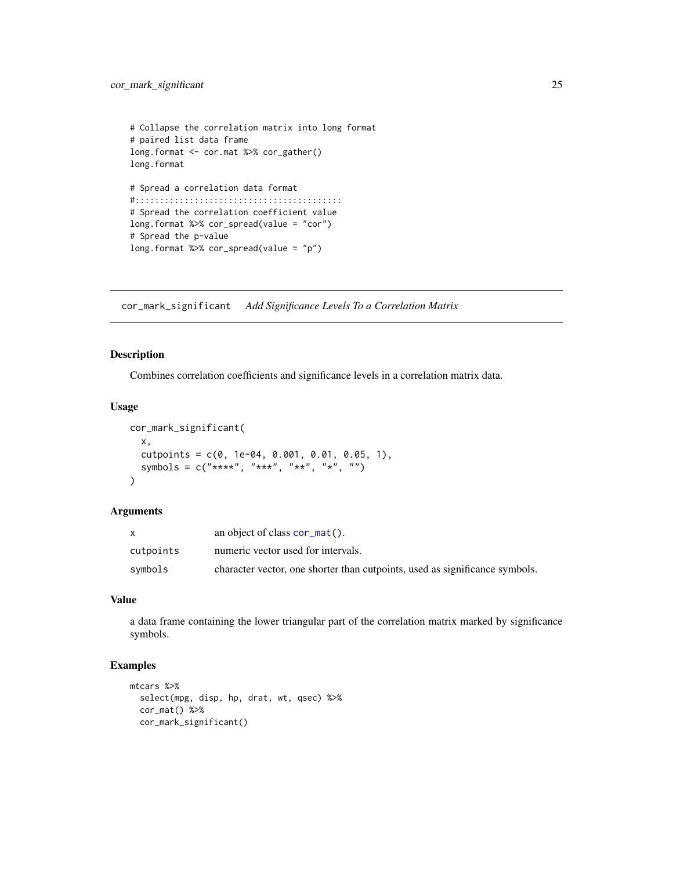```
# Collapse the correlation matrix into long format
# paired list data frame
long.format <- cor.mat %>% cor_gather()
long.format
# Spread a correlation data format
#::::::::::::::::::::::::::::::::::::::::::
# Spread the correlation coefficient value
long.format %>% cor_spread(value = "cor")
# Spread the p-value
long.format %>% cor_spread(value = "p")
```
cor\_mark\_significant *Add Significance Levels To a Correlation Matrix*

#### Description

Combines correlation coefficients and significance levels in a correlation matrix data.

#### Usage

```
cor_mark_significant(
  x,
  cutpoints = c(0, 1e-04, 0.001, 0.01, 0.05, 1),
  symbols = c("***", "***", "**", "**", "")\mathcal{L}
```
#### Arguments

|           | an object of class $cor_matrix()$ .                                         |
|-----------|-----------------------------------------------------------------------------|
| cutpoints | numeric vector used for intervals.                                          |
| symbols   | character vector, one shorter than cutpoints, used as significance symbols. |

#### Value

a data frame containing the lower triangular part of the correlation matrix marked by significance symbols.

```
mtcars %>%
  select(mpg, disp, hp, drat, wt, qsec) %>%
  cor_mat() %>%
  cor_mark_significant()
```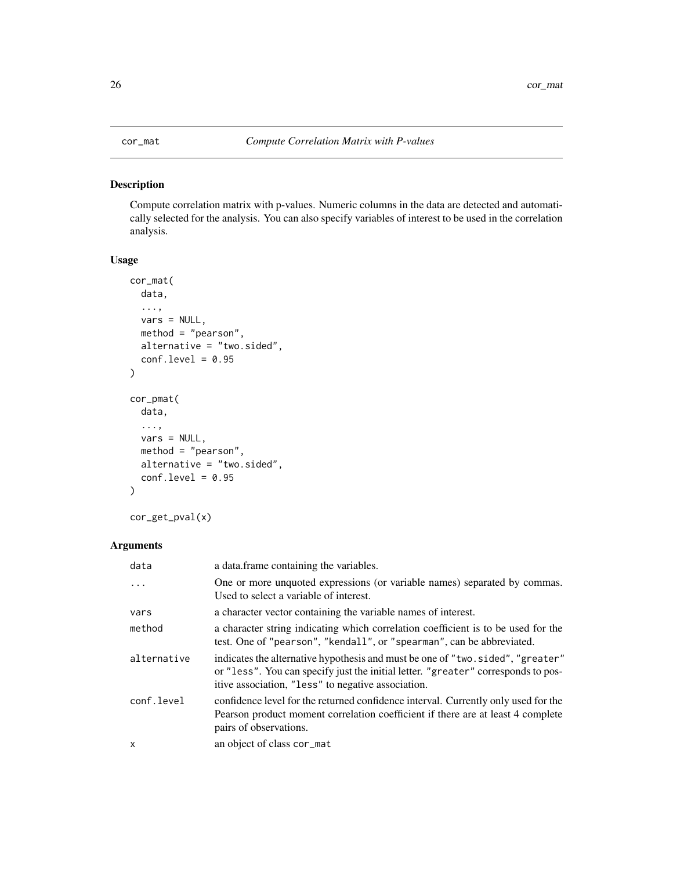## <span id="page-25-1"></span><span id="page-25-0"></span>Description

Compute correlation matrix with p-values. Numeric columns in the data are detected and automatically selected for the analysis. You can also specify variables of interest to be used in the correlation analysis.

## Usage

```
cor_mat(
  data,
  ...,
 vars = NULL,
 method = "pearson",
 alternative = "two.sided",
  conf. level = 0.95)
cor_pmat(
  data,
  ...,
 vars = NULL,method = "pearson",
  alternative = "two.sided",
  conf. level = 0.95)
```

```
cor_get_pval(x)
```
## Arguments

| data        | a data. frame containing the variables.                                                                                                                                                                                   |
|-------------|---------------------------------------------------------------------------------------------------------------------------------------------------------------------------------------------------------------------------|
| $\ddots$    | One or more unquoted expressions (or variable names) separated by commas.<br>Used to select a variable of interest.                                                                                                       |
| vars        | a character vector containing the variable names of interest.                                                                                                                                                             |
| method      | a character string indicating which correlation coefficient is to be used for the<br>test. One of "pearson", "kendall", or "spearman", can be abbreviated.                                                                |
| alternative | indicates the alternative hypothesis and must be one of "two.sided", "greater"<br>or "less". You can specify just the initial letter. "greater" corresponds to pos-<br>itive association, "less" to negative association. |
| conf.level  | confidence level for the returned confidence interval. Currently only used for the<br>Pearson product moment correlation coefficient if there are at least 4 complete<br>pairs of observations.                           |
| X           | an object of class cor_mat                                                                                                                                                                                                |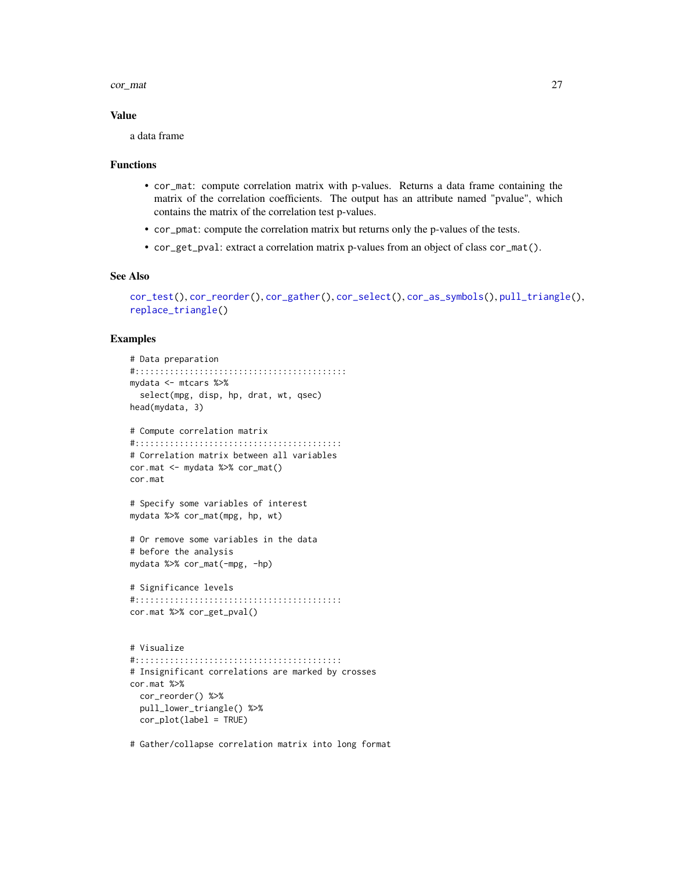#### cor\_mat 27

#### Value

a data frame

#### Functions

- cor\_mat: compute correlation matrix with p-values. Returns a data frame containing the matrix of the correlation coefficients. The output has an attribute named "pvalue", which contains the matrix of the correlation test p-values.
- cor\_pmat: compute the correlation matrix but returns only the p-values of the tests.
- cor\_get\_pval: extract a correlation matrix p-values from an object of class cor\_mat().

#### See Also

```
cor_test(), cor_reorder(), cor_gather(), cor_select(), cor_as_symbols(), pull_triangle(),
replace_triangle()
```
#### Examples

```
# Data preparation
#:::::::::::::::::::::::::::::::::::::::::::
mydata <- mtcars %>%
  select(mpg, disp, hp, drat, wt, qsec)
head(mydata, 3)
# Compute correlation matrix
#::::::::::::::::::::::::::::::::::::::::::
# Correlation matrix between all variables
cor.mat <- mydata %>% cor_mat()
cor.mat
# Specify some variables of interest
mydata %>% cor_mat(mpg, hp, wt)
# Or remove some variables in the data
# before the analysis
mydata %>% cor_mat(-mpg, -hp)
# Significance levels
#::::::::::::::::::::::::::::::::::::::::::
cor.mat %>% cor_get_pval()
# Visualize
#::::::::::::::::::::::::::::::::::::::::::
# Insignificant correlations are marked by crosses
cor.mat %>%
  cor_reorder() %>%
  pull_lower_triangle() %>%
```
cor\_plot(label = TRUE)

# Gather/collapse correlation matrix into long format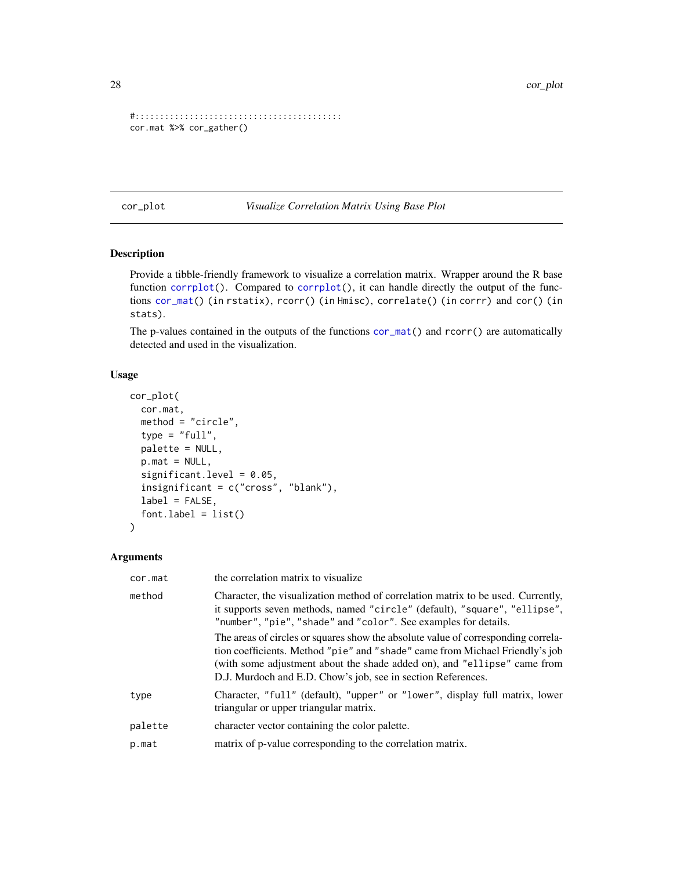```
#::::::::::::::::::::::::::::::::::::::::::
cor.mat %>% cor_gather()
```
cor\_plot *Visualize Correlation Matrix Using Base Plot*

## Description

Provide a tibble-friendly framework to visualize a correlation matrix. Wrapper around the R base function [corrplot\(](#page-0-0)). Compared to corrplot(), it can handle directly the output of the functions [cor\\_mat\(](#page-25-1)) (in rstatix), rcorr() (in Hmisc), correlate() (in corrr) and cor() (in stats).

The p-values contained in the outputs of the functions  $cor\_mat()$  and  $rcorr()$  are automatically detected and used in the visualization.

## Usage

```
cor_plot(
  cor.mat,
 method = "circle",
  type = "full",palette = NULL,
 p.mat = NULL,
  significant.level = 0.05,
  insignificant = c("cross", "blank"),
  label = FALSE,font-label = list()\lambda
```
## Arguments

| cor.mat | the correlation matrix to visualize                                                                                                                                                                                                                                                                           |
|---------|---------------------------------------------------------------------------------------------------------------------------------------------------------------------------------------------------------------------------------------------------------------------------------------------------------------|
| method  | Character, the visualization method of correlation matrix to be used. Currently,<br>it supports seven methods, named "circle" (default), "square", "ellipse",<br>"number", "pie", "shade" and "color". See examples for details.                                                                              |
|         | The areas of circles or squares show the absolute value of corresponding correla-<br>tion coefficients. Method "pie" and "shade" came from Michael Friendly's job<br>(with some adjustment about the shade added on), and "ellipse" came from<br>D.J. Murdoch and E.D. Chow's job, see in section References. |
| type    | Character, "full" (default), "upper" or "lower", display full matrix, lower<br>triangular or upper triangular matrix.                                                                                                                                                                                         |
| palette | character vector containing the color palette.                                                                                                                                                                                                                                                                |
| p.mat   | matrix of p-value corresponding to the correlation matrix.                                                                                                                                                                                                                                                    |

<span id="page-27-0"></span>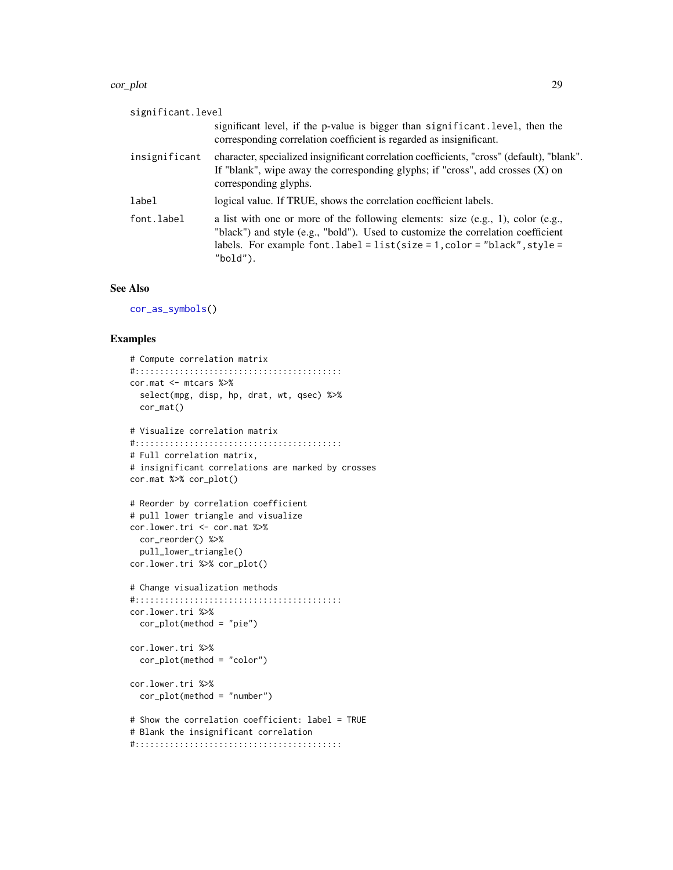#### cor\_plot 29

| significant.level |                                                                                                                                                                                                                                                                           |
|-------------------|---------------------------------------------------------------------------------------------------------------------------------------------------------------------------------------------------------------------------------------------------------------------------|
|                   | significant level, if the p-value is bigger than significant. level, then the<br>corresponding correlation coefficient is regarded as insignificant.                                                                                                                      |
| insignificant     | character, specialized insignificant correlation coefficients, "cross" (default), "blank".<br>If "blank", wipe away the corresponding glyphs; if "cross", add crosses $(X)$ on<br>corresponding glyphs.                                                                   |
| label             | logical value. If TRUE, shows the correlation coefficient labels.                                                                                                                                                                                                         |
| font.label        | a list with one or more of the following elements: size $(e.g., 1)$ , color $(e.g., )$<br>"black") and style (e.g., "bold"). Used to customize the correlation coefficient<br>labels. For example font. $label = list(size = 1, color = "black", style =$<br>" $bold$ "). |

## See Also

[cor\\_as\\_symbols\(](#page-22-1))

```
# Compute correlation matrix
#::::::::::::::::::::::::::::::::::::::::::
cor.mat <- mtcars %>%
  select(mpg, disp, hp, drat, wt, qsec) %>%
 cor_mat()
# Visualize correlation matrix
#::::::::::::::::::::::::::::::::::::::::::
# Full correlation matrix,
# insignificant correlations are marked by crosses
cor.mat %>% cor_plot()
# Reorder by correlation coefficient
# pull lower triangle and visualize
cor.lower.tri <- cor.mat %>%
  cor_reorder() %>%
  pull_lower_triangle()
cor.lower.tri %>% cor_plot()
# Change visualization methods
#::::::::::::::::::::::::::::::::::::::::::
cor.lower.tri %>%
  cor_plot(method = "pie")
cor.lower.tri %>%
  cor_plot(method = "color")
cor.lower.tri %>%
  cor_plot(method = "number")
# Show the correlation coefficient: label = TRUE
# Blank the insignificant correlation
```

```
#::::::::::::::::::::::::::::::::::::::::::
```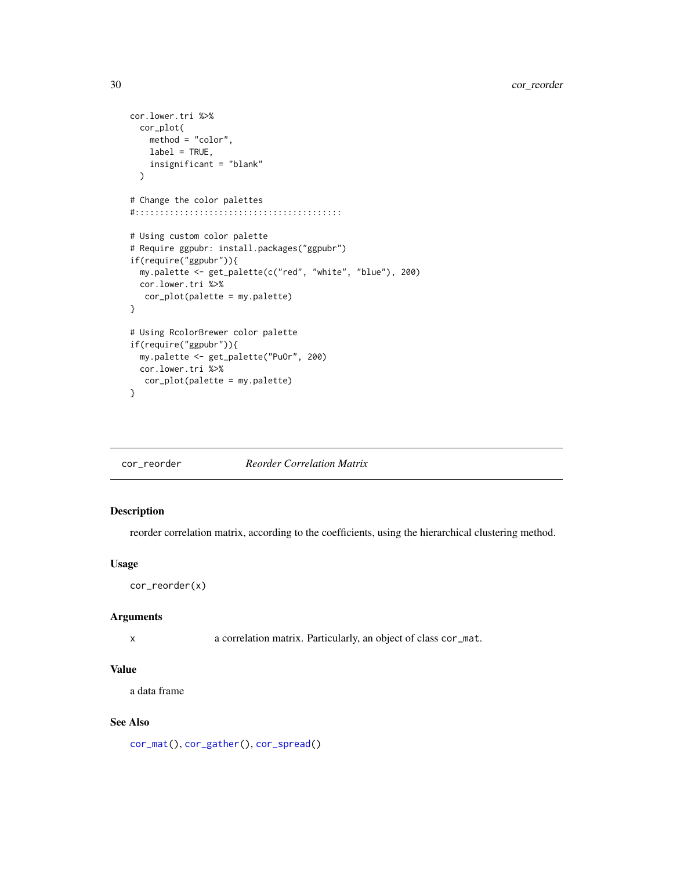```
cor.lower.tri %>%
 cor_plot(
   method = "color",
   label = TRUE,insignificant = "blank"
 \mathcal{L}# Change the color palettes
#::::::::::::::::::::::::::::::::::::::::::
# Using custom color palette
# Require ggpubr: install.packages("ggpubr")
if(require("ggpubr")){
 my.palette <- get_palette(c("red", "white", "blue"), 200)
 cor.lower.tri %>%
  cor_plot(palette = my.palette)
}
# Using RcolorBrewer color palette
if(require("ggpubr")){
 my.palette <- get_palette("PuOr", 200)
 cor.lower.tri %>%
  cor_plot(palette = my.palette)
}
```
<span id="page-29-1"></span>cor\_reorder *Reorder Correlation Matrix*

## Description

reorder correlation matrix, according to the coefficients, using the hierarchical clustering method.

## Usage

```
cor_reorder(x)
```
#### Arguments

x a correlation matrix. Particularly, an object of class cor\_mat.

#### Value

a data frame

#### See Also

[cor\\_mat\(](#page-25-1)), [cor\\_gather\(](#page-23-1)), [cor\\_spread\(](#page-23-2))

<span id="page-29-0"></span>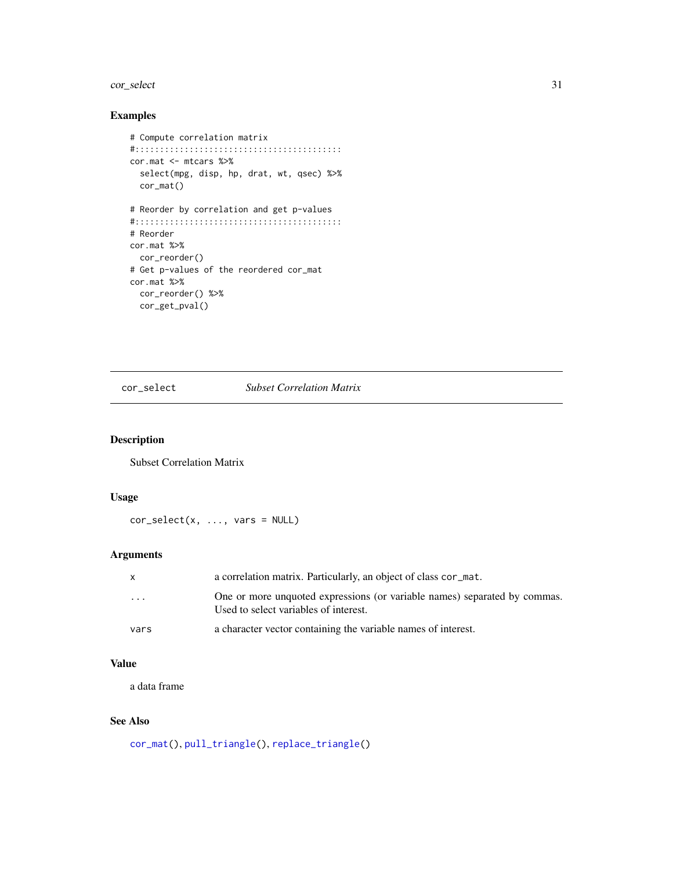#### <span id="page-30-0"></span>cor\_select 31

## Examples

```
# Compute correlation matrix
#::::::::::::::::::::::::::::::::::::::::::
cor.mat <- mtcars %>%
  select(mpg, disp, hp, drat, wt, qsec) %>%
  cor_mat()
# Reorder by correlation and get p-values
#::::::::::::::::::::::::::::::::::::::::::
# Reorder
cor.mat %>%
 cor_reorder()
# Get p-values of the reordered cor_mat
cor.mat %>%
  cor_reorder() %>%
  cor_get_pval()
```
## <span id="page-30-1"></span>cor\_select *Subset Correlation Matrix*

## Description

Subset Correlation Matrix

## Usage

cor\_select(x, ..., vars = NULL)

## Arguments

| $\mathsf{x}$ | a correlation matrix. Particularly, an object of class cor_mat.                                                    |
|--------------|--------------------------------------------------------------------------------------------------------------------|
| $\cdot$      | One or more unquoted expressions (or variable names) separated by commas.<br>Used to select variables of interest. |
| vars         | a character vector containing the variable names of interest.                                                      |

## Value

a data frame

## See Also

```
cor_mat(), pull_triangle(), replace_triangle()
```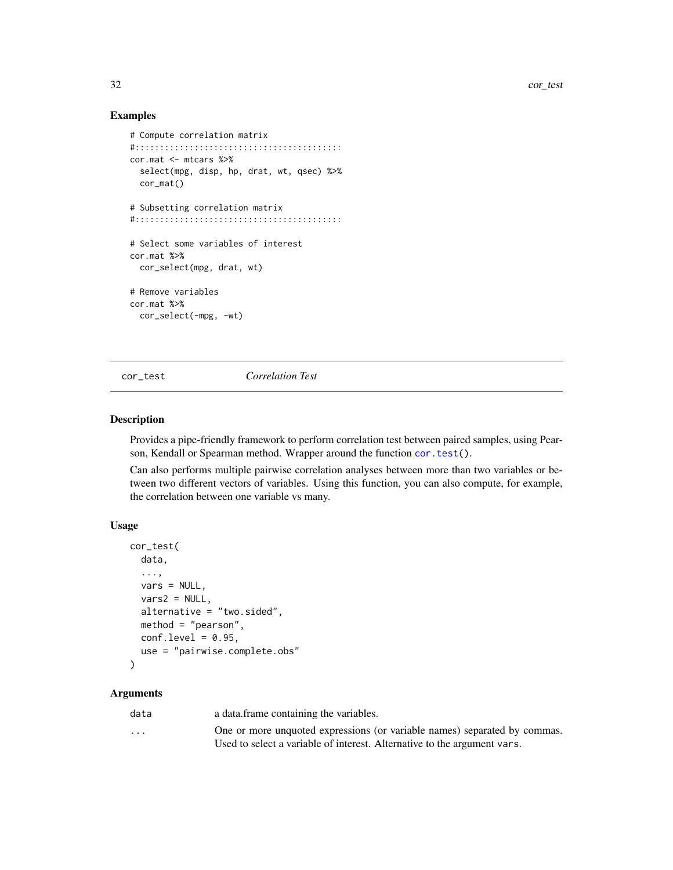## Examples

```
# Compute correlation matrix
#::::::::::::::::::::::::::::::::::::::::::
cor.mat <- mtcars %>%
  select(mpg, disp, hp, drat, wt, qsec) %>%
  cor_mat()
# Subsetting correlation matrix
#::::::::::::::::::::::::::::::::::::::::::
# Select some variables of interest
cor.mat %>%
  cor_select(mpg, drat, wt)
# Remove variables
cor.mat %>%
  cor_select(-mpg, -wt)
```
<span id="page-31-1"></span>cor\_test *Correlation Test*

#### Description

Provides a pipe-friendly framework to perform correlation test between paired samples, using Pearson, Kendall or Spearman method. Wrapper around the function [cor.test\(](#page-0-0)).

Can also performs multiple pairwise correlation analyses between more than two variables or between two different vectors of variables. Using this function, you can also compute, for example, the correlation between one variable vs many.

## Usage

```
cor_test(
  data,
  ...,
  vars = NULL,
  vars2 = NULL,
  alternative = "two.sided",
 method = "pearson",
  conf. level = 0.95,use = "pairwise.complete.obs"
\lambda
```
#### Arguments

| data                    | a data.frame containing the variables.                                    |
|-------------------------|---------------------------------------------------------------------------|
| $\cdot$ $\cdot$ $\cdot$ | One or more unquoted expressions (or variable names) separated by commas. |
|                         | Used to select a variable of interest. Alternative to the argument vars.  |

<span id="page-31-0"></span>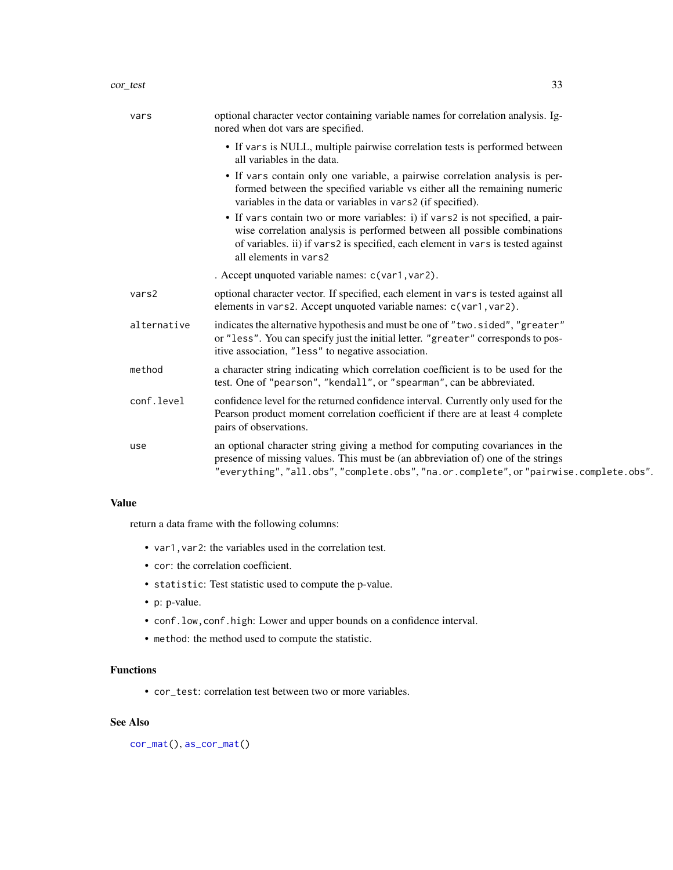| vars        | optional character vector containing variable names for correlation analysis. Ig-<br>nored when dot vars are specified.                                                                                                                                                |
|-------------|------------------------------------------------------------------------------------------------------------------------------------------------------------------------------------------------------------------------------------------------------------------------|
|             | • If vars is NULL, multiple pairwise correlation tests is performed between<br>all variables in the data.                                                                                                                                                              |
|             | • If vars contain only one variable, a pairwise correlation analysis is per-<br>formed between the specified variable vs either all the remaining numeric<br>variables in the data or variables in vars2 (if specified).                                               |
|             | • If vars contain two or more variables: i) if vars2 is not specified, a pair-<br>wise correlation analysis is performed between all possible combinations<br>of variables. ii) if vars2 is specified, each element in vars is tested against<br>all elements in vars2 |
|             | . Accept unquoted variable names: c(var1, var2).                                                                                                                                                                                                                       |
| vars2       | optional character vector. If specified, each element in vars is tested against all<br>elements in vars2. Accept unquoted variable names: c(var1, var2).                                                                                                               |
| alternative | indicates the alternative hypothesis and must be one of "two.sided", "greater"<br>or "less". You can specify just the initial letter. "greater" corresponds to pos-<br>itive association, "less" to negative association.                                              |
| method      | a character string indicating which correlation coefficient is to be used for the<br>test. One of "pearson", "kendall", or "spearman", can be abbreviated.                                                                                                             |
| conf.level  | confidence level for the returned confidence interval. Currently only used for the<br>Pearson product moment correlation coefficient if there are at least 4 complete<br>pairs of observations.                                                                        |
| use         | an optional character string giving a method for computing covariances in the<br>presence of missing values. This must be (an abbreviation of) one of the strings<br>"everything", "all.obs", "complete.obs", "na.or.complete", or "pairwise.complete.obs".            |

## Value

return a data frame with the following columns:

- var1,var2: the variables used in the correlation test.
- cor: the correlation coefficient.
- statistic: Test statistic used to compute the p-value.
- p: p-value.
- conf.low,conf.high: Lower and upper bounds on a confidence interval.
- method: the method used to compute the statistic.

## Functions

• cor\_test: correlation test between two or more variables.

## See Also

[cor\\_mat\(](#page-25-1)), [as\\_cor\\_mat\(](#page-10-1))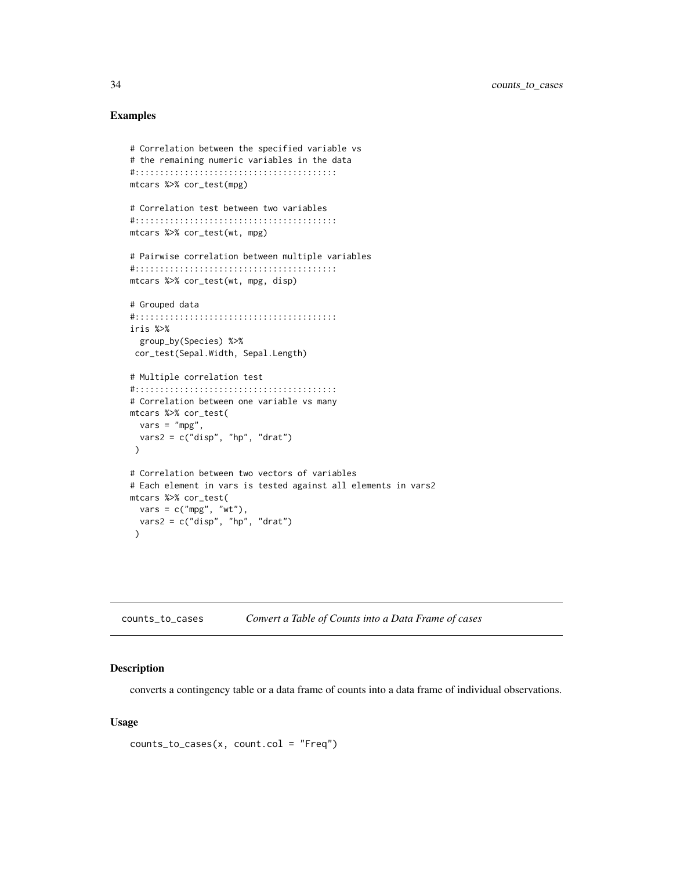## <span id="page-33-0"></span>Examples

```
# Correlation between the specified variable vs
# the remaining numeric variables in the data
#:::::::::::::::::::::::::::::::::::::::::
mtcars %>% cor_test(mpg)
# Correlation test between two variables
#:::::::::::::::::::::::::::::::::::::::::
mtcars %>% cor_test(wt, mpg)
# Pairwise correlation between multiple variables
#:::::::::::::::::::::::::::::::::::::::::
mtcars %>% cor_test(wt, mpg, disp)
# Grouped data
#:::::::::::::::::::::::::::::::::::::::::
iris %>%
  group_by(Species) %>%
 cor_test(Sepal.Width, Sepal.Length)
# Multiple correlation test
#:::::::::::::::::::::::::::::::::::::::::
# Correlation between one variable vs many
mtcars %>% cor_test(
 vars = "mpg",vars2 = c("disp", "hp", "drat"))
# Correlation between two vectors of variables
# Each element in vars is tested against all elements in vars2
mtcars %>% cor_test(
  vars = c("mpg", "wt"),
 vars2 = c("disp", "hp", "drat"))
```
counts\_to\_cases *Convert a Table of Counts into a Data Frame of cases*

#### Description

converts a contingency table or a data frame of counts into a data frame of individual observations.

#### Usage

```
counts_to_cases(x, count.col = "Freq")
```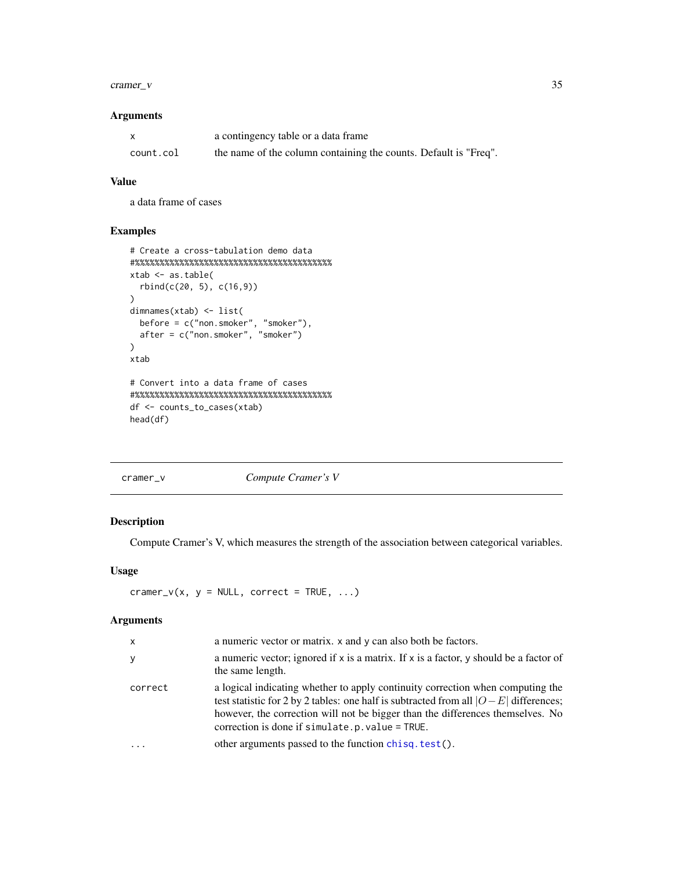#### <span id="page-34-0"></span> $cramer_v$  35

## Arguments

|           | a contingency table or a data frame                              |
|-----------|------------------------------------------------------------------|
| count.col | the name of the column containing the counts. Default is "Freq". |

## Value

a data frame of cases

## Examples

```
# Create a cross-tabulation demo data
#%%%%%%%%%%%%%%%%%%%%%%%%%%%%%%%%%%%%%%%%
xtab \leftarrow as.table(rbind(c(20, 5), c(16,9))
)
dimnames(xtab) <- list(
  before = c("non.smoker", "smoker"),
  after = c("non.smoker", "smoker")
\mathcal{L}xtab
# Convert into a data frame of cases
#%%%%%%%%%%%%%%%%%%%%%%%%%%%%%%%%%%%%%%%%
df <- counts_to_cases(xtab)
head(df)
```
#### cramer\_v *Compute Cramer's V*

## Description

Compute Cramer's V, which measures the strength of the association between categorical variables.

#### Usage

```
cramer_v(x, y = NULL, correct = TRUE, ...)
```
#### Arguments

| $\mathsf{x}$ | a numeric vector or matrix. x and y can also both be factors.                                                                                                                                                                                                                                                    |
|--------------|------------------------------------------------------------------------------------------------------------------------------------------------------------------------------------------------------------------------------------------------------------------------------------------------------------------|
| У            | a numeric vector; ignored if $x$ is a matrix. If $x$ is a factor, y should be a factor of<br>the same length.                                                                                                                                                                                                    |
| correct      | a logical indicating whether to apply continuity correction when computing the<br>test statistic for 2 by 2 tables: one half is subtracted from all $ O-E $ differences;<br>however, the correction will not be bigger than the differences themselves. No<br>correction is done if simulate.p. $value = TRUE$ . |
|              | other arguments passed to the function chisq. test().                                                                                                                                                                                                                                                            |
|              |                                                                                                                                                                                                                                                                                                                  |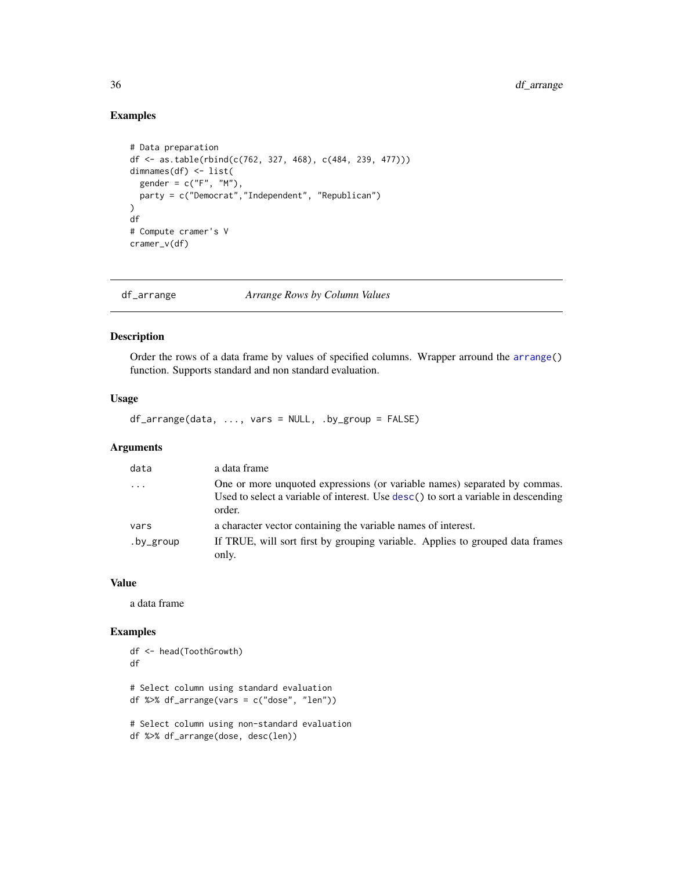## Examples

```
# Data preparation
df <- as.table(rbind(c(762, 327, 468), c(484, 239, 477)))
dimnames(df) <- list(
  gender = c("F", "M"),
 party = c("Democrat","Independent", "Republican")
)
df
# Compute cramer's V
cramer_v(df)
```
df\_arrange *Arrange Rows by Column Values*

## Description

Order the rows of a data frame by values of specified columns. Wrapper arround the [arrange\(](#page-0-0)) function. Supports standard and non standard evaluation.

## Usage

df\_arrange(data, ..., vars = NULL, .by\_group = FALSE)

## Arguments

| data                    | a data frame                                                                                                                                                              |
|-------------------------|---------------------------------------------------------------------------------------------------------------------------------------------------------------------------|
| $\cdot$ $\cdot$ $\cdot$ | One or more unquoted expressions (or variable names) separated by commas.<br>Used to select a variable of interest. Use desc() to sort a variable in descending<br>order. |
| vars                    | a character vector containing the variable names of interest.                                                                                                             |
| .by_group               | If TRUE, will sort first by grouping variable. Applies to grouped data frames<br>only.                                                                                    |

#### Value

a data frame

```
df <- head(ToothGrowth)
df
# Select column using standard evaluation
df %>% df_arrange(vars = c("dose", "len"))
# Select column using non-standard evaluation
df %>% df_arrange(dose, desc(len))
```
<span id="page-35-0"></span>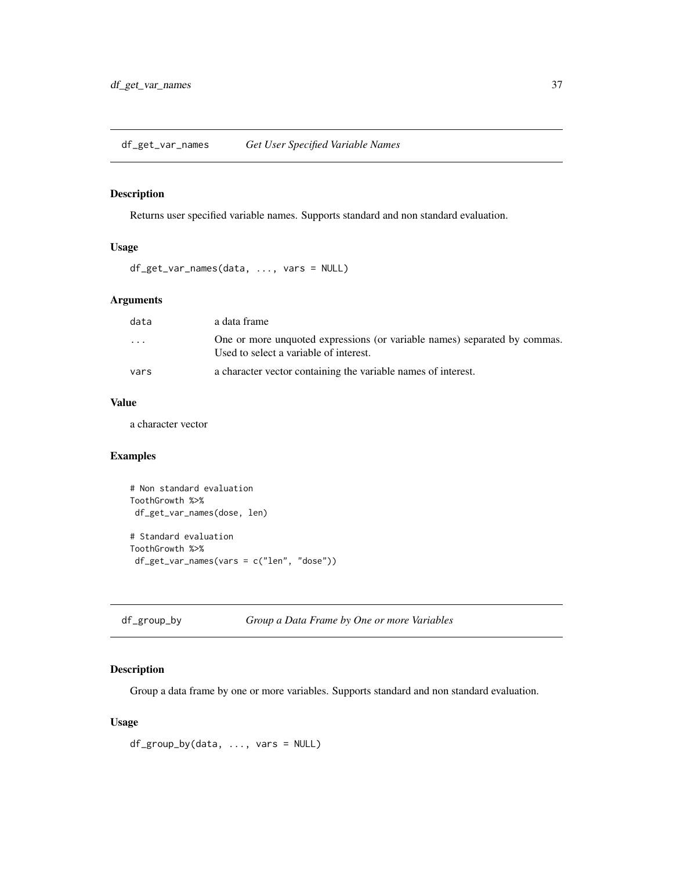df\_get\_var\_names *Get User Specified Variable Names*

#### Description

Returns user specified variable names. Supports standard and non standard evaluation.

## Usage

```
df_get_var_names(data, ..., vars = NULL)
```
## Arguments

| data    | a data frame                                                                                                        |
|---------|---------------------------------------------------------------------------------------------------------------------|
| $\cdot$ | One or more unquoted expressions (or variable names) separated by commas.<br>Used to select a variable of interest. |
| vars    | a character vector containing the variable names of interest.                                                       |

## Value

a character vector

## Examples

```
# Non standard evaluation
ToothGrowth %>%
df_get_var_names(dose, len)
# Standard evaluation
ToothGrowth %>%
df_get_var_names(vars = c("len", "dose"))
```

| df_group_by | Group a Data Frame by One or more Variables |  |  |
|-------------|---------------------------------------------|--|--|
|-------------|---------------------------------------------|--|--|

## Description

Group a data frame by one or more variables. Supports standard and non standard evaluation.

## Usage

df\_group\_by(data, ..., vars = NULL)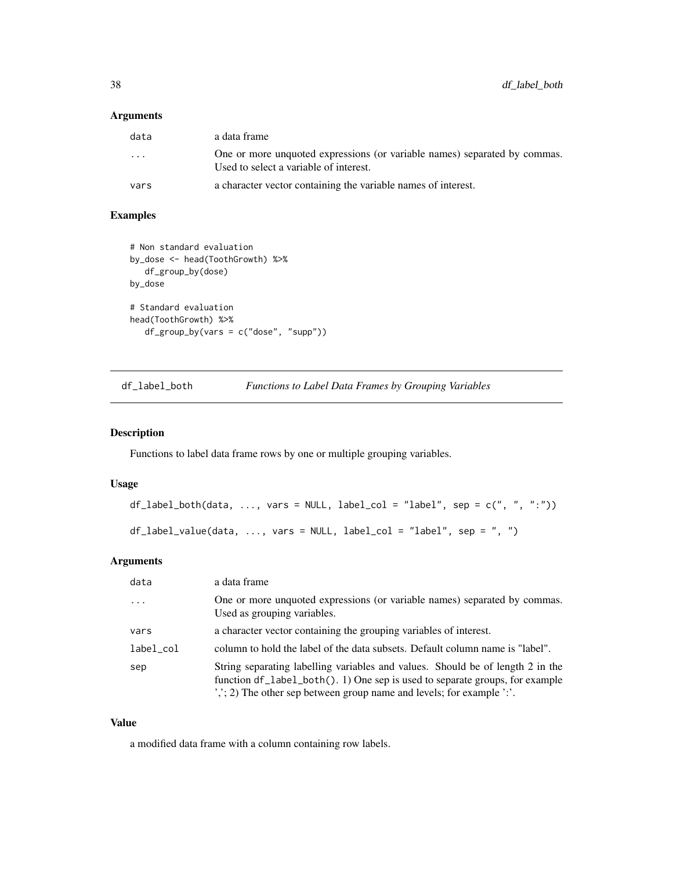## Arguments

| data | a data frame                                                                                                        |
|------|---------------------------------------------------------------------------------------------------------------------|
| .    | One or more unquoted expressions (or variable names) separated by commas.<br>Used to select a variable of interest. |
| vars | a character vector containing the variable names of interest.                                                       |

# Examples

```
# Non standard evaluation
by_dose <- head(ToothGrowth) %>%
   df_group_by(dose)
by_dose
# Standard evaluation
head(ToothGrowth) %>%
  df_group_by(vars = c("dose", "supp"))
```
<span id="page-37-0"></span>

| df_label_both | Functions to Label Data Frames by Grouping Variables |  |  |  |  |
|---------------|------------------------------------------------------|--|--|--|--|
|---------------|------------------------------------------------------|--|--|--|--|

## <span id="page-37-1"></span>Description

Functions to label data frame rows by one or multiple grouping variables.

## Usage

```
df_label_both(data, ..., vars = NULL, label_col = "label", sep = c(", ", ":"))df_label_value(data, ..., vars = NULL, label_col = "label", sep = ", ")
```
# Arguments

| data      | a data frame                                                                                                                                                                                                                                                                                    |
|-----------|-------------------------------------------------------------------------------------------------------------------------------------------------------------------------------------------------------------------------------------------------------------------------------------------------|
| $\cdot$   | One or more unquoted expressions (or variable names) separated by commas.<br>Used as grouping variables.                                                                                                                                                                                        |
| vars      | a character vector containing the grouping variables of interest.                                                                                                                                                                                                                               |
| label_col | column to hold the label of the data subsets. Default column name is "label".                                                                                                                                                                                                                   |
| sep       | String separating labelling variables and values. Should be of length 2 in the<br>function df_label_both(). 1) One sep is used to separate groups, for example<br>$\langle \cdot, \cdot \rangle$ ; 2) The other sep between group name and levels; for example $\langle \cdot, \cdot \rangle$ . |

## Value

a modified data frame with a column containing row labels.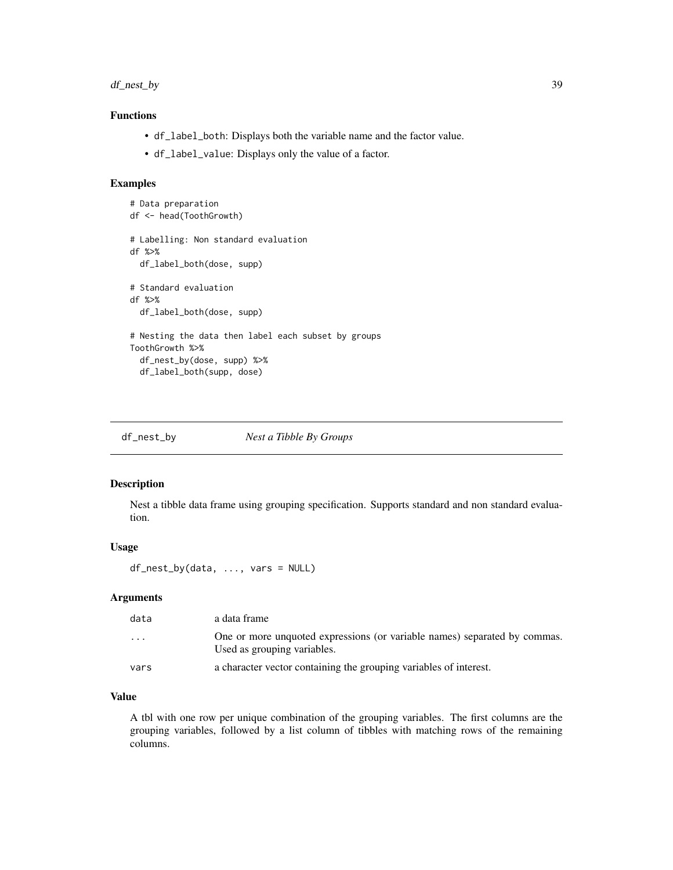```
df_nest_by 39
```
# Functions

- df\_label\_both: Displays both the variable name and the factor value.
- df\_label\_value: Displays only the value of a factor.

#### Examples

```
# Data preparation
df <- head(ToothGrowth)
# Labelling: Non standard evaluation
df %>%
  df_label_both(dose, supp)
# Standard evaluation
df %>%
  df_label_both(dose, supp)
# Nesting the data then label each subset by groups
ToothGrowth %>%
  df_nest_by(dose, supp) %>%
  df_label_both(supp, dose)
```
<span id="page-38-0"></span>df\_nest\_by *Nest a Tibble By Groups*

## Description

Nest a tibble data frame using grouping specification. Supports standard and non standard evaluation.

#### Usage

df\_nest\_by(data, ..., vars = NULL)

## Arguments

| data                    | a data frame                                                                                             |
|-------------------------|----------------------------------------------------------------------------------------------------------|
| $\cdot$ $\cdot$ $\cdot$ | One or more unquoted expressions (or variable names) separated by commas.<br>Used as grouping variables. |
| vars                    | a character vector containing the grouping variables of interest.                                        |

## Value

A tbl with one row per unique combination of the grouping variables. The first columns are the grouping variables, followed by a list column of tibbles with matching rows of the remaining columns.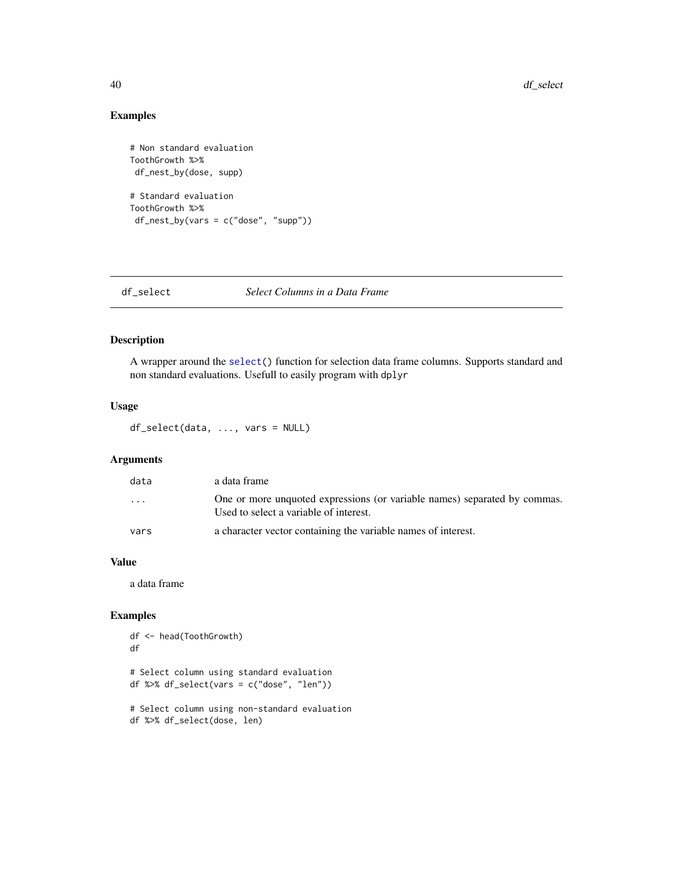# Examples

```
# Non standard evaluation
ToothGrowth %>%
df_nest_by(dose, supp)
# Standard evaluation
ToothGrowth %>%
df_nest_by(vars = c("dose", "supp"))
```
df\_select *Select Columns in a Data Frame*

## Description

A wrapper around the [select\(](#page-0-0)) function for selection data frame columns. Supports standard and non standard evaluations. Usefull to easily program with dplyr

## Usage

df\_select(data, ..., vars = NULL)

# Arguments

| data                    | a data frame                                                                                                        |
|-------------------------|---------------------------------------------------------------------------------------------------------------------|
| $\cdot$ $\cdot$ $\cdot$ | One or more unquoted expressions (or variable names) separated by commas.<br>Used to select a variable of interest. |
| vars                    | a character vector containing the variable names of interest.                                                       |

## Value

a data frame

```
df <- head(ToothGrowth)
df
# Select column using standard evaluation
df %>% df_select(vars = c("dose", "len"))
# Select column using non-standard evaluation
df %>% df_select(dose, len)
```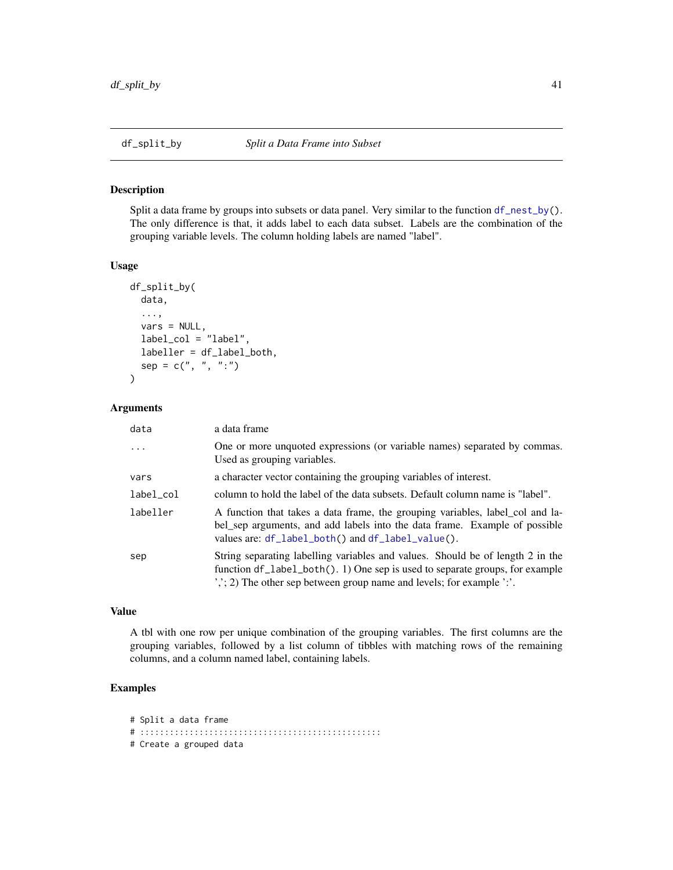## Description

Split a data frame by groups into subsets or data panel. Very similar to the function [df\\_nest\\_by\(](#page-38-0)). The only difference is that, it adds label to each data subset. Labels are the combination of the grouping variable levels. The column holding labels are named "label".

#### Usage

```
df_split_by(
  data,
  ...,
  vars = NULL,
  label_col = "label",
  labeller = df_label_both,
  sep = c(", ", ":"))
```
#### Arguments

| data      | a data frame                                                                                                                                                                                                                                                                                     |
|-----------|--------------------------------------------------------------------------------------------------------------------------------------------------------------------------------------------------------------------------------------------------------------------------------------------------|
| $\cdots$  | One or more unquoted expressions (or variable names) separated by commas.<br>Used as grouping variables.                                                                                                                                                                                         |
| vars      | a character vector containing the grouping variables of interest.                                                                                                                                                                                                                                |
| label_col | column to hold the label of the data subsets. Default column name is "label".                                                                                                                                                                                                                    |
| labeller  | A function that takes a data frame, the grouping variables, label_col and la-<br>bel_sep arguments, and add labels into the data frame. Example of possible<br>values are: df_label_both() and df_label_value().                                                                                 |
| sep       | String separating labelling variables and values. Should be of length 2 in the<br>function $df$ abel both(). 1) One sep is used to separate groups, for example<br>$\langle \cdot, \cdot \rangle$ ; 2) The other sep between group name and levels; for example $\langle \cdot, \cdot \rangle$ . |

#### Value

A tbl with one row per unique combination of the grouping variables. The first columns are the grouping variables, followed by a list column of tibbles with matching rows of the remaining columns, and a column named label, containing labels.

# Examples

# Split a data frame

```
# :::::::::::::::::::::::::::::::::::::::::::::::::
```

```
# Create a grouped data
```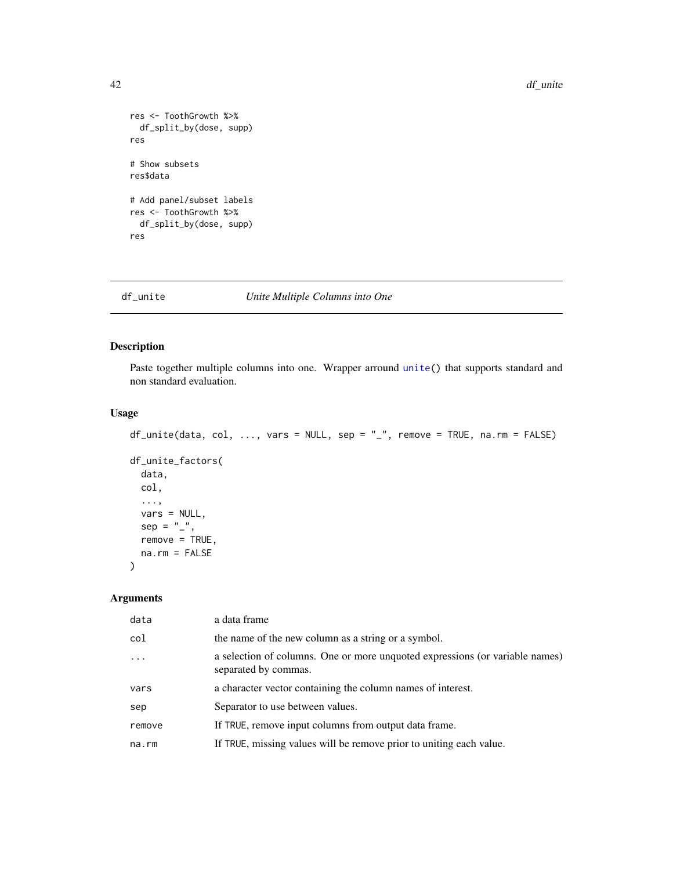```
res <- ToothGrowth %>%
  df_split_by(dose, supp)
res
# Show subsets
res$data
# Add panel/subset labels
res <- ToothGrowth %>%
  df_split_by(dose, supp)
res
```
#### df\_unite *Unite Multiple Columns into One*

## Description

Paste together multiple columns into one. Wrapper arround [unite\(](#page-0-0)) that supports standard and non standard evaluation.

## Usage

```
df\_unite(data, col, ..., vars = NULL, sep = "__", remove = TRUE, na.rm = FALSE)df_unite_factors(
  data,
  col,
  ...,
 vars = NULL,
  sep = "''_",remove = TRUE,
 na.rm = FALSE
)
```
# Arguments

| data   | a data frame                                                                                         |
|--------|------------------------------------------------------------------------------------------------------|
| col    | the name of the new column as a string or a symbol.                                                  |
|        | a selection of columns. One or more unquoted expressions (or variable names)<br>separated by commas. |
| vars   | a character vector containing the column names of interest.                                          |
| sep    | Separator to use between values.                                                                     |
| remove | If TRUE, remove input columns from output data frame.                                                |
| na.rm  | If TRUE, missing values will be remove prior to uniting each value.                                  |
|        |                                                                                                      |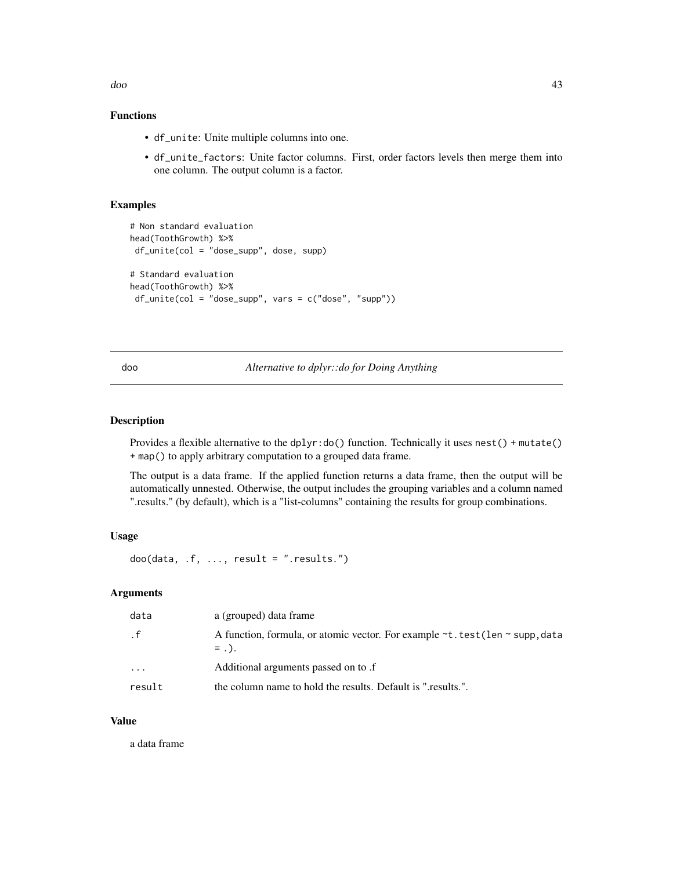doo 43

# Functions

- df\_unite: Unite multiple columns into one.
- df\_unite\_factors: Unite factor columns. First, order factors levels then merge them into one column. The output column is a factor.

## Examples

```
# Non standard evaluation
head(ToothGrowth) %>%
df_unite(col = "dose_supp", dose, supp)
# Standard evaluation
head(ToothGrowth) %>%
df\_unite(col = "dose\_supp", vars = c("dose", "supp"))
```
doo *Alternative to dplyr::do for Doing Anything*

#### Description

Provides a flexible alternative to the dplyr:do() function. Technically it uses nest() + mutate() + map() to apply arbitrary computation to a grouped data frame.

The output is a data frame. If the applied function returns a data frame, then the output will be automatically unnested. Otherwise, the output includes the grouping variables and a column named ".results." (by default), which is a "list-columns" containing the results for group combinations.

## Usage

```
doo(data, f, ..., result = "results.")
```
# Arguments

| data                    | a (grouped) data frame                                                                             |
|-------------------------|----------------------------------------------------------------------------------------------------|
| $\cdot$ f               | A function, formula, or atomic vector. For example $\sim t$ test (len $\sim$ supp, data<br>$=$ .). |
| $\cdot$ $\cdot$ $\cdot$ | Additional arguments passed on to .f                                                               |
| result                  | the column name to hold the results. Default is "results.".                                        |

#### Value

a data frame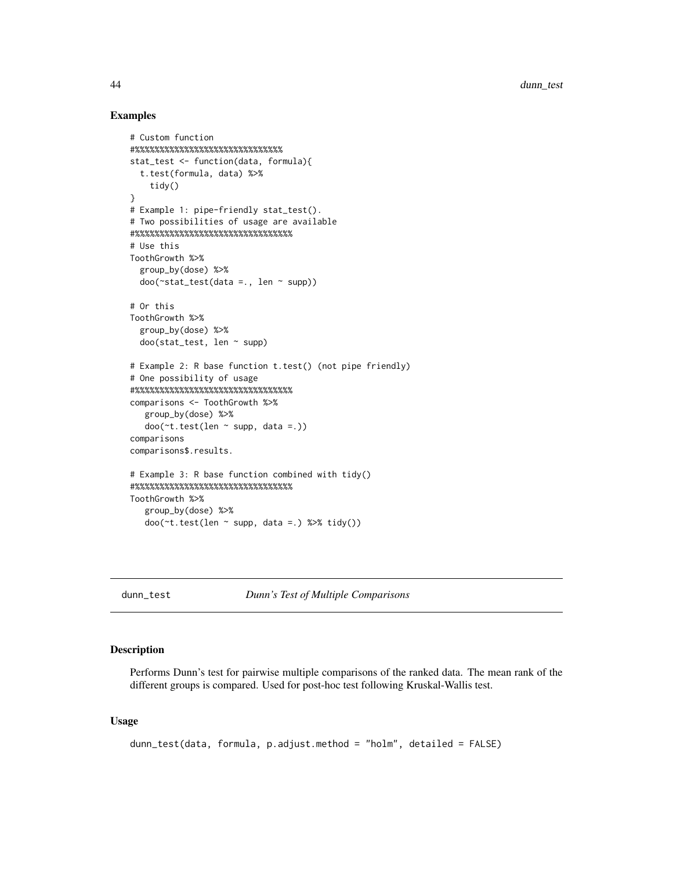#### Examples

```
# Custom function
\#%%%%%%%%%%%%%%%%%%%%%%%%%
stat_test <- function(data, formula){
  t.test(formula, data) %>%
    tidy()
}
# Example 1: pipe-friendly stat_test().
# Two possibilities of usage are available
#%%%%%%%%%%%%%%%%%%%%%%%%%%%%%%%%
# Use this
ToothGrowth %>%
  group_by(dose) %>%
  doo(~stat_test(data =., len ~ supp))
# Or this
ToothGrowth %>%
  group_by(dose) %>%
  doo(stat_test, len ~ supp)
# Example 2: R base function t.test() (not pipe friendly)
# One possibility of usage
#%%%%%%%%%%%%%%%%%%%%%%%%%%%%%%%%
comparisons <- ToothGrowth %>%
   group_by(dose) %>%
   doo(\texttt{t.test}(\text{len} \sim \text{supp}, \text{data} = .))comparisons
comparisons$.results.
# Example 3: R base function combined with tidy()
#%%%%%%%%%%%%%%%%%%%%%%%%%%%%%%%%
ToothGrowth %>%
   group_by(dose) %>%
   doo(~t.test(len ~ supp, data =.) %>% tidy())
```
<span id="page-43-0"></span>

dunn\_test *Dunn's Test of Multiple Comparisons*

#### Description

Performs Dunn's test for pairwise multiple comparisons of the ranked data. The mean rank of the different groups is compared. Used for post-hoc test following Kruskal-Wallis test.

#### Usage

```
dunn_test(data, formula, p.adjust.method = "holm", detailed = FALSE)
```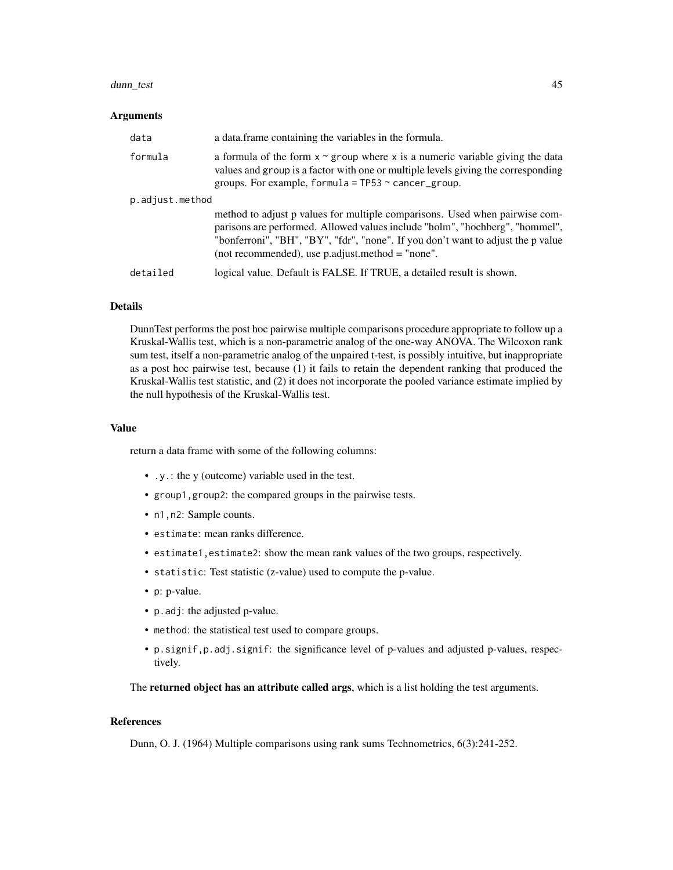#### dunn\_test 45

#### Arguments

| data            | a data frame containing the variables in the formula.                                                                                                                                                                                                                                               |
|-----------------|-----------------------------------------------------------------------------------------------------------------------------------------------------------------------------------------------------------------------------------------------------------------------------------------------------|
| formula         | a formula of the form $x \sim g$ roup where x is a numeric variable giving the data<br>values and group is a factor with one or multiple levels giving the corresponding<br>groups. For example, formula = $TP53 \sim$ cancer_group.                                                                |
| p.adjust.method |                                                                                                                                                                                                                                                                                                     |
|                 | method to adjust p values for multiple comparisons. Used when pairwise com-<br>parisons are performed. Allowed values include "holm", "hochberg", "hommel",<br>"bonferroni", "BH", "BY", "fdr", "none". If you don't want to adjust the p value<br>(not recommended), use p.adjust.method = "none". |
| detailed        | logical value. Default is FALSE. If TRUE, a detailed result is shown.                                                                                                                                                                                                                               |

#### Details

DunnTest performs the post hoc pairwise multiple comparisons procedure appropriate to follow up a Kruskal-Wallis test, which is a non-parametric analog of the one-way ANOVA. The Wilcoxon rank sum test, itself a non-parametric analog of the unpaired t-test, is possibly intuitive, but inappropriate as a post hoc pairwise test, because (1) it fails to retain the dependent ranking that produced the Kruskal-Wallis test statistic, and (2) it does not incorporate the pooled variance estimate implied by the null hypothesis of the Kruskal-Wallis test.

#### Value

return a data frame with some of the following columns:

- .y.: the y (outcome) variable used in the test.
- group1,group2: the compared groups in the pairwise tests.
- n1, n2: Sample counts.
- estimate: mean ranks difference.
- estimate1,estimate2: show the mean rank values of the two groups, respectively.
- statistic: Test statistic (z-value) used to compute the p-value.
- p: p-value.
- p.adj: the adjusted p-value.
- method: the statistical test used to compare groups.
- p.signif,p.adj.signif: the significance level of p-values and adjusted p-values, respectively.

The returned object has an attribute called args, which is a list holding the test arguments.

#### References

Dunn, O. J. (1964) Multiple comparisons using rank sums Technometrics, 6(3):241-252.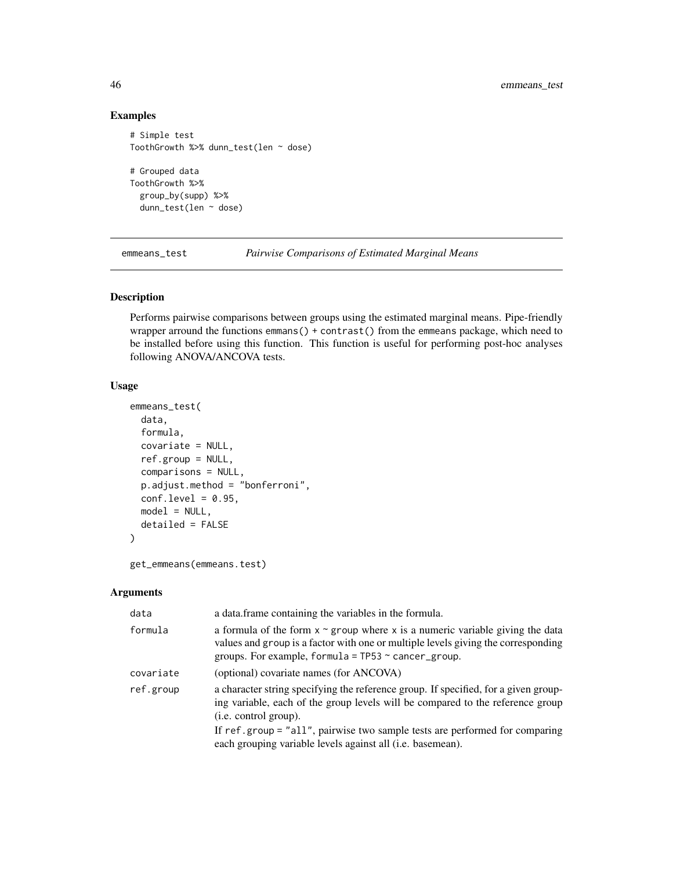# Examples

```
# Simple test
ToothGrowth %>% dunn_test(len ~ dose)
# Grouped data
ToothGrowth %>%
  group_by(supp) %>%
  dunn_test(len ~ dose)
```
emmeans\_test *Pairwise Comparisons of Estimated Marginal Means*

# Description

Performs pairwise comparisons between groups using the estimated marginal means. Pipe-friendly wrapper arround the functions emmans() + contrast() from the emmeans package, which need to be installed before using this function. This function is useful for performing post-hoc analyses following ANOVA/ANCOVA tests.

## Usage

```
emmeans_test(
  data,
  formula,
  covariate = NULL,
  ref.group = NULL,
  comparisons = NULL,
 p.adjust.method = "bonferroni",
  conf. level = 0.95,
 model = NULL,
  detailed = FALSE
\mathcal{L}
```

```
get_emmeans(emmeans.test)
```
## Arguments

| data      | a data.frame containing the variables in the formula.                                                                                                                                                                                                                         |
|-----------|-------------------------------------------------------------------------------------------------------------------------------------------------------------------------------------------------------------------------------------------------------------------------------|
| formula   | a formula of the form $x \sim g$ roup where x is a numeric variable giving the data<br>values and group is a factor with one or multiple levels giving the corresponding<br>groups. For example, formula = $TP53 \sim$ cancer_group.                                          |
| covariate | (optional) covariate names (for ANCOVA)                                                                                                                                                                                                                                       |
| ref.group | a character string specifying the reference group. If specified, for a given group-<br>ing variable, each of the group levels will be compared to the reference group<br>(i.e. control group).<br>If ref.group = "all", pairwise two sample tests are performed for comparing |
|           | each grouping variable levels against all (i.e. basemean).                                                                                                                                                                                                                    |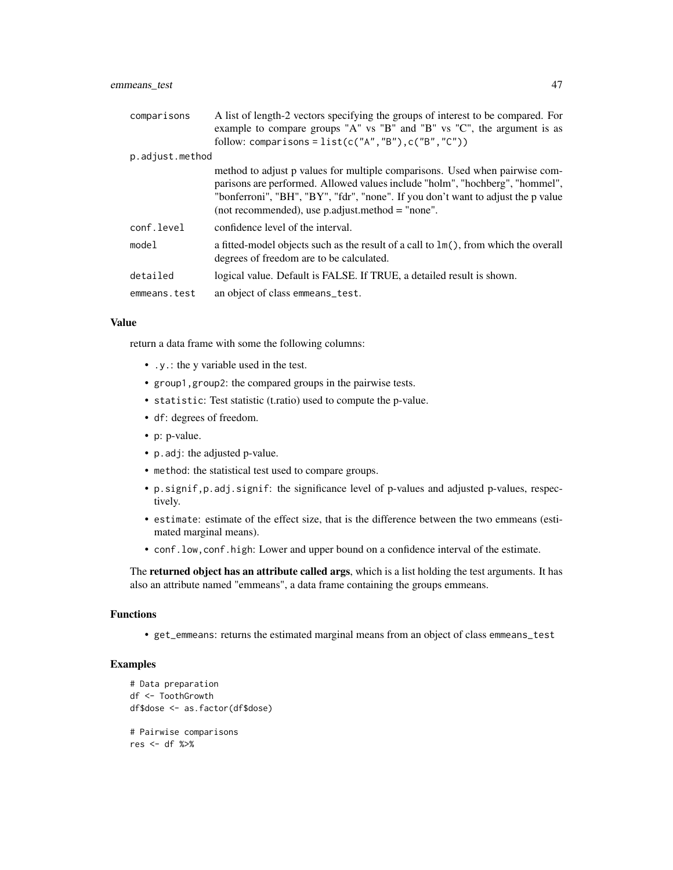## emmeans\_test 47

| comparisons     | A list of length-2 vectors specifying the groups of interest to be compared. For<br>example to compare groups "A" vs "B" and "B" vs "C", the argument is as                                                                                                                                           |
|-----------------|-------------------------------------------------------------------------------------------------------------------------------------------------------------------------------------------------------------------------------------------------------------------------------------------------------|
|                 | follow: comparisons = $list(c("A", "B"), c("B", "C"))$                                                                                                                                                                                                                                                |
| p.adjust.method |                                                                                                                                                                                                                                                                                                       |
|                 | method to adjust p values for multiple comparisons. Used when pairwise com-<br>parisons are performed. Allowed values include "holm", "hochberg", "hommel",<br>"bonferroni", "BH", "BY", "fdr", "none". If you don't want to adjust the p value<br>(not recommended), use $p$ adjust method = "none". |
| conf.level      | confidence level of the interval.                                                                                                                                                                                                                                                                     |
| model           | a fitted-model objects such as the result of a call to $\text{Im}()$ , from which the overall<br>degrees of freedom are to be calculated.                                                                                                                                                             |
| detailed        | logical value. Default is FALSE. If TRUE, a detailed result is shown.                                                                                                                                                                                                                                 |
| emmeans.test    | an object of class emmeans_test.                                                                                                                                                                                                                                                                      |

#### Value

return a data frame with some the following columns:

- .y.: the y variable used in the test.
- group1,group2: the compared groups in the pairwise tests.
- statistic: Test statistic (t.ratio) used to compute the p-value.
- df: degrees of freedom.
- p: p-value.
- p.adj: the adjusted p-value.
- method: the statistical test used to compare groups.
- p.signif,p.adj.signif: the significance level of p-values and adjusted p-values, respectively.
- estimate: estimate of the effect size, that is the difference between the two emmeans (estimated marginal means).
- conf.low,conf.high: Lower and upper bound on a confidence interval of the estimate.

The **returned object has an attribute called args**, which is a list holding the test arguments. It has also an attribute named "emmeans", a data frame containing the groups emmeans.

## Functions

• get\_emmeans: returns the estimated marginal means from an object of class emmeans\_test

```
# Data preparation
df <- ToothGrowth
df$dose <- as.factor(df$dose)
# Pairwise comparisons
res <- df %>%
```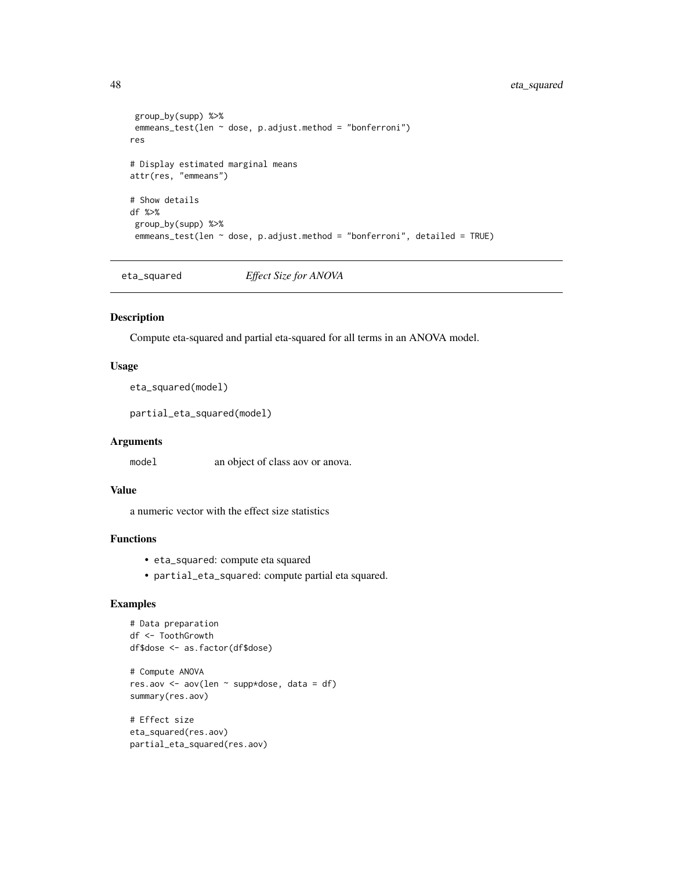```
group_by(supp) %>%
 emmeans_test(len ~ dose, p.adjust.method = "bonferroni")
res
# Display estimated marginal means
attr(res, "emmeans")
# Show details
df %>%
 group_by(supp) %>%
 emmeans_test(len ~ dose, p.adjust.method = "bonferroni", detailed = TRUE)
```
eta\_squared *Effect Size for ANOVA*

#### Description

Compute eta-squared and partial eta-squared for all terms in an ANOVA model.

## Usage

eta\_squared(model)

partial\_eta\_squared(model)

## Arguments

model an object of class aov or anova.

#### Value

a numeric vector with the effect size statistics

## Functions

- eta\_squared: compute eta squared
- partial\_eta\_squared: compute partial eta squared.

```
# Data preparation
df <- ToothGrowth
df$dose <- as.factor(df$dose)
# Compute ANOVA
res.aov <- aov(len ~ supp*dose, data = df)
summary(res.aov)
```

```
# Effect size
eta_squared(res.aov)
partial_eta_squared(res.aov)
```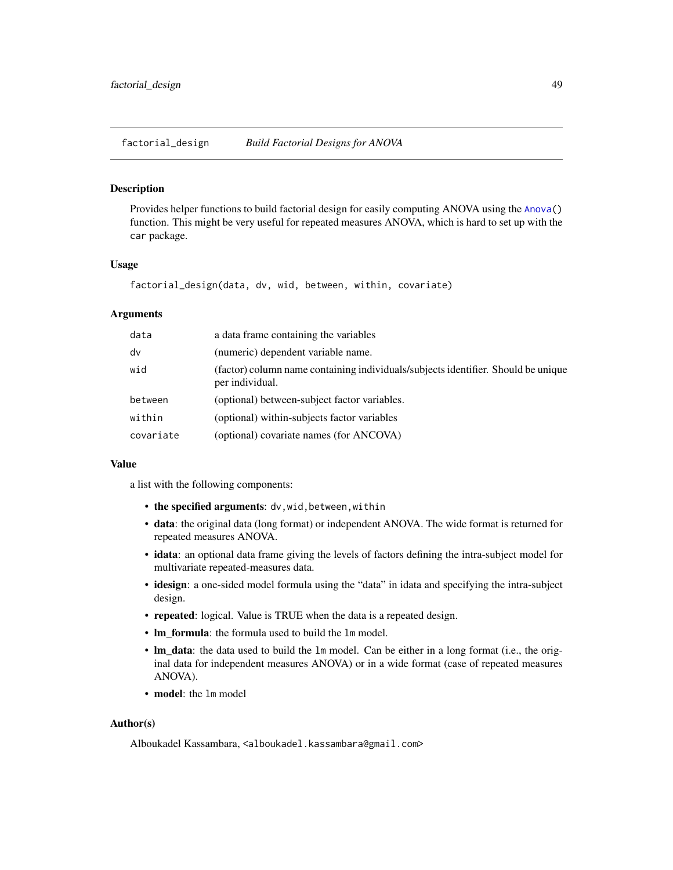factorial\_design *Build Factorial Designs for ANOVA*

#### **Description**

Provides helper functions to build factorial design for easily computing ANOVA using the [Anova\(](#page-0-0)) function. This might be very useful for repeated measures ANOVA, which is hard to set up with the car package.

#### Usage

factorial\_design(data, dv, wid, between, within, covariate)

## Arguments

| data      | a data frame containing the variables                                                                |  |
|-----------|------------------------------------------------------------------------------------------------------|--|
| dv        | (numeric) dependent variable name.                                                                   |  |
| wid       | (factor) column name containing individuals/subjects identifier. Should be unique<br>per individual. |  |
| between   | (optional) between-subject factor variables.                                                         |  |
| within    | (optional) within-subjects factor variables                                                          |  |
| covariate | (optional) covariate names (for ANCOVA)                                                              |  |

#### Value

a list with the following components:

- the specified arguments: dv, wid, between, within
- data: the original data (long format) or independent ANOVA. The wide format is returned for repeated measures ANOVA.
- idata: an optional data frame giving the levels of factors defining the intra-subject model for multivariate repeated-measures data.
- idesign: a one-sided model formula using the "data" in idata and specifying the intra-subject design.
- repeated: logical. Value is TRUE when the data is a repeated design.
- lm\_formula: the formula used to build the lm model.
- lm\_data: the data used to build the lm model. Can be either in a long format (i.e., the original data for independent measures ANOVA) or in a wide format (case of repeated measures ANOVA).
- model: the 1m model

#### Author(s)

Alboukadel Kassambara, <alboukadel.kassambara@gmail.com>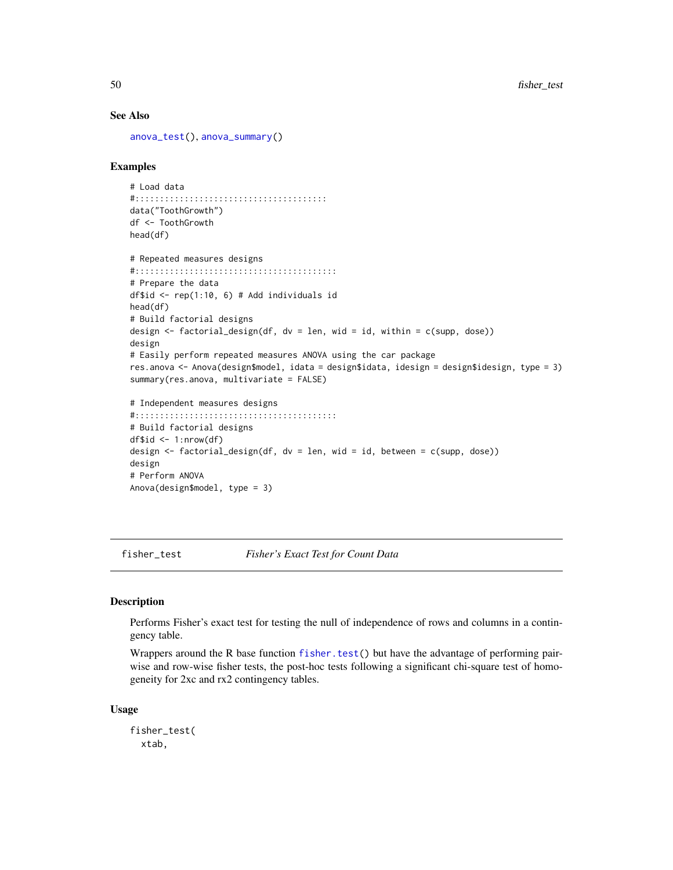#### See Also

[anova\\_test\(](#page-6-0)), [anova\\_summary\(](#page-4-0))

#### Examples

```
# Load data
#:::::::::::::::::::::::::::::::::::::::
data("ToothGrowth")
df <- ToothGrowth
head(df)
```

```
# Repeated measures designs
#:::::::::::::::::::::::::::::::::::::::::
# Prepare the data
df$id \le rep(1:10, 6) # Add individuals id
head(df)
# Build factorial designs
design <- factorial_design(df, dv = len, wid = id, within = c(supp, dose))
design
# Easily perform repeated measures ANOVA using the car package
res.anova <- Anova(design$model, idata = design$idata, idesign = design$idesign, type = 3)
summary(res.anova, multivariate = FALSE)
# Independent measures designs
#:::::::::::::::::::::::::::::::::::::::::
# Build factorial designs
df$id < -1:nrow(df)design <- factorial_design(df, dv = len, wid = id, between = c(supp, dose))
design
```

```
# Perform ANOVA
Anova(design$model, type = 3)
```
fisher\_test *Fisher's Exact Test for Count Data*

#### Description

Performs Fisher's exact test for testing the null of independence of rows and columns in a contingency table.

Wrappers around the R base function [fisher.test\(](#page-0-0)) but have the advantage of performing pairwise and row-wise fisher tests, the post-hoc tests following a significant chi-square test of homogeneity for 2xc and rx2 contingency tables.

#### Usage

```
fisher_test(
 xtab,
```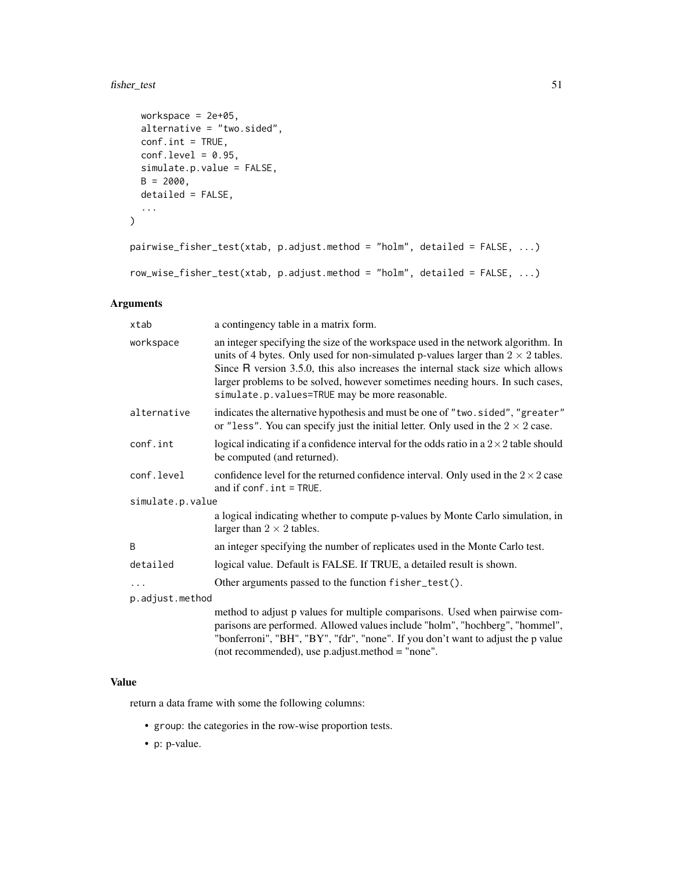# fisher\_test 51

```
workspace = 2e+05,
 alternative = "two.sided",
 conf.int = TRUE,
 conf. level = 0.95,simulate.p.value = FALSE,
 B = 2000,detailed = FALSE,
  ...
)
```

```
pairwise_fisher_test(xtab, p.adjust.method = "holm", detailed = FALSE, ...)
```

```
row_wise_fisher_test(xtab, p.adjust.method = "holm", detailed = FALSE, ...)
```
## Arguments

| xtab             | a contingency table in a matrix form.                                                                                                                                                                                                                                                                                                                                                              |  |
|------------------|----------------------------------------------------------------------------------------------------------------------------------------------------------------------------------------------------------------------------------------------------------------------------------------------------------------------------------------------------------------------------------------------------|--|
| workspace        | an integer specifying the size of the workspace used in the network algorithm. In<br>units of 4 bytes. Only used for non-simulated p-values larger than $2 \times 2$ tables.<br>Since R version 3.5.0, this also increases the internal stack size which allows<br>larger problems to be solved, however sometimes needing hours. In such cases,<br>simulate.p.values=TRUE may be more reasonable. |  |
| alternative      | indicates the alternative hypothesis and must be one of "two.sided", "greater"<br>or "less". You can specify just the initial letter. Only used in the $2 \times 2$ case.                                                                                                                                                                                                                          |  |
| conf.int         | logical indicating if a confidence interval for the odds ratio in a $2 \times 2$ table should<br>be computed (and returned).                                                                                                                                                                                                                                                                       |  |
| conf.level       | confidence level for the returned confidence interval. Only used in the $2 \times 2$ case<br>and if $conf$ , $int = TRUE$ .                                                                                                                                                                                                                                                                        |  |
| simulate.p.value |                                                                                                                                                                                                                                                                                                                                                                                                    |  |
|                  | a logical indicating whether to compute p-values by Monte Carlo simulation, in<br>larger than $2 \times 2$ tables.                                                                                                                                                                                                                                                                                 |  |
| B                | an integer specifying the number of replicates used in the Monte Carlo test.                                                                                                                                                                                                                                                                                                                       |  |
| detailed         | logical value. Default is FALSE. If TRUE, a detailed result is shown.                                                                                                                                                                                                                                                                                                                              |  |
| .                | Other arguments passed to the function fisher_test().                                                                                                                                                                                                                                                                                                                                              |  |
| p.adjust.method  |                                                                                                                                                                                                                                                                                                                                                                                                    |  |
|                  | method to adjust p values for multiple comparisons. Used when pairwise com-<br>parisons are performed. Allowed values include "holm", "hochberg", "hommel",<br>"bonferroni", "BH", "BY", "fdr", "none". If you don't want to adjust the p value<br>(not recommended), use p.adjust.method = "none".                                                                                                |  |

## Value

return a data frame with some the following columns:

- group: the categories in the row-wise proportion tests.
- p: p-value.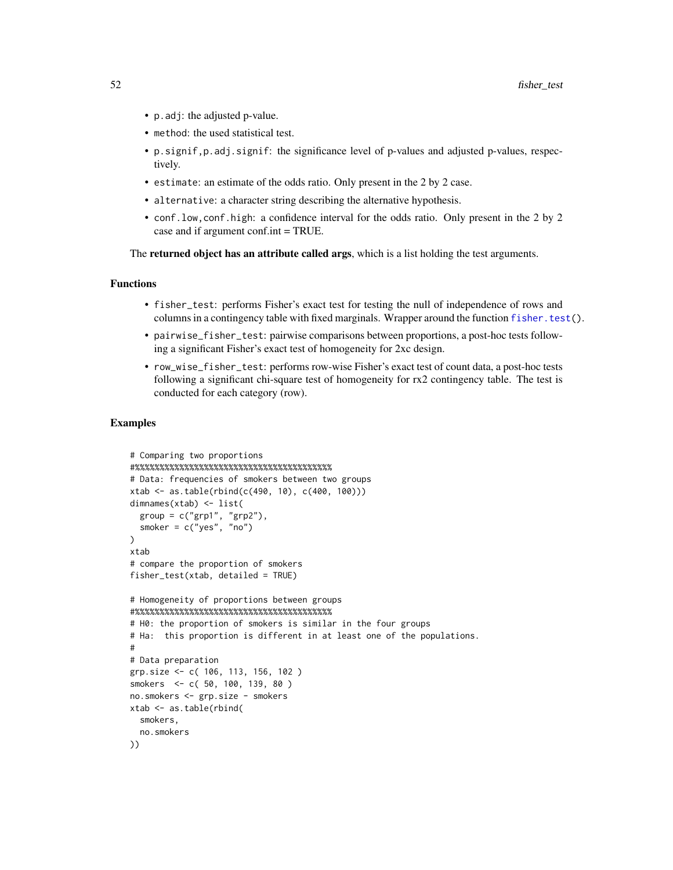- p.adj: the adjusted p-value.
- method: the used statistical test.
- p.signif,p.adj.signif: the significance level of p-values and adjusted p-values, respectively.
- estimate: an estimate of the odds ratio. Only present in the 2 by 2 case.
- alternative: a character string describing the alternative hypothesis.
- conf.low,conf.high: a confidence interval for the odds ratio. Only present in the 2 by 2 case and if argument conf.int = TRUE.

The returned object has an attribute called args, which is a list holding the test arguments.

#### Functions

- fisher\_test: performs Fisher's exact test for testing the null of independence of rows and columns in a contingency table with fixed marginals. Wrapper around the function [fisher.test\(](#page-0-0)).
- pairwise\_fisher\_test: pairwise comparisons between proportions, a post-hoc tests following a significant Fisher's exact test of homogeneity for 2xc design.
- row\_wise\_fisher\_test: performs row-wise Fisher's exact test of count data, a post-hoc tests following a significant chi-square test of homogeneity for rx2 contingency table. The test is conducted for each category (row).

```
# Comparing two proportions
#%%%%%%%%%%%%%%%%%%%%%%%%%%%%%%%%%%%%%%%%
# Data: frequencies of smokers between two groups
xtab \leftarrow as.table(rbind(c(490, 10), c(400, 100)))dimnames(xtab) <- list(
  group = c("grp1", "grp2"),
  smoker = c("yes", "no")
)
xtab
# compare the proportion of smokers
fisher_test(xtab, detailed = TRUE)
# Homogeneity of proportions between groups
#%%%%%%%%%%%%%%%%%%%%%%%%%%%%%%%%%%%%%%%%
# H0: the proportion of smokers is similar in the four groups
# Ha: this proportion is different in at least one of the populations.
#
# Data preparation
grp.size <- c( 106, 113, 156, 102 )
smokers <- c( 50, 100, 139, 80 )
no.smokers <- grp.size - smokers
xtab <- as.table(rbind(
  smokers,
  no.smokers
))
```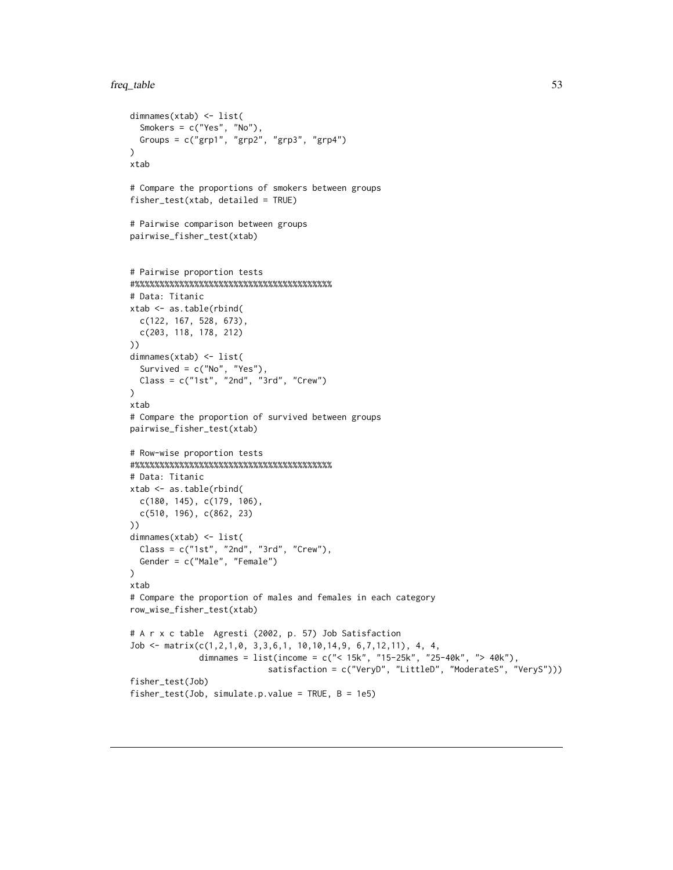```
freq_table 53
```

```
dimnames(xtab) <- list(
  Smokers = c("Yes", "No"),
 Groups = c("grp1", "grp2", "grp3", "grp4")
\lambdaxtab
# Compare the proportions of smokers between groups
fisher_test(xtab, detailed = TRUE)
# Pairwise comparison between groups
pairwise_fisher_test(xtab)
# Pairwise proportion tests
#%%%%%%%%%%%%%%%%%%%%%%%%%%%%%%%%%%%%%%%%
# Data: Titanic
xtab <- as.table(rbind(
  c(122, 167, 528, 673),
  c(203, 118, 178, 212)
))
dimnames(xtab) <- list(
  Survived = c("No", "Yes"),
  Class = c("1st", "2nd", "3rd", "Crew")
)
xtab
# Compare the proportion of survived between groups
pairwise_fisher_test(xtab)
# Row-wise proportion tests
#%%%%%%%%%%%%%%%%%%%%%%%%%%%%%%%%%%%%%%%%
# Data: Titanic
xtab <- as.table(rbind(
 c(180, 145), c(179, 106),
  c(510, 196), c(862, 23)
))
dimnames(xtab) <- list(
  Class = c("1st", "2nd", "3rd", "Crew"),
  Gender = c("Male", "Female")
\mathcal{L}xtab
# Compare the proportion of males and females in each category
row_wise_fisher_test(xtab)
# A r x c table Agresti (2002, p. 57) Job Satisfaction
Job <- matrix(c(1,2,1,0, 3,3,6,1, 10,10,14,9, 6,7,12,11), 4, 4,
              dimnames = list(income = c("< 15k", "15-25k", "25-40k", "> 40k"),
                            satisfaction = c("VeryD", "LittleD", "ModerateS", "VeryS")))
fisher_test(Job)
fisher_test(Job, simulate.p.value = TRUE, B = 1e5)
```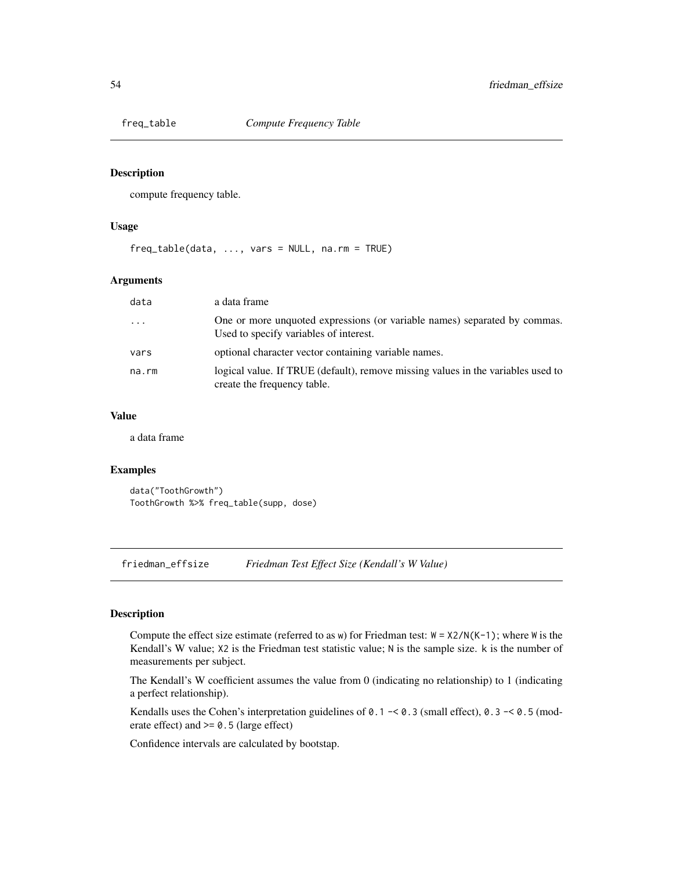## Description

compute frequency table.

#### Usage

freq\_table(data, ..., vars = NULL, na.rm = TRUE)

#### Arguments

| data      | a data frame                                                                                                        |
|-----------|---------------------------------------------------------------------------------------------------------------------|
| $\ddotsc$ | One or more unquoted expressions (or variable names) separated by commas.<br>Used to specify variables of interest. |
| vars      | optional character vector containing variable names.                                                                |
| na.rm     | logical value. If TRUE (default), remove missing values in the variables used to<br>create the frequency table.     |

## Value

a data frame

## Examples

data("ToothGrowth") ToothGrowth %>% freq\_table(supp, dose)

friedman\_effsize *Friedman Test Effect Size (Kendall's W Value)*

## Description

Compute the effect size estimate (referred to as w) for Friedman test:  $W = X2/N(K-1)$ ; where W is the Kendall's W value; X2 is the Friedman test statistic value; N is the sample size. k is the number of measurements per subject.

The Kendall's W coefficient assumes the value from 0 (indicating no relationship) to 1 (indicating a perfect relationship).

Kendalls uses the Cohen's interpretation guidelines of  $0.1 - 6.3$  (small effect),  $0.3 - 6.5$  (moderate effect) and >= 0.5 (large effect)

Confidence intervals are calculated by bootstap.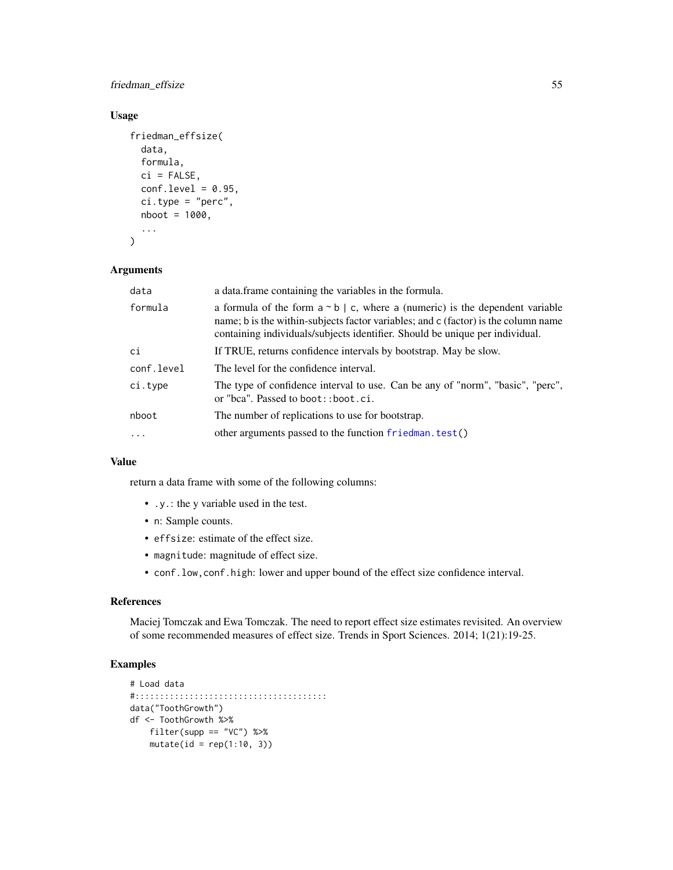friedman\_effsize 55

## Usage

```
friedman_effsize(
  data,
  formula,
  ci = FALSE,conf. level = 0.95,
  ci.type = "perc",
  nboot = 1000,...
\mathcal{E}
```
#### Arguments

| data       | a data.frame containing the variables in the formula.                                                                                                                                                                                                       |  |
|------------|-------------------------------------------------------------------------------------------------------------------------------------------------------------------------------------------------------------------------------------------------------------|--|
| formula    | a formula of the form $a \sim b \mid c$ , where a (numeric) is the dependent variable<br>name; b is the within-subjects factor variables; and c (factor) is the column name<br>containing individuals/subjects identifier. Should be unique per individual. |  |
| ci         | If TRUE, returns confidence intervals by bootstrap. May be slow.                                                                                                                                                                                            |  |
| conf.level | The level for the confidence interval.                                                                                                                                                                                                                      |  |
| ci.type    | The type of confidence interval to use. Can be any of "norm", "basic", "perc",<br>or "bca". Passed to boot:: boot.ci.                                                                                                                                       |  |
| nboot      | The number of replications to use for bootstrap.                                                                                                                                                                                                            |  |
| $\ddots$   | other arguments passed to the function friedman. test()                                                                                                                                                                                                     |  |

## Value

return a data frame with some of the following columns:

- .y.: the y variable used in the test.
- n: Sample counts.
- effsize: estimate of the effect size.
- magnitude: magnitude of effect size.
- conf.low,conf.high: lower and upper bound of the effect size confidence interval.

## References

Maciej Tomczak and Ewa Tomczak. The need to report effect size estimates revisited. An overview of some recommended measures of effect size. Trends in Sport Sciences. 2014; 1(21):19-25.

```
# Load data
#:::::::::::::::::::::::::::::::::::::::
data("ToothGrowth")
df <- ToothGrowth %>%
   filter(supp == "VC") %>%
   mutate(id = rep(1:10, 3))
```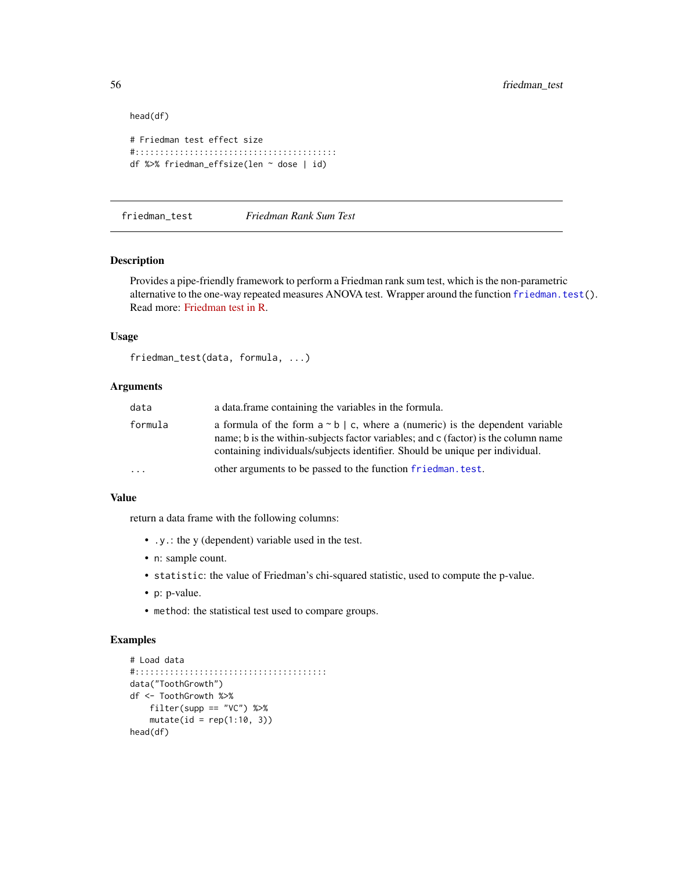```
head(df)
```

```
# Friedman test effect size
#:::::::::::::::::::::::::::::::::::::::::
df %>% friedman_effsize(len ~ dose | id)
```
friedman\_test *Friedman Rank Sum Test*

# Description

Provides a pipe-friendly framework to perform a Friedman rank sum test, which is the non-parametric alternative to the one-way repeated measures ANOVA test. Wrapper around the function [friedman.test\(](#page-0-0)). Read more: [Friedman test in R.](https://www.datanovia.com/en/lessons/friedman-test-in-r/)

#### Usage

```
friedman_test(data, formula, ...)
```
# Arguments

| data    | a data frame containing the variables in the formula.<br>a formula of the form $a \sim b \mid c$ , where a (numeric) is the dependent variable<br>name; b is the within-subjects factor variables; and c (factor) is the column name<br>containing individuals/subjects identifier. Should be unique per individual. |  |
|---------|----------------------------------------------------------------------------------------------------------------------------------------------------------------------------------------------------------------------------------------------------------------------------------------------------------------------|--|
| formula |                                                                                                                                                                                                                                                                                                                      |  |
| $\cdot$ | other arguments to be passed to the function friedman, test.                                                                                                                                                                                                                                                         |  |

#### Value

return a data frame with the following columns:

- .y.: the y (dependent) variable used in the test.
- n: sample count.
- statistic: the value of Friedman's chi-squared statistic, used to compute the p-value.
- p: p-value.
- method: the statistical test used to compare groups.

```
# Load data
#:::::::::::::::::::::::::::::::::::::::
data("ToothGrowth")
df <- ToothGrowth %>%
    filter(supp == "VC") %>%
   mutate(id = rep(1:10, 3))head(df)
```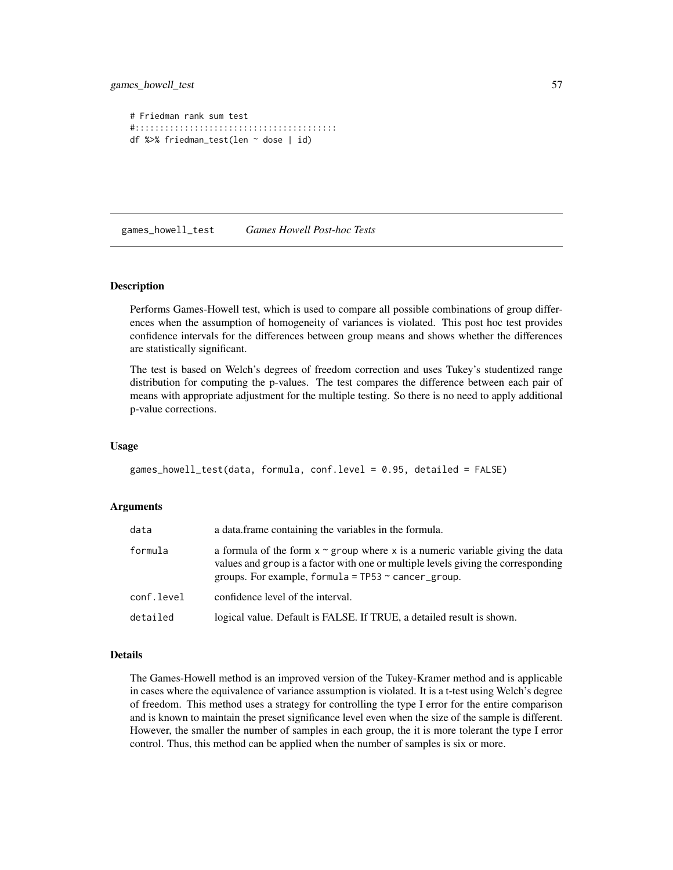```
# Friedman rank sum test
#:::::::::::::::::::::::::::::::::::::::::
df %>% friedman_test(len ~ dose | id)
```
games\_howell\_test *Games Howell Post-hoc Tests*

#### Description

Performs Games-Howell test, which is used to compare all possible combinations of group differences when the assumption of homogeneity of variances is violated. This post hoc test provides confidence intervals for the differences between group means and shows whether the differences are statistically significant.

The test is based on Welch's degrees of freedom correction and uses Tukey's studentized range distribution for computing the p-values. The test compares the difference between each pair of means with appropriate adjustment for the multiple testing. So there is no need to apply additional p-value corrections.

#### Usage

```
games_howell_test(data, formula, conf.level = 0.95, detailed = FALSE)
```
#### Arguments

| data       | a data frame containing the variables in the formula.                                                                                                                                                                                |  |
|------------|--------------------------------------------------------------------------------------------------------------------------------------------------------------------------------------------------------------------------------------|--|
| formula    | a formula of the form $x \sim g$ roup where x is a numeric variable giving the data<br>values and group is a factor with one or multiple levels giving the corresponding<br>groups. For example, formula = $TP53 \sim$ cancer_group. |  |
| conf.level | confidence level of the interval.                                                                                                                                                                                                    |  |
| detailed   | logical value. Default is FALSE. If TRUE, a detailed result is shown.                                                                                                                                                                |  |

#### Details

The Games-Howell method is an improved version of the Tukey-Kramer method and is applicable in cases where the equivalence of variance assumption is violated. It is a t-test using Welch's degree of freedom. This method uses a strategy for controlling the type I error for the entire comparison and is known to maintain the preset significance level even when the size of the sample is different. However, the smaller the number of samples in each group, the it is more tolerant the type I error control. Thus, this method can be applied when the number of samples is six or more.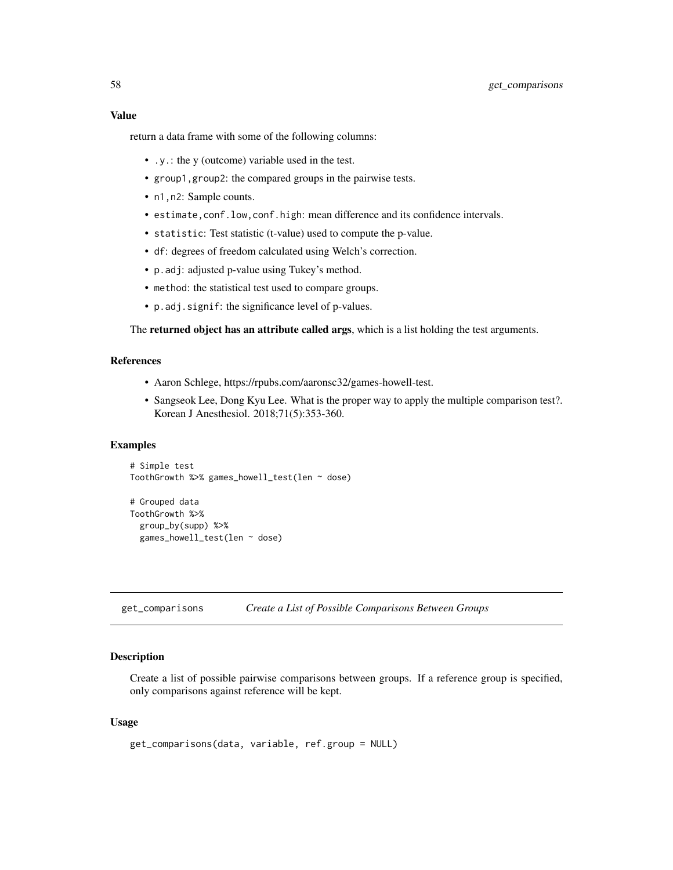#### Value

return a data frame with some of the following columns:

- .y.: the y (outcome) variable used in the test.
- group1,group2: the compared groups in the pairwise tests.
- n1, n2: Sample counts.
- estimate,conf.low,conf.high: mean difference and its confidence intervals.
- statistic: Test statistic (t-value) used to compute the p-value.
- df: degrees of freedom calculated using Welch's correction.
- p.adj: adjusted p-value using Tukey's method.
- method: the statistical test used to compare groups.
- p.adj.signif: the significance level of p-values.

The returned object has an attribute called args, which is a list holding the test arguments.

## References

- Aaron Schlege, https://rpubs.com/aaronsc32/games-howell-test.
- Sangseok Lee, Dong Kyu Lee. What is the proper way to apply the multiple comparison test?. Korean J Anesthesiol. 2018;71(5):353-360.

#### Examples

```
# Simple test
ToothGrowth %>% games_howell_test(len ~ dose)
```

```
# Grouped data
ToothGrowth %>%
 group_by(supp) %>%
 games_howell_test(len ~ dose)
```
get\_comparisons *Create a List of Possible Comparisons Between Groups*

#### Description

Create a list of possible pairwise comparisons between groups. If a reference group is specified, only comparisons against reference will be kept.

#### Usage

```
get_comparisons(data, variable, ref.group = NULL)
```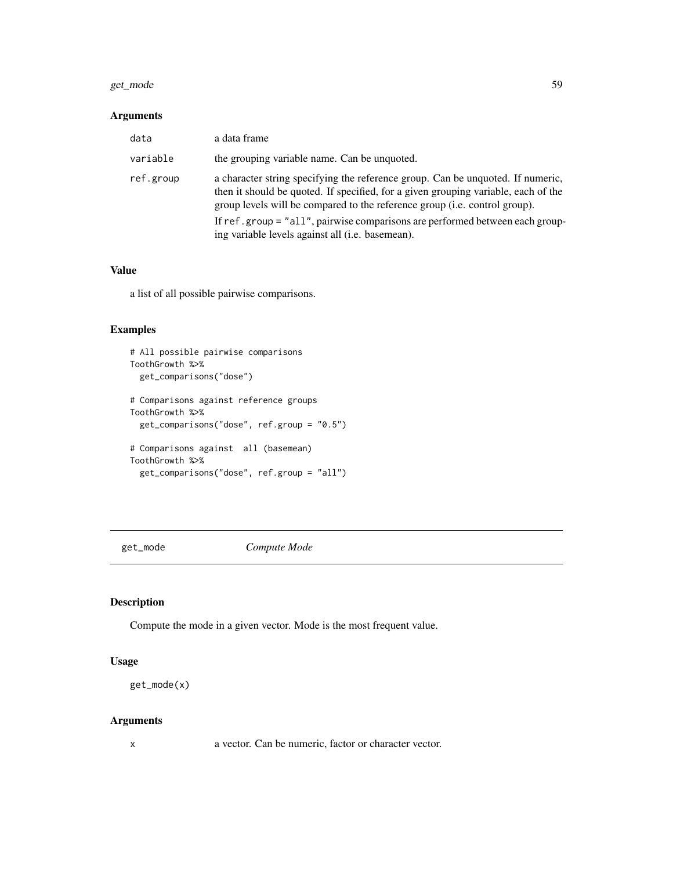#### get\_mode 59

## Arguments

| data      | a data frame                                                                                                                                                                                                                                        |
|-----------|-----------------------------------------------------------------------------------------------------------------------------------------------------------------------------------------------------------------------------------------------------|
| variable  | the grouping variable name. Can be unquoted.                                                                                                                                                                                                        |
| ref.group | a character string specifying the reference group. Can be unquoted. If numeric,<br>then it should be quoted. If specified, for a given grouping variable, each of the<br>group levels will be compared to the reference group (i.e. control group). |
|           | If ref.group = "all", pairwise comparisons are performed between each group-<br>ing variable levels against all ( <i>i.e.</i> basemean).                                                                                                            |

## Value

a list of all possible pairwise comparisons.

# Examples

```
# All possible pairwise comparisons
ToothGrowth %>%
  get_comparisons("dose")
# Comparisons against reference groups
ToothGrowth %>%
  get_comparisons("dose", ref.group = "0.5")
# Comparisons against all (basemean)
ToothGrowth %>%
  get_comparisons("dose", ref.group = "all")
```
get\_mode *Compute Mode*

## Description

Compute the mode in a given vector. Mode is the most frequent value.

#### Usage

```
get_mode(x)
```
#### Arguments

x a vector. Can be numeric, factor or character vector.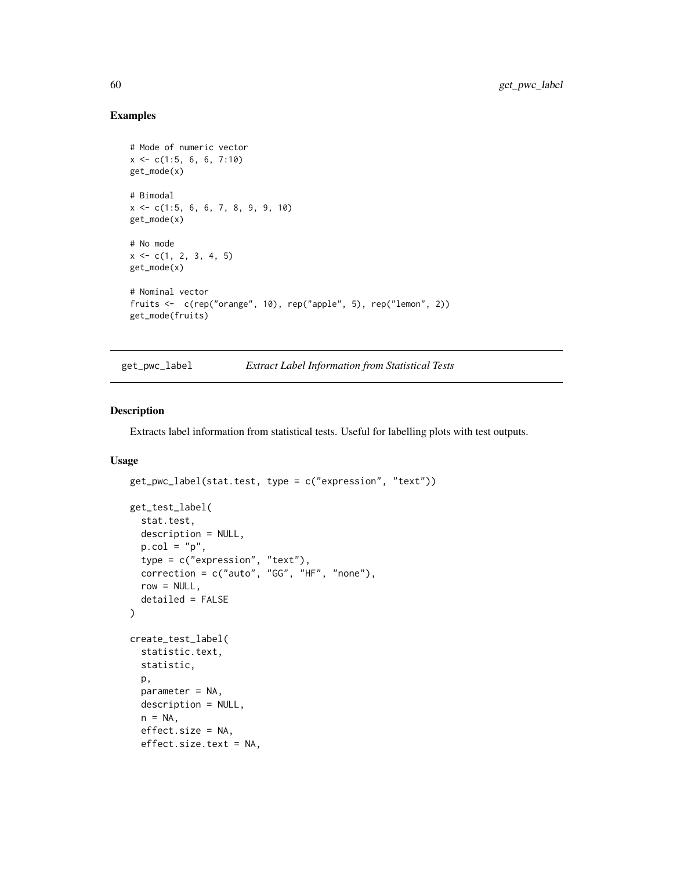# Examples

```
# Mode of numeric vector
x \leq -c(1:5, 6, 6, 7:10)get_mode(x)
# Bimodal
x <- c(1:5, 6, 6, 7, 8, 9, 9, 10)
get_mode(x)
# No mode
x \leq -c(1, 2, 3, 4, 5)get_mode(x)
# Nominal vector
fruits <- c(rep("orange", 10), rep("apple", 5), rep("lemon", 2))
get_mode(fruits)
```
get\_pwc\_label *Extract Label Information from Statistical Tests*

## Description

Extracts label information from statistical tests. Useful for labelling plots with test outputs.

#### Usage

```
get_pwc_label(stat.test, type = c("expression", "text"))
get_test_label(
 stat.test,
 description = NULL,
 p.col = "p",type = c("expression", "text"),
  correction = c("auto", "GG", "HF", "none"),row = NULL,detailed = FALSE
\mathcal{L}create_test_label(
  statistic.text,
  statistic,
 p,
 parameter = NA,
  description = NULL,
 n = NA,
  effect.size = NA,
  effect.size.text = NA,
```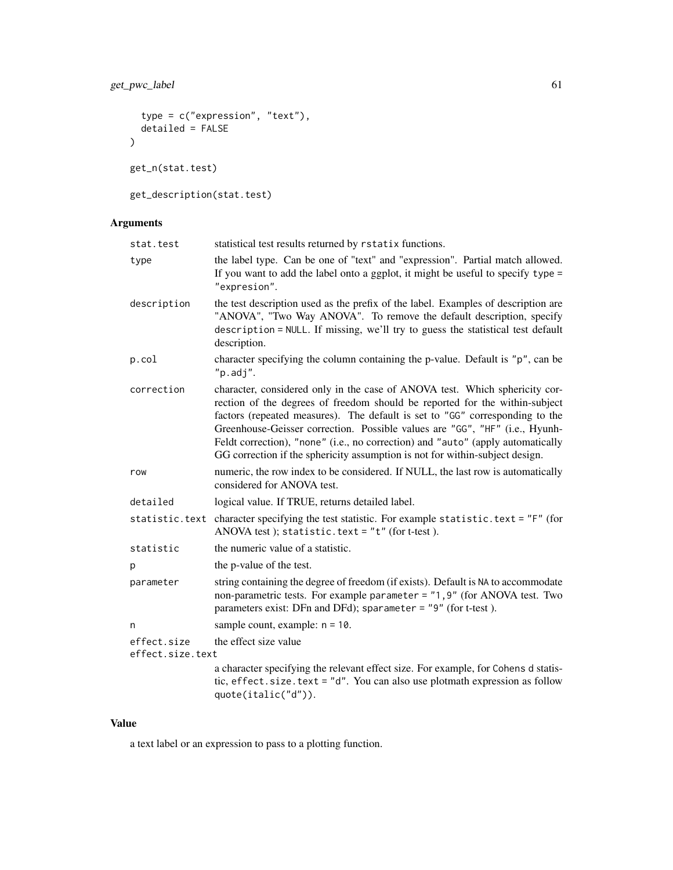```
type = c("expression", "text"),
  detailed = FALSE
\mathcal{L}get_n(stat.test)
```
get\_description(stat.test)

# Arguments

| stat.test                       | statistical test results returned by rstatix functions.                                                                                                                                                                                                                                                                                                                                                                                                                                      |  |  |
|---------------------------------|----------------------------------------------------------------------------------------------------------------------------------------------------------------------------------------------------------------------------------------------------------------------------------------------------------------------------------------------------------------------------------------------------------------------------------------------------------------------------------------------|--|--|
| type                            | the label type. Can be one of "text" and "expression". Partial match allowed.<br>If you want to add the label onto a ggplot, it might be useful to specify type =<br>"expresion".                                                                                                                                                                                                                                                                                                            |  |  |
| description                     | the test description used as the prefix of the label. Examples of description are<br>"ANOVA", "Two Way ANOVA". To remove the default description, specify<br>description = NULL. If missing, we'll try to guess the statistical test default<br>description.                                                                                                                                                                                                                                 |  |  |
| p.col                           | character specifying the column containing the p-value. Default is "p", can be<br>"p.addj".                                                                                                                                                                                                                                                                                                                                                                                                  |  |  |
| correction                      | character, considered only in the case of ANOVA test. Which sphericity cor-<br>rection of the degrees of freedom should be reported for the within-subject<br>factors (repeated measures). The default is set to "GG" corresponding to the<br>Greenhouse-Geisser correction. Possible values are "GG", "HF" (i.e., Hyunh-<br>Feldt correction), "none" (i.e., no correction) and "auto" (apply automatically<br>GG correction if the sphericity assumption is not for within-subject design. |  |  |
| row                             | numeric, the row index to be considered. If NULL, the last row is automatically<br>considered for ANOVA test.                                                                                                                                                                                                                                                                                                                                                                                |  |  |
| detailed                        | logical value. If TRUE, returns detailed label.                                                                                                                                                                                                                                                                                                                                                                                                                                              |  |  |
| statistic.text                  | character specifying the test statistic. For example statistic. text = "F" (for<br>ANOVA test); statistic.text = $"t"$ (for t-test).                                                                                                                                                                                                                                                                                                                                                         |  |  |
| statistic                       | the numeric value of a statistic.                                                                                                                                                                                                                                                                                                                                                                                                                                                            |  |  |
| p                               | the p-value of the test.                                                                                                                                                                                                                                                                                                                                                                                                                                                                     |  |  |
| parameter                       | string containing the degree of freedom (if exists). Default is NA to accommodate<br>non-parametric tests. For example parameter = "1,9" (for ANOVA test. Two<br>parameters exist: DFn and DFd); sparameter = "9" (for t-test).                                                                                                                                                                                                                                                              |  |  |
| n                               | sample count, example: $n = 10$ .                                                                                                                                                                                                                                                                                                                                                                                                                                                            |  |  |
| effect.size<br>effect.size.text | the effect size value                                                                                                                                                                                                                                                                                                                                                                                                                                                                        |  |  |
|                                 | a character specifying the relevant effect size. For example, for Cohens d statis-<br>tic, effect. size. text = "d". You can also use plotmath expression as follow<br>quote(italic("d")).                                                                                                                                                                                                                                                                                                   |  |  |

# Value

a text label or an expression to pass to a plotting function.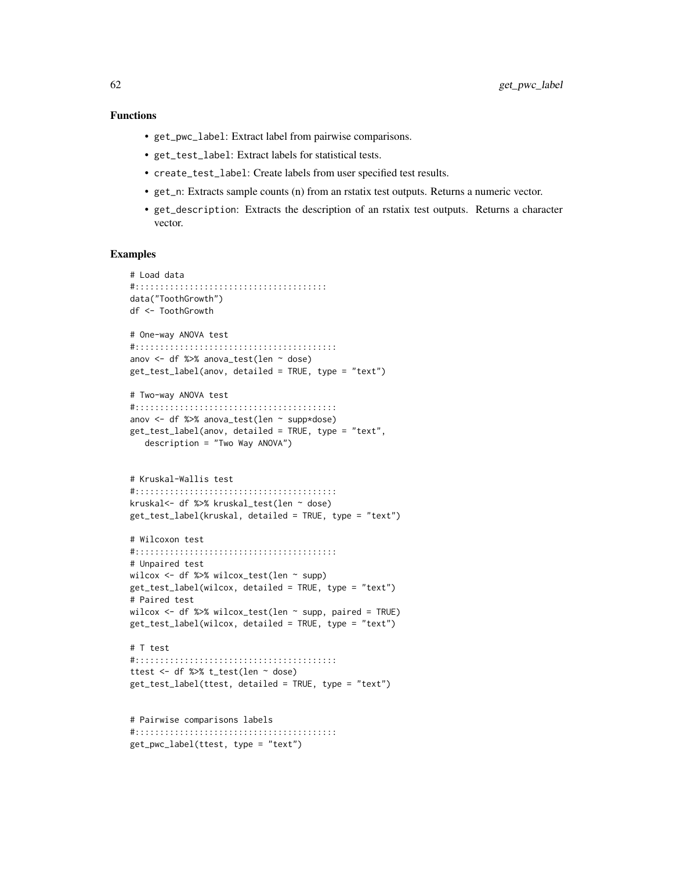## Functions

- get\_pwc\_label: Extract label from pairwise comparisons.
- get\_test\_label: Extract labels for statistical tests.
- create\_test\_label: Create labels from user specified test results.
- get\_n: Extracts sample counts (n) from an rstatix test outputs. Returns a numeric vector.
- get\_description: Extracts the description of an rstatix test outputs. Returns a character vector.

#### Examples

```
# Load data
#:::::::::::::::::::::::::::::::::::::::
data("ToothGrowth")
df <- ToothGrowth
# One-way ANOVA test
#:::::::::::::::::::::::::::::::::::::::::
anov <- df %>% anova_test(len ~ dose)
get_test_label(anov, detailed = TRUE, type = "text")
# Two-way ANOVA test
#:::::::::::::::::::::::::::::::::::::::::
anov <- df %>% anova_test(len ~ supp*dose)
get_test_label(anov, detailed = TRUE, type = "text",
   description = "Two Way ANOVA")
# Kruskal-Wallis test
#:::::::::::::::::::::::::::::::::::::::::
kruskal<- df %>% kruskal_test(len ~ dose)
get_test_label(kruskal, detailed = TRUE, type = "text")
# Wilcoxon test
#:::::::::::::::::::::::::::::::::::::::::
# Unpaired test
wilcox <- df %>% wilcox_test(len ~ supp)
get_test_label(wilcox, detailed = TRUE, type = "text")
# Paired test
wilcox \le df %>% wilcox_test(len \sim supp, paired = TRUE)
get_test_label(wilcox, detailed = TRUE, type = "text")
# T test
#:::::::::::::::::::::::::::::::::::::::::
ttest <- df %>% t_test(len ~ dose)
get_test_label(ttest, detailed = TRUE, type = "text")
```
# Pairwise comparisons labels #::::::::::::::::::::::::::::::::::::::::: get\_pwc\_label(ttest, type = "text")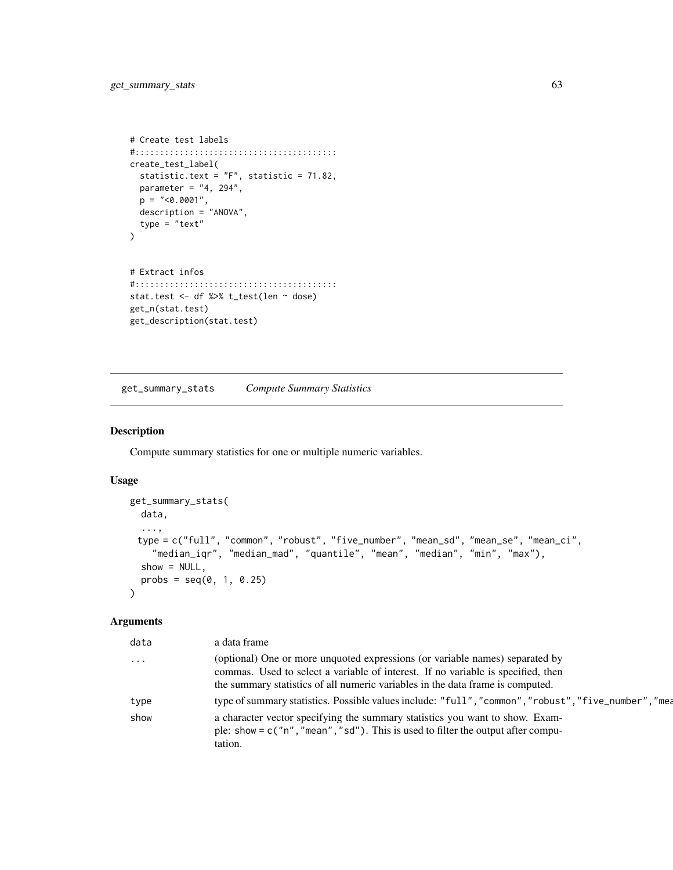```
# Create test labels
#:::::::::::::::::::::::::::::::::::::::::
create_test_label(
 statistic.text = "F", statistic = 71.82,
 parameter = "4, 294",
  p = "<0.0001",
 description = "ANOVA",
  type = "text"
\mathcal{L}# Extract infos
#:::::::::::::::::::::::::::::::::::::::::
stat.test <- df %>% t_test(len ~ dose)
get_n(stat.test)
get_description(stat.test)
```
get\_summary\_stats *Compute Summary Statistics*

#### Description

Compute summary statistics for one or multiple numeric variables.

#### Usage

```
get_summary_stats(
 data,
 ...,
 type = c("full", "common", "robust", "five_number", "mean_sd", "mean_se", "mean_ci",
    "median_iqr", "median_mad", "quantile", "mean", "median", "min", "max"),
 show = NULL,probs = seq(0, 1, 0.25))
```
# Arguments

| a data frame                                                                                                                                                                                                                                       |
|----------------------------------------------------------------------------------------------------------------------------------------------------------------------------------------------------------------------------------------------------|
| (optional) One or more unquoted expressions (or variable names) separated by<br>commas. Used to select a variable of interest. If no variable is specified, then<br>the summary statistics of all numeric variables in the data frame is computed. |
| type of summary statistics. Possible values include: "full", "common", "robust", "five_number", "mea                                                                                                                                               |
| a character vector specifying the summary statistics you want to show. Exam-<br>ple: show = $c("n", "mean", "sd")$ . This is used to filter the output after compu-<br>tation.                                                                     |
|                                                                                                                                                                                                                                                    |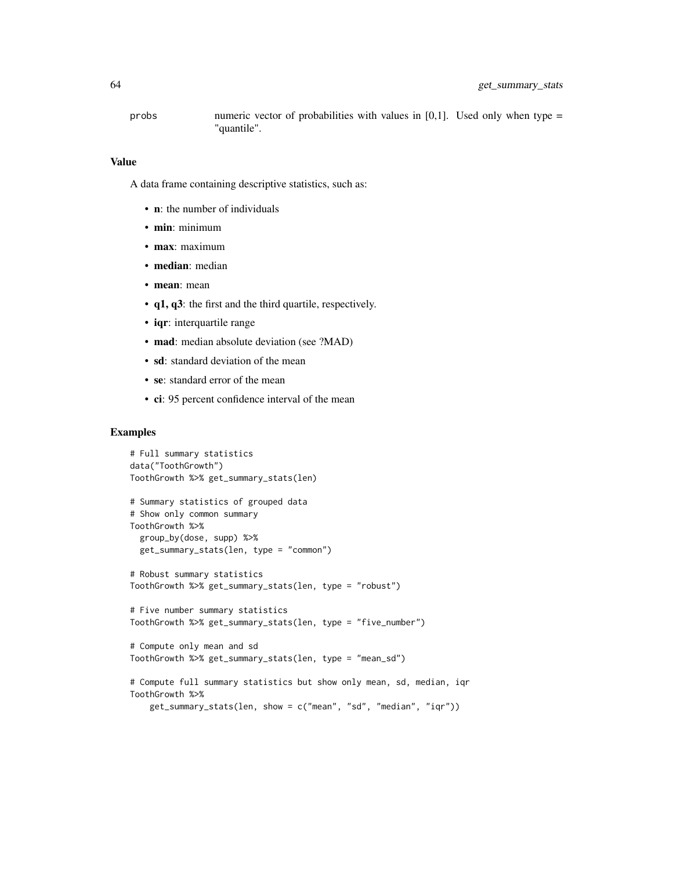probs numeric vector of probabilities with values in [0,1]. Used only when type  $=$ "quantile".

#### Value

A data frame containing descriptive statistics, such as:

- **n**: the number of individuals
- min: minimum
- max: maximum
- median: median
- mean: mean
- q1, q3: the first and the third quartile, respectively.
- iqr: interquartile range
- mad: median absolute deviation (see ?MAD)
- sd: standard deviation of the mean
- se: standard error of the mean
- ci: 95 percent confidence interval of the mean

```
# Full summary statistics
data("ToothGrowth")
ToothGrowth %>% get_summary_stats(len)
# Summary statistics of grouped data
# Show only common summary
ToothGrowth %>%
 group_by(dose, supp) %>%
 get_summary_stats(len, type = "common")
# Robust summary statistics
ToothGrowth %>% get_summary_stats(len, type = "robust")
# Five number summary statistics
ToothGrowth %>% get_summary_stats(len, type = "five_number")
# Compute only mean and sd
ToothGrowth %>% get_summary_stats(len, type = "mean_sd")
# Compute full summary statistics but show only mean, sd, median, iqr
ToothGrowth %>%
```

```
get_summary_stats(len, show = c("mean", "sd", "median", "iqr"))
```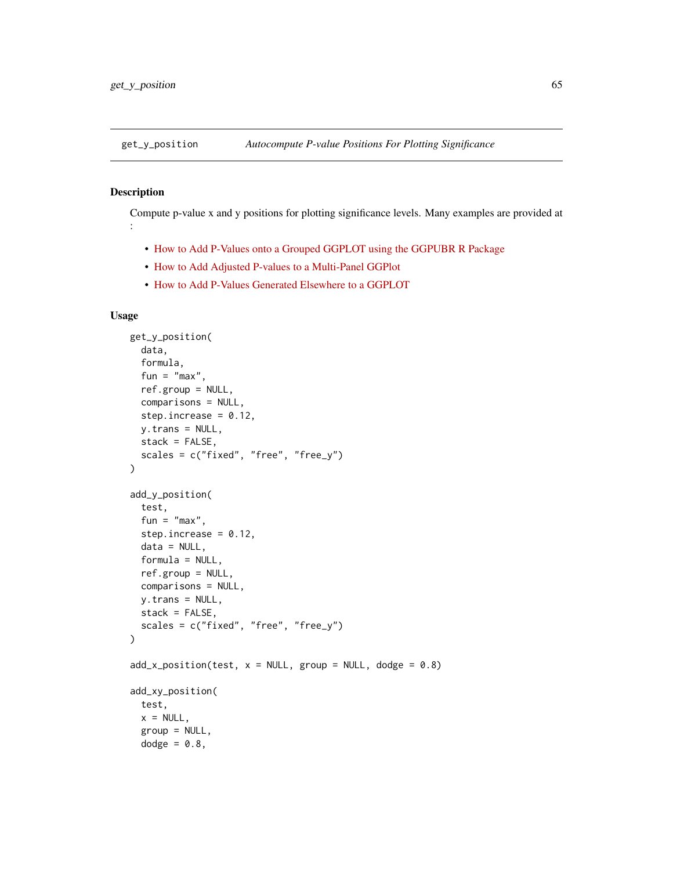#### Description

Compute p-value x and y positions for plotting significance levels. Many examples are provided at :

- [How to Add P-Values onto a Grouped GGPLOT using the GGPUBR R Package](https://www.datanovia.com/en/blog/how-to-add-p-values-onto-a-grouped-ggplot-using-the-ggpubr-r-package/)
- [How to Add Adjusted P-values to a Multi-Panel GGPlot](https://www.datanovia.com/en/blog/ggpubr-how-to-add-adjusted-p-values-to-a-multi-panel-ggplot/)
- [How to Add P-Values Generated Elsewhere to a GGPLOT](https://www.datanovia.com/en/blog/ggpubr-how-to-add-p-values-generated-elsewhere-to-a-ggplot/)

## Usage

```
get_y_position(
  data,
  formula,
  fun = "max",
  ref.group = NULL,
  comparisons = NULL,
  step.increase = 0.12,
  y.trans = NULL,
  stack = FALSE,
  scales = c("fixed", "free", "free_y"))
add_y_position(
  test,
  fun = "max",
  step.increase = 0.12,
  data = NULL,formula = NULL,
  ref.group = NULL,
  comparisons = NULL,
 y.trans = NULL,
 stack = FALSE,
  scales = c("fixed", "free", "free_y")
)
add_x\_position(test, x = NULL, group = NULL, dodge = 0.8)add_xy_position(
  test,
  x = NULL,group = NULL,dodge = 0.8,
```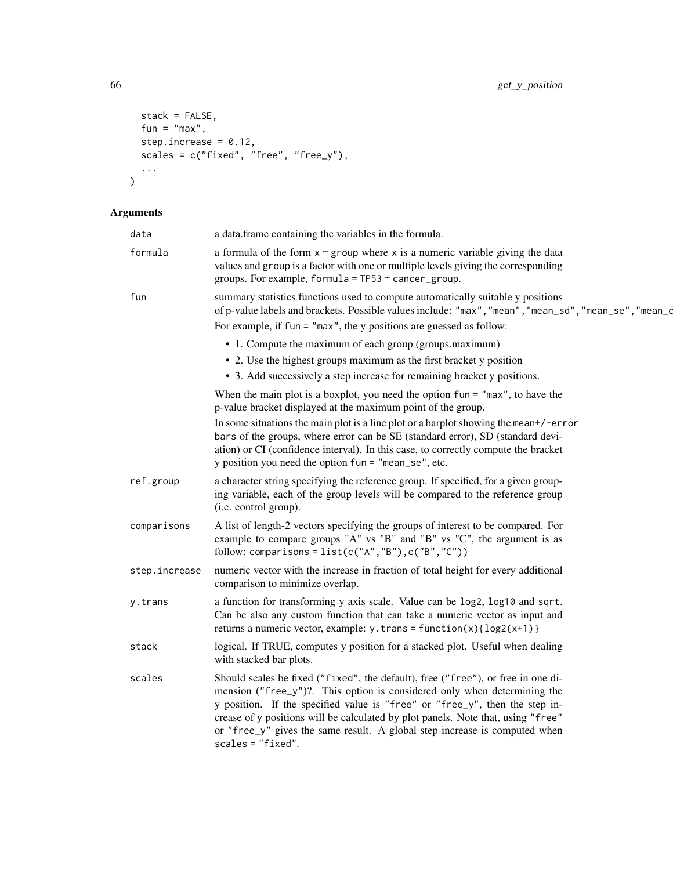```
stack = FALSE,
  fun = "max",
  step.increase = 0.12,
  scales = c("fixed", "free", "free_y"),
  ...
\lambda
```
# Arguments

| data          | a data.frame containing the variables in the formula.                                                                                                                                                                                                                                                                                                                                                                                |
|---------------|--------------------------------------------------------------------------------------------------------------------------------------------------------------------------------------------------------------------------------------------------------------------------------------------------------------------------------------------------------------------------------------------------------------------------------------|
| formula       | a formula of the form $x \sim g$ roup where x is a numeric variable giving the data<br>values and group is a factor with one or multiple levels giving the corresponding<br>groups. For example, formula = $TP53 \sim$ cancer_group.                                                                                                                                                                                                 |
| fun           | summary statistics functions used to compute automatically suitable y positions<br>of p-value labels and brackets. Possible values include: "max", "mean", "mean_sd", "mean_se", "mean_d                                                                                                                                                                                                                                             |
|               | For example, if $fun = "max",$ the y positions are guessed as follow:                                                                                                                                                                                                                                                                                                                                                                |
|               | • 1. Compute the maximum of each group (groups.maximum)                                                                                                                                                                                                                                                                                                                                                                              |
|               | • 2. Use the highest groups maximum as the first bracket y position                                                                                                                                                                                                                                                                                                                                                                  |
|               | • 3. Add successively a step increase for remaining bracket y positions.                                                                                                                                                                                                                                                                                                                                                             |
|               | When the main plot is a boxplot, you need the option $fun = "max", to have the$<br>p-value bracket displayed at the maximum point of the group.                                                                                                                                                                                                                                                                                      |
|               | In some situations the main plot is a line plot or a barplot showing the mean+/-error<br>bars of the groups, where error can be SE (standard error), SD (standard devi-<br>ation) or CI (confidence interval). In this case, to correctly compute the bracket<br>y position you need the option $fun = "mean_se", etc.$                                                                                                              |
| ref.group     | a character string specifying the reference group. If specified, for a given group-<br>ing variable, each of the group levels will be compared to the reference group<br>(i.e. control group).                                                                                                                                                                                                                                       |
| comparisons   | A list of length-2 vectors specifying the groups of interest to be compared. For<br>example to compare groups "A" vs "B" and "B" vs "C", the argument is as<br>follow: comparisons = $list(c("A", "B"), c("B", "C"))$                                                                                                                                                                                                                |
| step.increase | numeric vector with the increase in fraction of total height for every additional<br>comparison to minimize overlap.                                                                                                                                                                                                                                                                                                                 |
| y.trans       | a function for transforming y axis scale. Value can be log2, log10 and sqrt.<br>Can be also any custom function that can take a numeric vector as input and<br>returns a numeric vector, example: $y.$ trans = function(x){log2(x+1)}                                                                                                                                                                                                |
| stack         | logical. If TRUE, computes y position for a stacked plot. Useful when dealing<br>with stacked bar plots.                                                                                                                                                                                                                                                                                                                             |
| scales        | Should scales be fixed ("fixed", the default), free ("free"), or free in one di-<br>mension ("free_y")?. This option is considered only when determining the<br>y position. If the specified value is "free" or "free_y", then the step in-<br>crease of y positions will be calculated by plot panels. Note that, using "free"<br>or "free_y" gives the same result. A global step increase is computed when<br>$scales = "fixed".$ |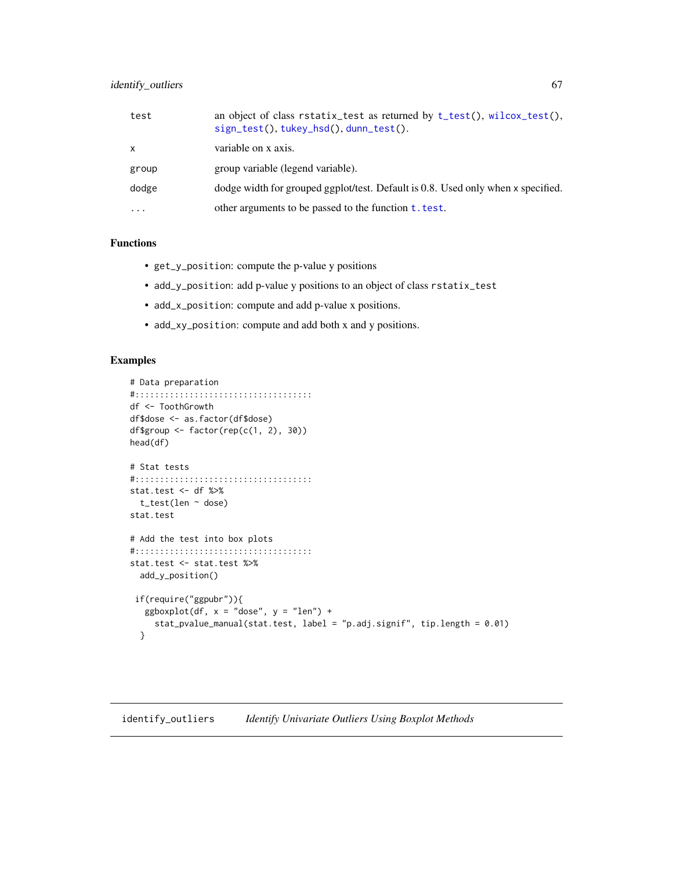## identify\_outliers 67

| test         | an object of class rstatix_test as returned by $t_{\text{test}}($ , wilcox_test(),<br>$sign_test(), \text{tukey} \text{-} \text{hsd}(), \text{dunn} \text{-} \text{test().}$ |
|--------------|------------------------------------------------------------------------------------------------------------------------------------------------------------------------------|
| $\mathsf{x}$ | variable on x axis.                                                                                                                                                          |
| group        | group variable (legend variable).                                                                                                                                            |
| dodge        | dodge width for grouped ggplot/test. Default is 0.8. Used only when x specified.                                                                                             |
| $\cdots$     | other arguments to be passed to the function $t. test.$                                                                                                                      |

# Functions

- get\_y\_position: compute the p-value y positions
- add\_y\_position: add p-value y positions to an object of class rstatix\_test
- add\_x\_position: compute and add p-value x positions.
- add\_xy\_position: compute and add both x and y positions.

```
# Data preparation
#::::::::::::::::::::::::::::::::::::
df <- ToothGrowth
df$dose <- as.factor(df$dose)
df$group <- factor(rep(c(1, 2), 30))
head(df)
# Stat tests
#::::::::::::::::::::::::::::::::::::
stat.test <- df %>%
  t_test(len ~ dose)
stat.test
# Add the test into box plots
#::::::::::::::::::::::::::::::::::::
stat.test <- stat.test %>%
  add_y_position()
 if(require("ggpubr")){
   ggboxplot(df, x = "dose", y = "len") +stat_pvalue_manual(stat.test, label = "p.adj.signif", tip.length = 0.01)
  }
```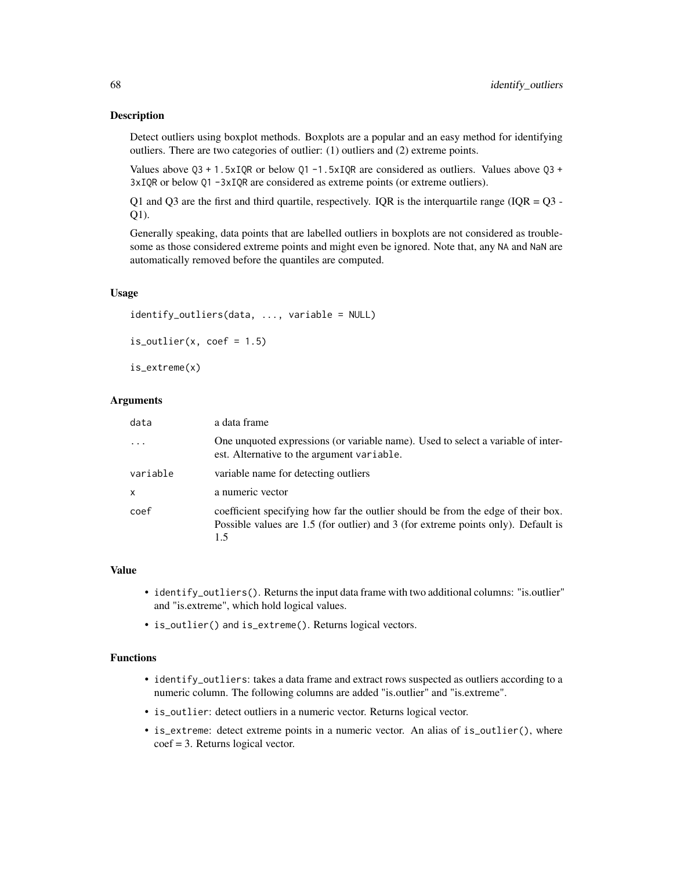#### Description

Detect outliers using boxplot methods. Boxplots are a popular and an easy method for identifying outliers. There are two categories of outlier: (1) outliers and (2) extreme points.

Values above  $Q3 + 1.5xIQR$  or below  $Q1 - 1.5xIQR$  are considered as outliers. Values above  $Q3 +$ 3xIQR or below Q1 -3xIQR are considered as extreme points (or extreme outliers).

Q1 and Q3 are the first and third quartile, respectively. IQR is the interquartile range (IQR =  $Q3$  -Q1).

Generally speaking, data points that are labelled outliers in boxplots are not considered as troublesome as those considered extreme points and might even be ignored. Note that, any NA and NaN are automatically removed before the quantiles are computed.

#### Usage

```
identify_outliers(data, ..., variable = NULL)
is\_outlier(x, coef = 1.5)
```
is\_extreme(x)

#### Arguments

| data         | a data frame                                                                                                                                                                 |
|--------------|------------------------------------------------------------------------------------------------------------------------------------------------------------------------------|
|              | One unquoted expressions (or variable name). Used to select a variable of inter-<br>est. Alternative to the argument variable.                                               |
| variable     | variable name for detecting outliers                                                                                                                                         |
| $\mathsf{x}$ | a numeric vector                                                                                                                                                             |
| coef         | coefficient specifying how far the outlier should be from the edge of their box.<br>Possible values are 1.5 (for outlier) and 3 (for extreme points only). Default is<br>1.5 |

#### Value

- identify\_outliers(). Returns the input data frame with two additional columns: "is.outlier" and "is.extreme", which hold logical values.
- is\_outlier() and is\_extreme(). Returns logical vectors.

#### Functions

- identify\_outliers: takes a data frame and extract rows suspected as outliers according to a numeric column. The following columns are added "is.outlier" and "is.extreme".
- is\_outlier: detect outliers in a numeric vector. Returns logical vector.
- is\_extreme: detect extreme points in a numeric vector. An alias of is\_outlier(), where coef = 3. Returns logical vector.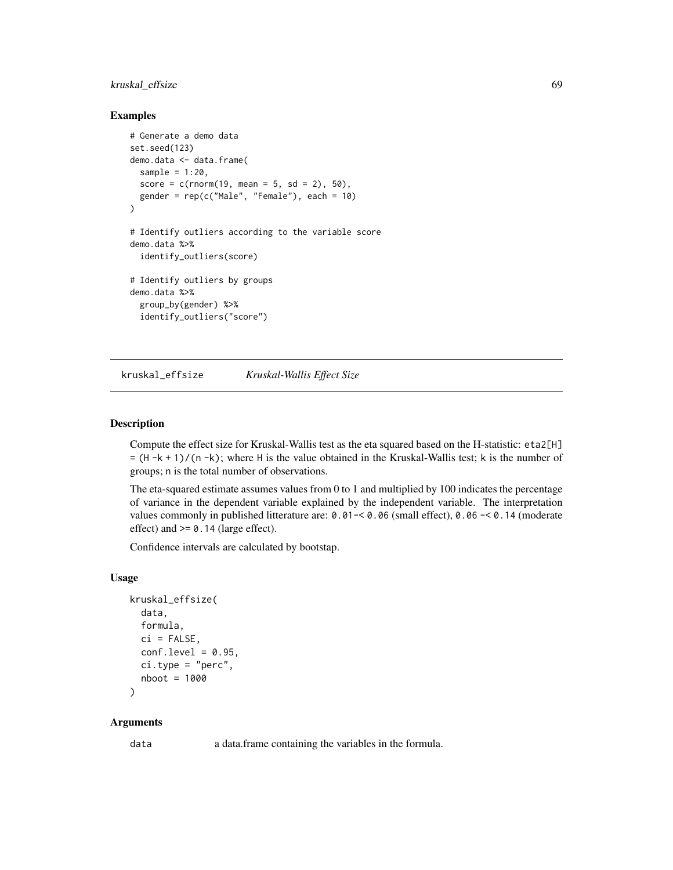# kruskal\_effsize 69

#### Examples

```
# Generate a demo data
set.seed(123)
demo.data <- data.frame(
  sample = 1:20,
  score = c(rnorm(19, mean = 5, sd = 2), 50),
  gender = rep(c("Male", "Female"), each = 10))
# Identify outliers according to the variable score
demo.data %>%
  identify_outliers(score)
# Identify outliers by groups
demo.data %>%
  group_by(gender) %>%
  identify_outliers("score")
```
kruskal\_effsize *Kruskal-Wallis Effect Size*

# Description

Compute the effect size for Kruskal-Wallis test as the eta squared based on the H-statistic: eta2[H]  $= (H - k + 1)/(n - k)$ ; where H is the value obtained in the Kruskal-Wallis test; k is the number of groups; n is the total number of observations.

The eta-squared estimate assumes values from 0 to 1 and multiplied by 100 indicates the percentage of variance in the dependent variable explained by the independent variable. The interpretation values commonly in published litterature are: 0.01-< 0.06 (small effect), 0.06 -< 0.14 (moderate effect) and  $>= 0.14$  (large effect).

Confidence intervals are calculated by bootstap.

#### Usage

```
kruskal_effsize(
  data,
  formula,
 ci = FALSE,conf. level = 0.95,
  ci.type = "perc",nboot = 1000
```
)

## Arguments

data a data.frame containing the variables in the formula.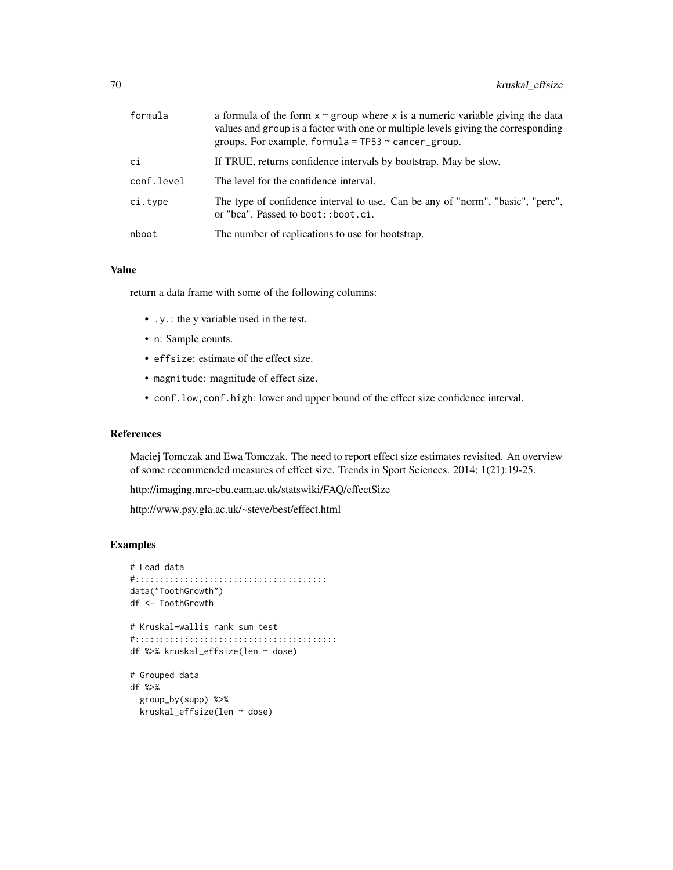| formula    | a formula of the form $x \sim g$ roup where x is a numeric variable giving the data<br>values and group is a factor with one or multiple levels giving the corresponding<br>groups. For example, formula = $TP53 \sim$ cancer_group. |
|------------|--------------------------------------------------------------------------------------------------------------------------------------------------------------------------------------------------------------------------------------|
| сi         | If TRUE, returns confidence intervals by bootstrap. May be slow.                                                                                                                                                                     |
| conf.level | The level for the confidence interval.                                                                                                                                                                                               |
| ci.type    | The type of confidence interval to use. Can be any of "norm", "basic", "perc",<br>or "bca". Passed to boot:: boot.ci.                                                                                                                |
| nboot      | The number of replications to use for bootstrap.                                                                                                                                                                                     |

#### Value

return a data frame with some of the following columns:

- .y.: the y variable used in the test.
- n: Sample counts.
- effsize: estimate of the effect size.
- magnitude: magnitude of effect size.
- conf.low,conf.high: lower and upper bound of the effect size confidence interval.

#### References

Maciej Tomczak and Ewa Tomczak. The need to report effect size estimates revisited. An overview of some recommended measures of effect size. Trends in Sport Sciences. 2014; 1(21):19-25.

http://imaging.mrc-cbu.cam.ac.uk/statswiki/FAQ/effectSize

http://www.psy.gla.ac.uk/~steve/best/effect.html

```
# Load data
#:::::::::::::::::::::::::::::::::::::::
data("ToothGrowth")
df <- ToothGrowth
# Kruskal-wallis rank sum test
#:::::::::::::::::::::::::::::::::::::::::
df %>% kruskal_effsize(len ~ dose)
# Grouped data
df %>%
  group_by(supp) %>%
  kruskal_effsize(len ~ dose)
```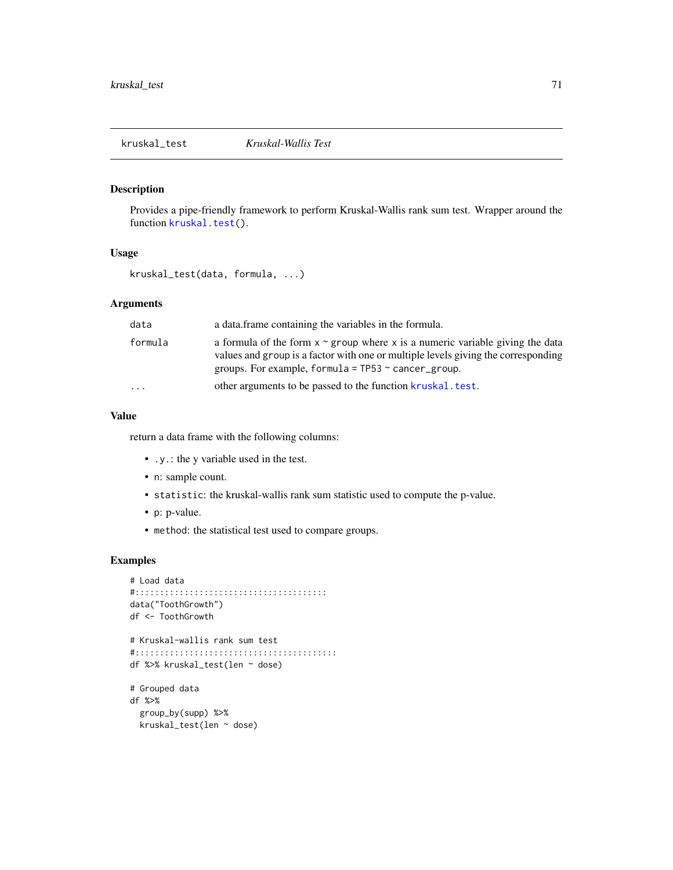kruskal\_test *Kruskal-Wallis Test*

#### Description

Provides a pipe-friendly framework to perform Kruskal-Wallis rank sum test. Wrapper around the function [kruskal.test\(](#page-0-0)).

## Usage

kruskal\_test(data, formula, ...)

#### Arguments

| data    | a data frame containing the variables in the formula.                                                                                                                                                                                |
|---------|--------------------------------------------------------------------------------------------------------------------------------------------------------------------------------------------------------------------------------------|
| formula | a formula of the form $x \sim g$ roup where x is a numeric variable giving the data<br>values and group is a factor with one or multiple levels giving the corresponding<br>groups. For example, formula = $TP53 \sim$ cancer_group. |
| .       | other arguments to be passed to the function kruskal, test.                                                                                                                                                                          |

## Value

return a data frame with the following columns:

- .y.: the y variable used in the test.
- n: sample count.
- statistic: the kruskal-wallis rank sum statistic used to compute the p-value.
- p: p-value.
- method: the statistical test used to compare groups.

```
# Load data
#:::::::::::::::::::::::::::::::::::::::
data("ToothGrowth")
df <- ToothGrowth
# Kruskal-wallis rank sum test
#:::::::::::::::::::::::::::::::::::::::::
df %>% kruskal_test(len ~ dose)
# Grouped data
df %>%
  group_by(supp) %>%
  kruskal_test(len ~ dose)
```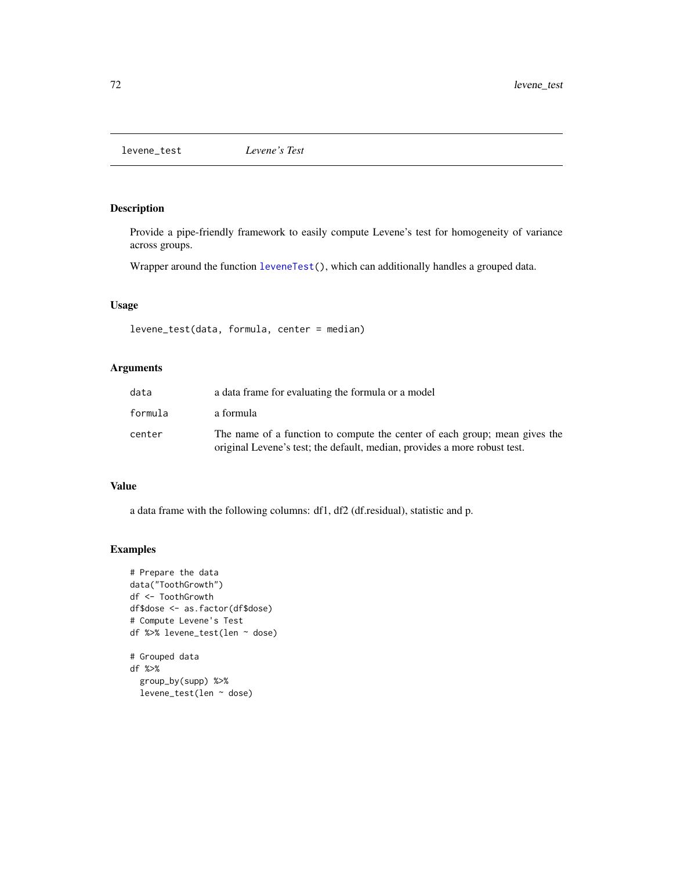levene\_test *Levene's Test*

## Description

Provide a pipe-friendly framework to easily compute Levene's test for homogeneity of variance across groups.

Wrapper around the function [leveneTest\(](#page-0-0)), which can additionally handles a grouped data.

## Usage

levene\_test(data, formula, center = median)

## Arguments

| data    | a data frame for evaluating the formula or a model                                                                                                      |
|---------|---------------------------------------------------------------------------------------------------------------------------------------------------------|
| formula | a formula                                                                                                                                               |
| center  | The name of a function to compute the center of each group; mean gives the<br>original Levene's test; the default, median, provides a more robust test. |

#### Value

a data frame with the following columns: df1, df2 (df.residual), statistic and p.

```
# Prepare the data
data("ToothGrowth")
df <- ToothGrowth
df$dose <- as.factor(df$dose)
# Compute Levene's Test
df %>% levene_test(len ~ dose)
# Grouped data
df %>%
  group_by(supp) %>%
  levene_test(len ~ dose)
```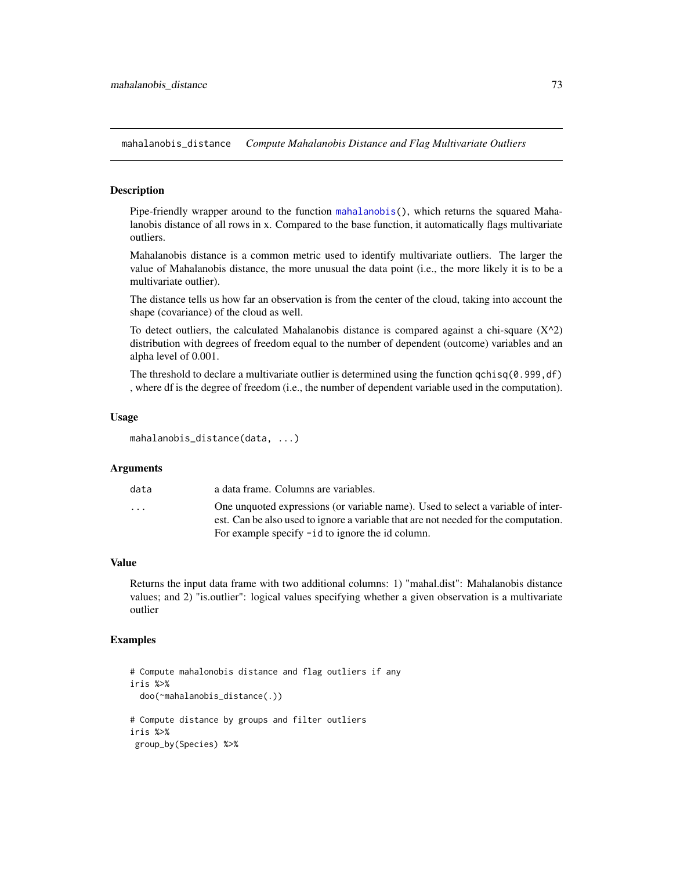<span id="page-72-0"></span>mahalanobis\_distance *Compute Mahalanobis Distance and Flag Multivariate Outliers*

#### Description

Pipe-friendly wrapper around to the function [mahalanobis\(](#page-0-0)), which returns the squared Mahalanobis distance of all rows in x. Compared to the base function, it automatically flags multivariate outliers.

Mahalanobis distance is a common metric used to identify multivariate outliers. The larger the value of Mahalanobis distance, the more unusual the data point (i.e., the more likely it is to be a multivariate outlier).

The distance tells us how far an observation is from the center of the cloud, taking into account the shape (covariance) of the cloud as well.

To detect outliers, the calculated Mahalanobis distance is compared against a chi-square  $(X^2)$ distribution with degrees of freedom equal to the number of dependent (outcome) variables and an alpha level of 0.001.

The threshold to declare a multivariate outlier is determined using the function  $qchi(0.999, df)$ , where df is the degree of freedom (i.e., the number of dependent variable used in the computation).

### Usage

```
mahalanobis_distance(data, ...)
```
#### Arguments

| data                    | a data frame. Columns are variables.                                                |
|-------------------------|-------------------------------------------------------------------------------------|
| $\cdot$ $\cdot$ $\cdot$ | One unquoted expressions (or variable name). Used to select a variable of inter-    |
|                         | est. Can be also used to ignore a variable that are not needed for the computation. |
|                         | For example specify $-i d$ to ignore the id column.                                 |

### Value

Returns the input data frame with two additional columns: 1) "mahal.dist": Mahalanobis distance values; and 2) "is.outlier": logical values specifying whether a given observation is a multivariate outlier

```
# Compute mahalonobis distance and flag outliers if any
iris %>%
 doo(~mahalanobis_distance(.))
# Compute distance by groups and filter outliers
iris %>%
group_by(Species) %>%
```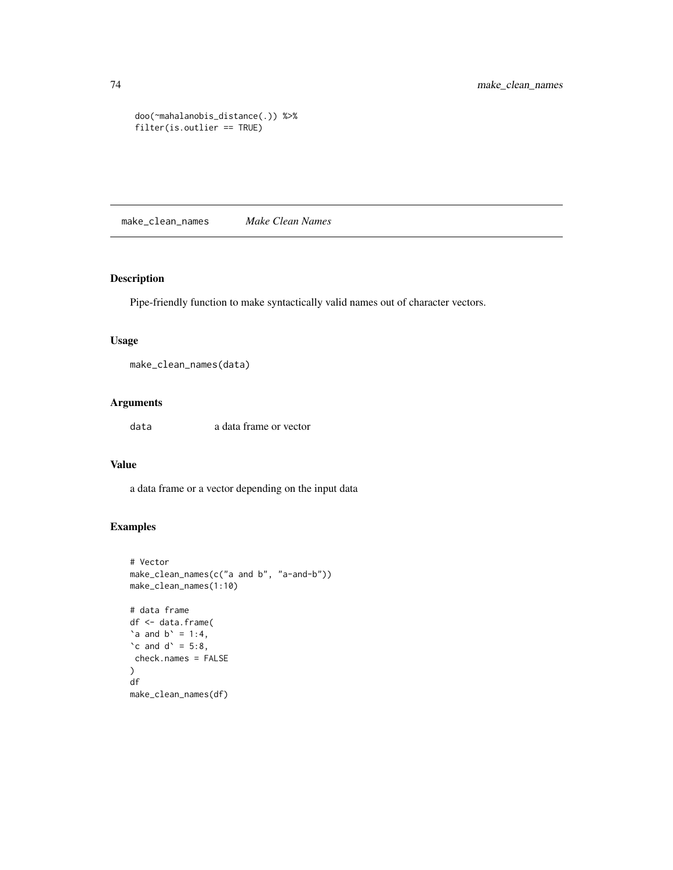```
doo(~mahalanobis_distance(.)) %>%
filter(is.outlier == TRUE)
```
make\_clean\_names *Make Clean Names*

### Description

Pipe-friendly function to make syntactically valid names out of character vectors.

### Usage

make\_clean\_names(data)

### Arguments

data a data frame or vector

# Value

a data frame or a vector depending on the input data

```
# Vector
make_clean_names(c("a and b", "a-and-b"))
make_clean_names(1:10)
# data frame
df <- data.frame(
\alpha and b^{\prime} = 1:4,
\text{`c} and \text{d`} = 5:8,
check.names = FALSE
)
df
make_clean_names(df)
```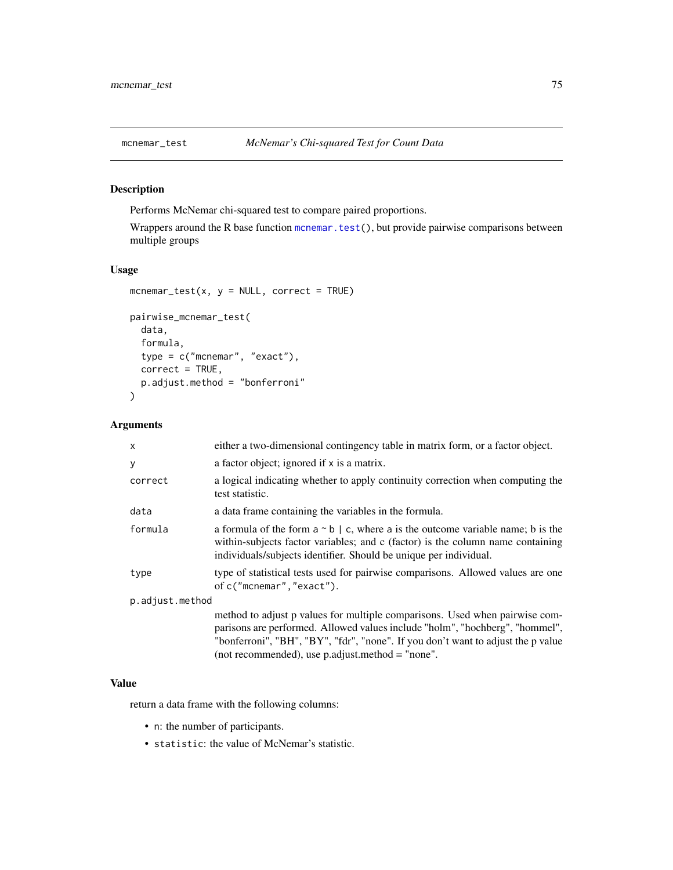<span id="page-74-0"></span>

# Description

Performs McNemar chi-squared test to compare paired proportions.

Wrappers around the R base function [mcnemar.test\(](#page-0-0)), but provide pairwise comparisons between multiple groups

### Usage

```
mcnemar_test(x, y = NULL, correct = TRUE)
pairwise_mcnemar_test(
 data,
  formula,
  type = c("mcnemar", "exact"),
 correct = TRUE,p.adjust.method = "bonferroni"
\mathcal{L}
```
### Arguments

| $\mathsf{x}$    | either a two-dimensional contingency table in matrix form, or a factor object.                                                                                                                                                                                                                        |  |
|-----------------|-------------------------------------------------------------------------------------------------------------------------------------------------------------------------------------------------------------------------------------------------------------------------------------------------------|--|
| y               | a factor object; ignored if x is a matrix.                                                                                                                                                                                                                                                            |  |
| correct         | a logical indicating whether to apply continuity correction when computing the<br>test statistic.                                                                                                                                                                                                     |  |
| data            | a data frame containing the variables in the formula.                                                                                                                                                                                                                                                 |  |
| formula         | a formula of the form $a \sim b \mid c$ , where a is the outcome variable name; b is the<br>within-subjects factor variables; and c (factor) is the column name containing<br>individuals/subjects identifier. Should be unique per individual.                                                       |  |
| type            | type of statistical tests used for pairwise comparisons. Allowed values are one<br>of c("mcnemar","exact").                                                                                                                                                                                           |  |
| p.adjust.method |                                                                                                                                                                                                                                                                                                       |  |
|                 | method to adjust p values for multiple comparisons. Used when pairwise com-<br>parisons are performed. Allowed values include "holm", "hochberg", "hommel",<br>"bonferroni", "BH", "BY", "fdr", "none". If you don't want to adjust the p value<br>(not recommended), use p.adjust.method $=$ "none". |  |

# Value

return a data frame with the following columns:

- n: the number of participants.
- statistic: the value of McNemar's statistic.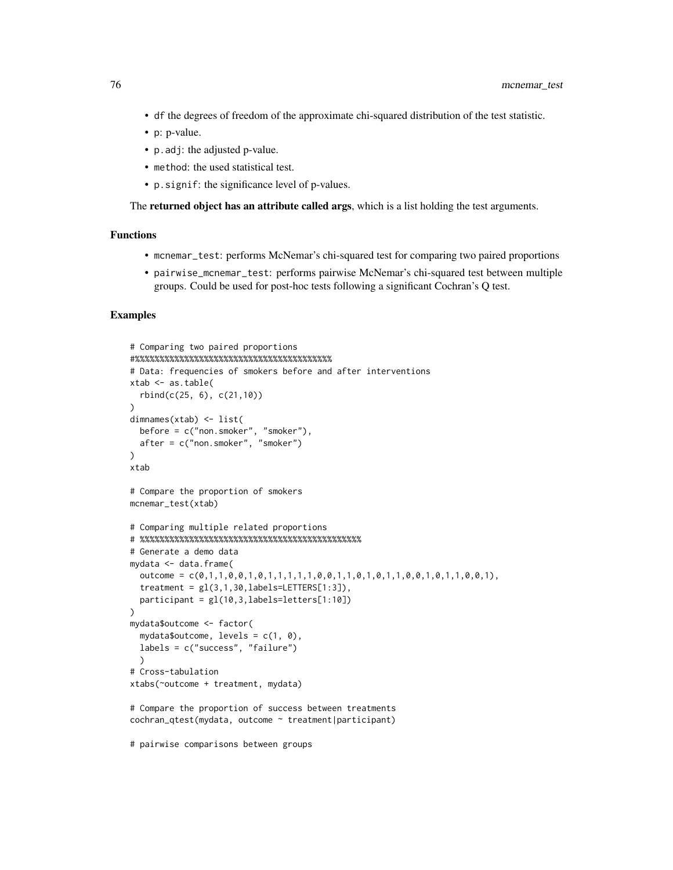- df the degrees of freedom of the approximate chi-squared distribution of the test statistic.
- p: p-value.
- p.adj: the adjusted p-value.
- method: the used statistical test.
- p.signif: the significance level of p-values.

The **returned object has an attribute called args**, which is a list holding the test arguments.

### Functions

- mcnemar\_test: performs McNemar's chi-squared test for comparing two paired proportions
- pairwise\_mcnemar\_test: performs pairwise McNemar's chi-squared test between multiple groups. Could be used for post-hoc tests following a significant Cochran's Q test.

### Examples

```
# Comparing two paired proportions
#%%%%%%%%%%%%%%%%%%%%%%%%%%%%%%%%%%%%%%%%
# Data: frequencies of smokers before and after interventions
xtab \leftarrow as.table(rbind(c(25, 6), c(21,10))
\lambdadimnames(xtab) <- list(
 before = c("non.smoker", "smoker"),
  after = c("non.smoker", "smoker")
\lambdaxtab
# Compare the proportion of smokers
mcnemar_test(xtab)
# Comparing multiple related proportions
# %%%%%%%%%%%%%%%%%%%%%%%%%%%%%%%%%%%%%%%%%%%%%
# Generate a demo data
mydata <- data.frame(
  outcome = c(\emptyset,1,1,0,0,1,0,1,1,1,1,1,0,0,1,1,0,1,1,0,0,1,0,0,1,1,0,0,1),treatment = gl(3,1,30, \text{labels}=\text{LETTERS}[1:3]),
  participant = gl(10,3,labels=letters[1:10])
)
mydata$outcome <- factor(
  mydata$outcome, levels = c(1, 0),
  labels = c("success", "failure")
  )
# Cross-tabulation
xtabs(~outcome + treatment, mydata)
# Compare the proportion of success between treatments
cochran_qtest(mydata, outcome ~ treatment|participant)
```
# pairwise comparisons between groups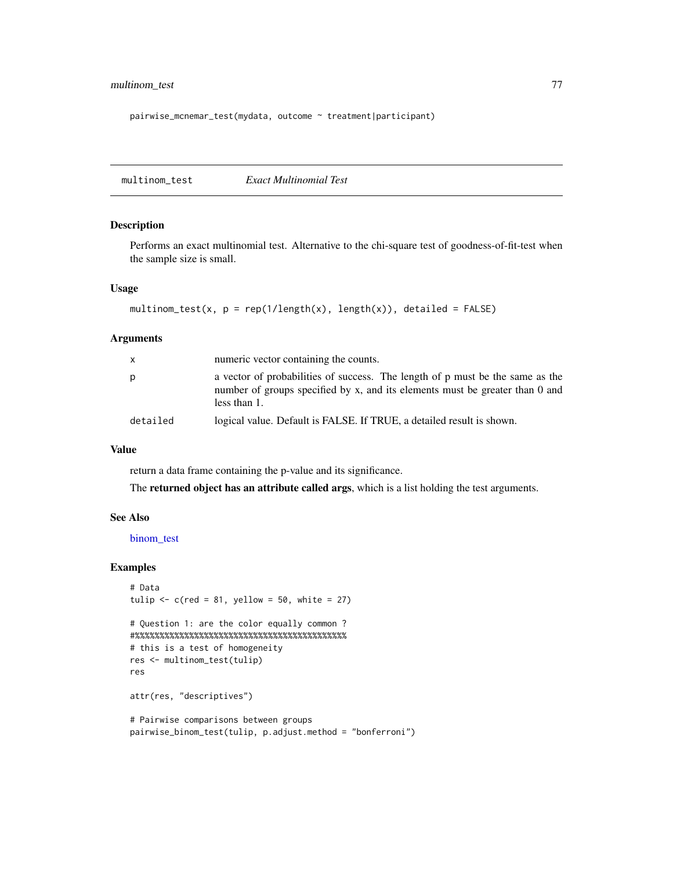# <span id="page-76-0"></span>multinom\_test 77

pairwise\_mcnemar\_test(mydata, outcome ~ treatment|participant)

multinom\_test *Exact Multinomial Test*

### Description

Performs an exact multinomial test. Alternative to the chi-square test of goodness-of-fit-test when the sample size is small.

## Usage

```
multinom_test(x, p = rep(1/length(x), length(x)), detailed = FALSE)
```
### Arguments

| X        | numeric vector containing the counts.                                                                                                                                         |
|----------|-------------------------------------------------------------------------------------------------------------------------------------------------------------------------------|
| p        | a vector of probabilities of success. The length of p must be the same as the<br>number of groups specified by x, and its elements must be greater than 0 and<br>less than 1. |
| detailed | logical value. Default is FALSE. If TRUE, a detailed result is shown.                                                                                                         |

### Value

return a data frame containing the p-value and its significance.

The returned object has an attribute called args, which is a list holding the test arguments.

### See Also

[binom\\_test](#page-11-0)

### Examples

```
# Data
tulip \leq c(red = 81, yellow = 50, white = 27)
```

```
# Question 1: are the color equally common ?
#%%%%%%%%%%%%%%%%%%%%%%%%%%%%%%%%%%%%%%%%%%%
# this is a test of homogeneity
res <- multinom_test(tulip)
res
```
attr(res, "descriptives")

```
# Pairwise comparisons between groups
pairwise_binom_test(tulip, p.adjust.method = "bonferroni")
```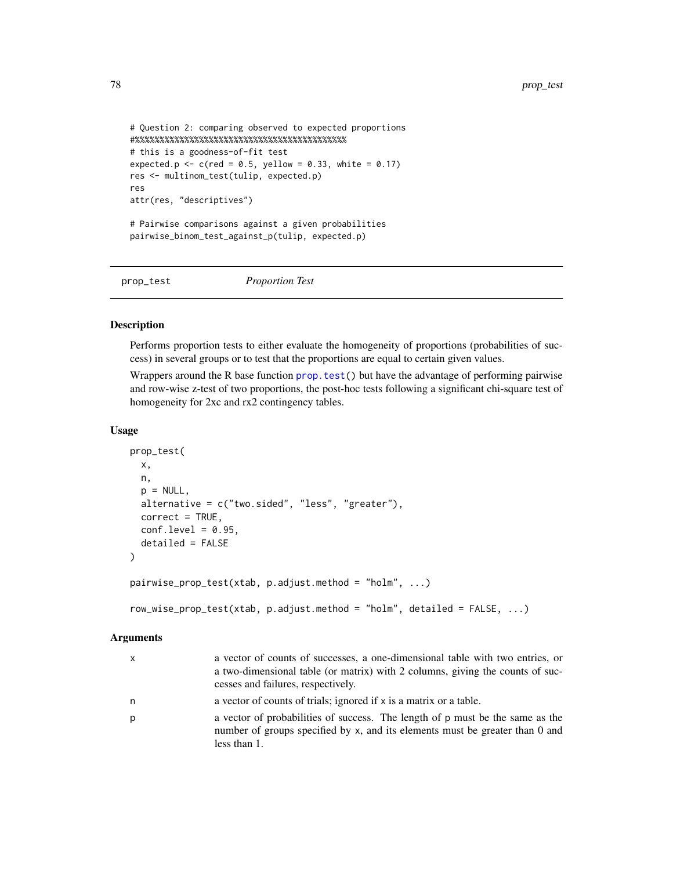```
# Question 2: comparing observed to expected proportions
#%%%%%%%%%%%%%%%%%%%%%%%%%%%%%%%%%%%%%%%%%%%
# this is a goodness-of-fit test
expected.p \leq c(red = 0.5, yellow = 0.33, white = 0.17)
res <- multinom_test(tulip, expected.p)
res
attr(res, "descriptives")
# Pairwise comparisons against a given probabilities
pairwise_binom_test_against_p(tulip, expected.p)
```
prop\_test *Proportion Test*

### Description

Performs proportion tests to either evaluate the homogeneity of proportions (probabilities of success) in several groups or to test that the proportions are equal to certain given values.

Wrappers around the R base function [prop.test\(](#page-0-0)) but have the advantage of performing pairwise and row-wise z-test of two proportions, the post-hoc tests following a significant chi-square test of homogeneity for 2xc and rx2 contingency tables.

### Usage

```
prop_test(
 x,
 n,
 p = NULL,alternative = c("two.sided", "less", "greater"),
 correct = TRUE,conf. level = 0.95,
 detailed = FALSE
\lambdapairwise\_prop\_test(xtab, p.addjust.method = "holm", ...})row_wise_prop_test(xtab, p.adjust.method = "holm", detailed = FALSE, ...)
```

| X | a vector of counts of successes, a one-dimensional table with two entries, or<br>a two-dimensional table (or matrix) with 2 columns, giving the counts of suc-<br>cesses and failures, respectively. |
|---|------------------------------------------------------------------------------------------------------------------------------------------------------------------------------------------------------|
| n | a vector of counts of trials; ignored if x is a matrix or a table.                                                                                                                                   |
| р | a vector of probabilities of success. The length of p must be the same as the<br>number of groups specified by x, and its elements must be greater than 0 and<br>less than 1.                        |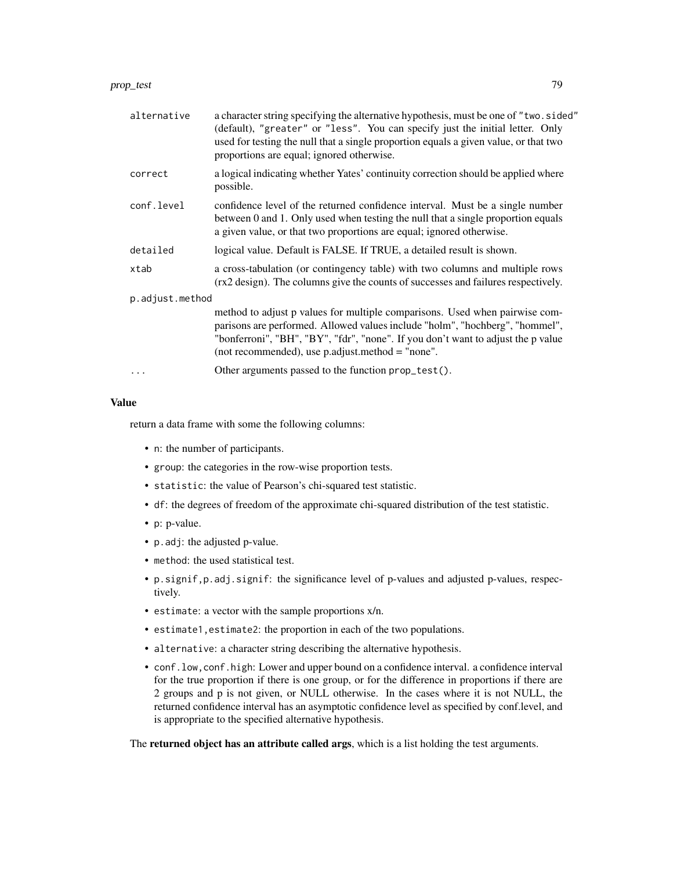| alternative     | a character string specifying the alternative hypothesis, must be one of "two.sided"<br>(default), "greater" or "less". You can specify just the initial letter. Only<br>used for testing the null that a single proportion equals a given value, or that two<br>proportions are equal; ignored otherwise. |
|-----------------|------------------------------------------------------------------------------------------------------------------------------------------------------------------------------------------------------------------------------------------------------------------------------------------------------------|
| correct         | a logical indicating whether Yates' continuity correction should be applied where<br>possible.                                                                                                                                                                                                             |
| conf.level      | confidence level of the returned confidence interval. Must be a single number<br>between 0 and 1. Only used when testing the null that a single proportion equals<br>a given value, or that two proportions are equal; ignored otherwise.                                                                  |
| detailed        | logical value. Default is FALSE. If TRUE, a detailed result is shown.                                                                                                                                                                                                                                      |
| xtab            | a cross-tabulation (or contingency table) with two columns and multiple rows<br>(rx2 design). The columns give the counts of successes and failures respectively.                                                                                                                                          |
| p.adjust.method |                                                                                                                                                                                                                                                                                                            |
|                 | method to adjust p values for multiple comparisons. Used when pairwise com-<br>parisons are performed. Allowed values include "holm", "hochberg", "hommel",<br>"bonferroni", "BH", "BY", "fdr", "none". If you don't want to adjust the p value<br>(not recommended), use $p$ adjust method $=$ "none".    |
| $\ddots$ .      | Other arguments passed to the function prop_test().                                                                                                                                                                                                                                                        |

#### Value

return a data frame with some the following columns:

- n: the number of participants.
- group: the categories in the row-wise proportion tests.
- statistic: the value of Pearson's chi-squared test statistic.
- df: the degrees of freedom of the approximate chi-squared distribution of the test statistic.
- p: p-value.
- p.adj: the adjusted p-value.
- method: the used statistical test.
- p.signif,p.adj.signif: the significance level of p-values and adjusted p-values, respectively.
- estimate: a vector with the sample proportions x/n.
- estimate1,estimate2: the proportion in each of the two populations.
- alternative: a character string describing the alternative hypothesis.
- conf.low,conf.high: Lower and upper bound on a confidence interval. a confidence interval for the true proportion if there is one group, or for the difference in proportions if there are 2 groups and p is not given, or NULL otherwise. In the cases where it is not NULL, the returned confidence interval has an asymptotic confidence level as specified by conf.level, and is appropriate to the specified alternative hypothesis.

The returned object has an attribute called args, which is a list holding the test arguments.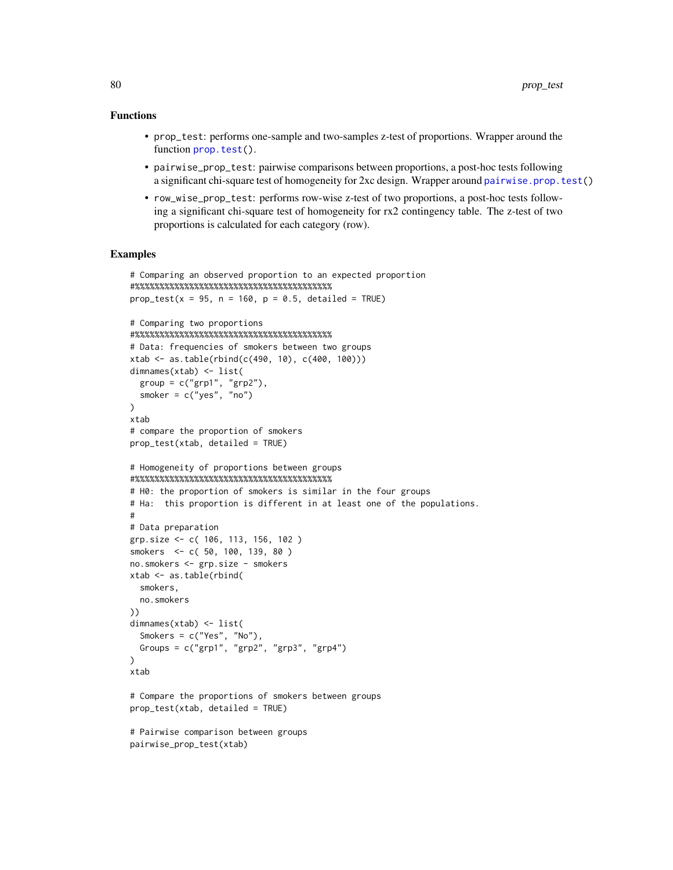### <span id="page-79-0"></span>Functions

- prop\_test: performs one-sample and two-samples z-test of proportions. Wrapper around the function [prop.test\(](#page-0-0)).
- pairwise\_prop\_test: pairwise comparisons between proportions, a post-hoc tests following a significant chi-square test of homogeneity for 2xc design. Wrapper around [pairwise.prop.test\(](#page-0-0))
- row\_wise\_prop\_test: performs row-wise z-test of two proportions, a post-hoc tests following a significant chi-square test of homogeneity for rx2 contingency table. The z-test of two proportions is calculated for each category (row).

### Examples

pairwise\_prop\_test(xtab)

```
# Comparing an observed proportion to an expected proportion
#%%%%%%%%%%%%%%%%%%%%%%%%%%%%%%%%%%%%%%%%
prop_test(x = 95, n = 160, p = 0.5, detailed = TRUE)
# Comparing two proportions
#%%%%%%%%%%%%%%%%%%%%%%%%%%%%%%%%%%%%%%%%
# Data: frequencies of smokers between two groups
xtab \leftarrow as.table(rbind(c(490, 10), c(400, 100)))dimnames(xtab) <- list(
  group = c("grp1", "grp2"),
  smoker = c("yes", "no")
)
xtab
# compare the proportion of smokers
prop_test(xtab, detailed = TRUE)
# Homogeneity of proportions between groups
#%%%%%%%%%%%%%%%%%%%%%%%%%%%%%%%%%%%%%%%%
# H0: the proportion of smokers is similar in the four groups
# Ha: this proportion is different in at least one of the populations.
#
# Data preparation
grp.size <- c( 106, 113, 156, 102 )
smokers <- c( 50, 100, 139, 80 )
no.smokers <- grp.size - smokers
xtab <- as.table(rbind(
  smokers,
  no.smokers
))
dimnames(xtab) <- list(
  Smokers = c("Yes", "No"),
  Groups = c("grp1", "grp2", "grp3", "grp4")
\mathcal{L}xtab
# Compare the proportions of smokers between groups
prop_test(xtab, detailed = TRUE)
# Pairwise comparison between groups
```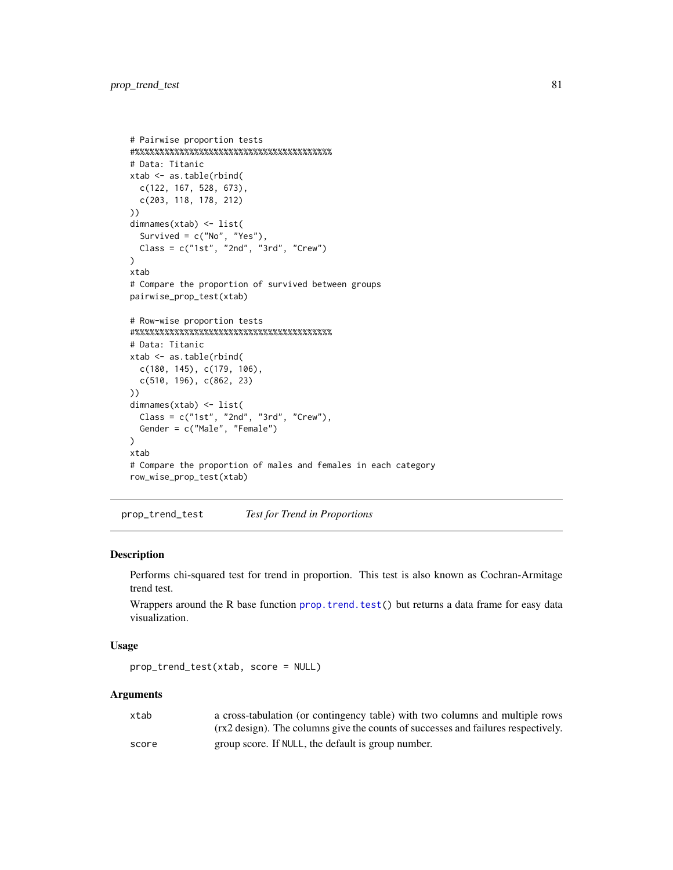```
# Pairwise proportion tests
#%%%%%%%%%%%%%%%%%%%%%%%%%%%%%%%%%%%%%%%%
# Data: Titanic
xtab <- as.table(rbind(
  c(122, 167, 528, 673),
  c(203, 118, 178, 212)
))
dimnames(xtab) <- list(
  Survived = c("No", "Yes"),
  Class = c("1st", "2nd", "3rd", "Crew")
)
xtab
# Compare the proportion of survived between groups
pairwise_prop_test(xtab)
# Row-wise proportion tests
#%%%%%%%%%%%%%%%%%%%%%%%%%%%%%%%%%%%%%%%%
# Data: Titanic
xtab <- as.table(rbind(
  c(180, 145), c(179, 106),
  c(510, 196), c(862, 23)
))
dimnames(xtab) <- list(
  Class = c("1st", "2nd", "3rd", "Crew"),
  Gender = c("Male", "Female")
)
xtab
# Compare the proportion of males and females in each category
row_wise_prop_test(xtab)
```
prop\_trend\_test *Test for Trend in Proportions*

### Description

Performs chi-squared test for trend in proportion. This test is also known as Cochran-Armitage trend test.

Wrappers around the R base function [prop.trend.test\(](#page-0-0)) but returns a data frame for easy data visualization.

#### Usage

```
prop_trend_test(xtab, score = NULL)
```

| xtab  | a cross-tabulation (or contingency table) with two columns and multiple rows      |
|-------|-----------------------------------------------------------------------------------|
|       | (rx2 design). The columns give the counts of successes and failures respectively. |
| score | group score. If NULL, the default is group number.                                |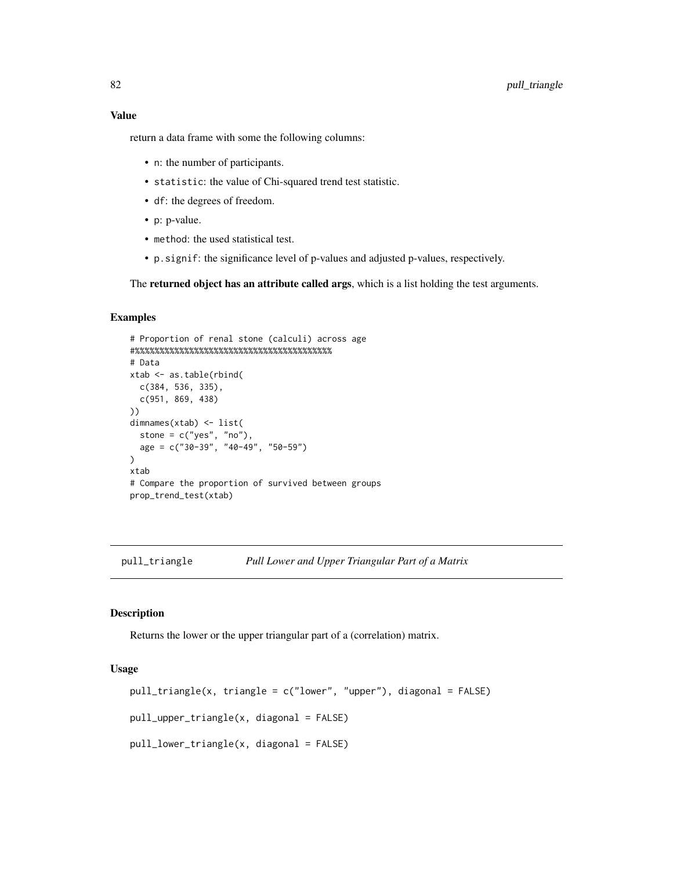### <span id="page-81-1"></span>Value

return a data frame with some the following columns:

- n: the number of participants.
- statistic: the value of Chi-squared trend test statistic.
- df: the degrees of freedom.
- p: p-value.
- method: the used statistical test.
- p.signif: the significance level of p-values and adjusted p-values, respectively.

The returned object has an attribute called args, which is a list holding the test arguments.

### Examples

```
# Proportion of renal stone (calculi) across age
#%%%%%%%%%%%%%%%%%%%%%%%%%%%%%%%%%%%%%%%%
# Data
xtab <- as.table(rbind(
  c(384, 536, 335),
  c(951, 869, 438)
))
dimnames(xtab) <- list(
  stone = c("yes", "no"),age = c("30-39", "40-49", "50-59")
)
xtab
# Compare the proportion of survived between groups
prop_trend_test(xtab)
```
<span id="page-81-0"></span>pull\_triangle *Pull Lower and Upper Triangular Part of a Matrix*

### Description

Returns the lower or the upper triangular part of a (correlation) matrix.

### Usage

```
pull_triangle(x, triangle = c("lower", "upper"), diagonal = FALSE)
pull_upper_triangle(x, diagonal = FALSE)
pull_lower_triangle(x, diagonal = FALSE)
```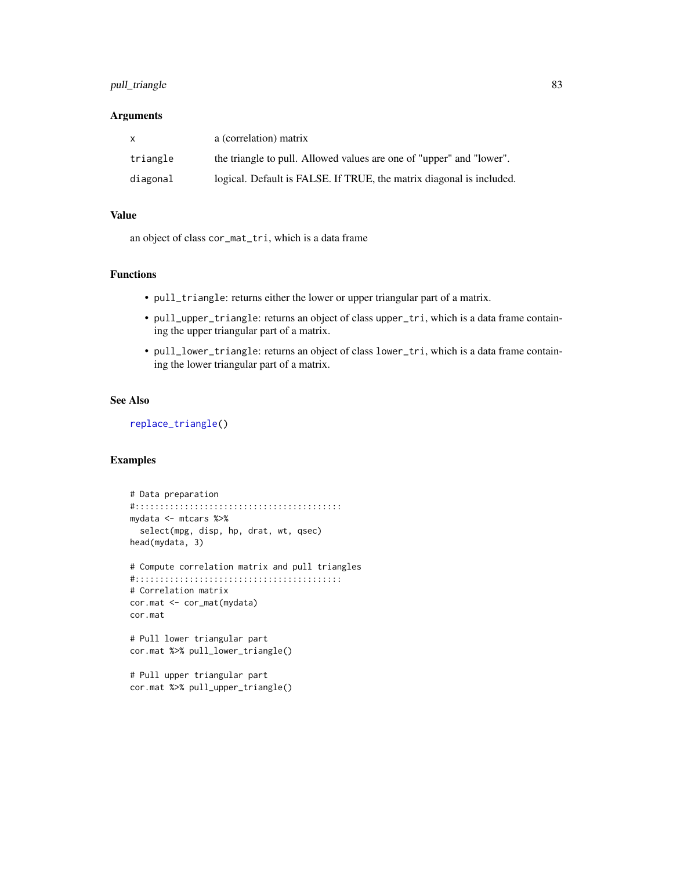# <span id="page-82-0"></span>pull\_triangle 83

### Arguments

| $\mathsf{x}$ | a (correlation) matrix                                               |
|--------------|----------------------------------------------------------------------|
| triangle     | the triangle to pull. Allowed values are one of "upper" and "lower". |
| diagonal     | logical. Default is FALSE. If TRUE, the matrix diagonal is included. |

### Value

an object of class cor\_mat\_tri, which is a data frame

### Functions

- pull\_triangle: returns either the lower or upper triangular part of a matrix.
- pull\_upper\_triangle: returns an object of class upper\_tri, which is a data frame containing the upper triangular part of a matrix.
- pull\_lower\_triangle: returns an object of class lower\_tri, which is a data frame containing the lower triangular part of a matrix.

### See Also

[replace\\_triangle\(](#page-86-0))

```
# Data preparation
#::::::::::::::::::::::::::::::::::::::::::
mydata <- mtcars %>%
  select(mpg, disp, hp, drat, wt, qsec)
head(mydata, 3)
# Compute correlation matrix and pull triangles
#::::::::::::::::::::::::::::::::::::::::::
# Correlation matrix
cor.mat <- cor_mat(mydata)
cor.mat
# Pull lower triangular part
cor.mat %>% pull_lower_triangle()
# Pull upper triangular part
cor.mat %>% pull_upper_triangle()
```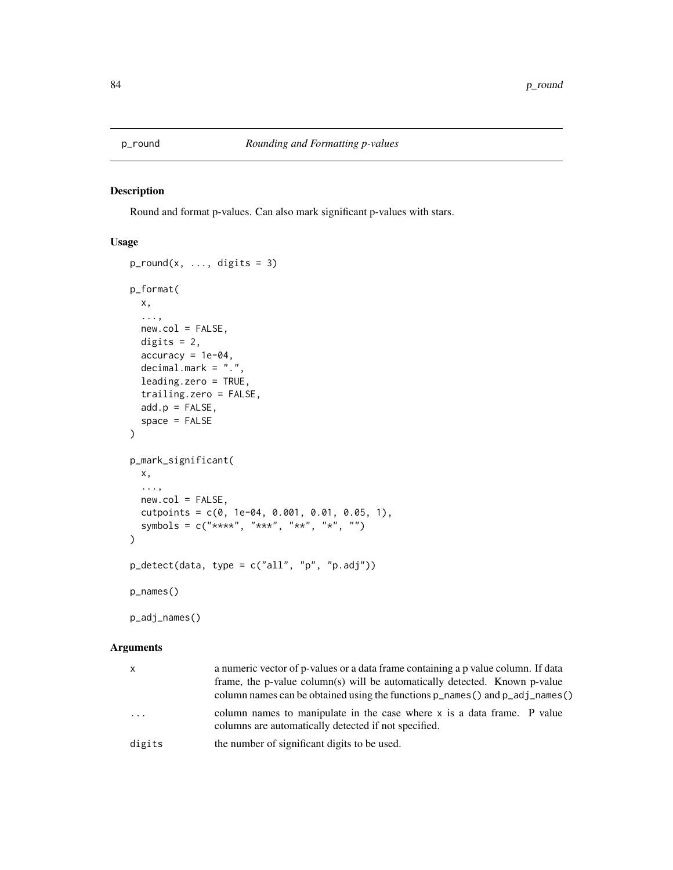<span id="page-83-0"></span>

# Description

Round and format p-values. Can also mark significant p-values with stars.

# Usage

```
p_{round}(x, ..., \text{ digits} = 3)p_format(
 x,
  ...,
 new,col = FALSE,digits = 2,
  accuracy = 1e-04,
 decimal.mark = ".",
  leading.zero = TRUE,
  trailing.zero = FALSE,
  add.p = FALSE,space = FALSE)
p_mark_significant(
 x,
  ...,
 new,col = FALSE,cutpoints = c(0, 1e-04, 0.001, 0.01, 0.05, 1),
  symbols = c("***", "***", "**", "**", "")\mathcal{L}p_detect(data, type = c("all", "p", "p.adj"))
p_names()
```
p\_adj\_names()

| x      | a numeric vector of p-values or a data frame containing a p value column. If data<br>frame, the p-value column(s) will be automatically detected. Known p-value<br>column names can be obtained using the functions $p$ <sub>names</sub> () and $p$ <sub>nad</sub> j <sub>names</sub> () |
|--------|------------------------------------------------------------------------------------------------------------------------------------------------------------------------------------------------------------------------------------------------------------------------------------------|
| .      | column names to manipulate in the case where x is a data frame. P value<br>columns are automatically detected if not specified.                                                                                                                                                          |
| digits | the number of significant digits to be used.                                                                                                                                                                                                                                             |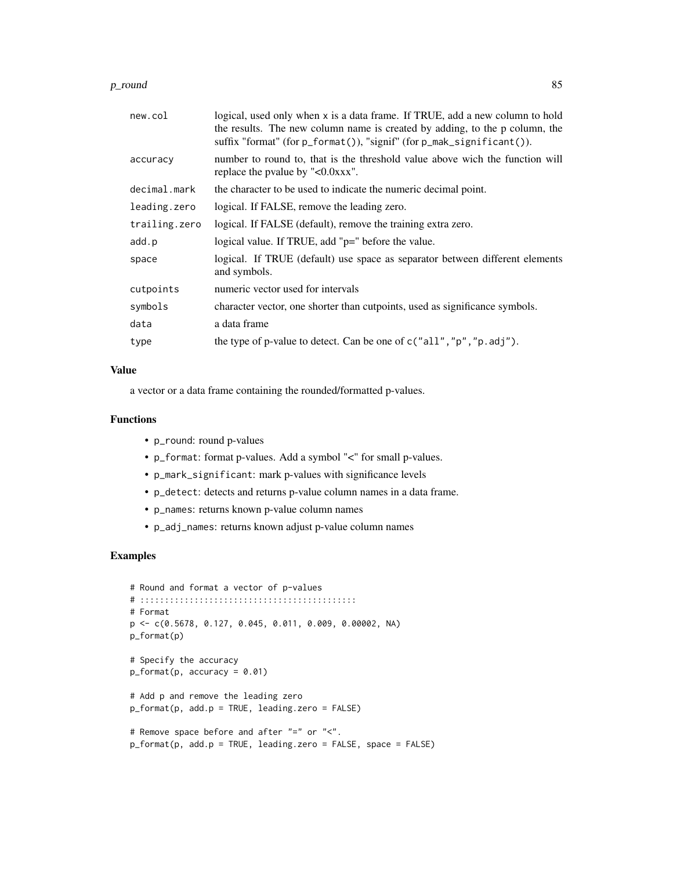#### $p_{\text{normal}}$  and  $\approx$

| new.col       | logical, used only when x is a data frame. If TRUE, add a new column to hold<br>the results. The new column name is created by adding, to the p column, the<br>suffix "format" (for p_format()), "signif" (for p_mak_significant()). |  |
|---------------|--------------------------------------------------------------------------------------------------------------------------------------------------------------------------------------------------------------------------------------|--|
| accuracy      | number to round to, that is the threshold value above wich the function will<br>replace the pvalue by "<0.0xxx".                                                                                                                     |  |
| decimal.mark  | the character to be used to indicate the numeric decimal point.                                                                                                                                                                      |  |
| leading.zero  | logical. If FALSE, remove the leading zero.                                                                                                                                                                                          |  |
| trailing.zero | logical. If FALSE (default), remove the training extra zero.                                                                                                                                                                         |  |
| add.p         | logical value. If TRUE, add "p=" before the value.                                                                                                                                                                                   |  |
| space         | logical. If TRUE (default) use space as separator between different elements<br>and symbols.                                                                                                                                         |  |
| cutpoints     | numeric vector used for intervals                                                                                                                                                                                                    |  |
| symbols       | character vector, one shorter than cutpoints, used as significance symbols.                                                                                                                                                          |  |
| data          | a data frame                                                                                                                                                                                                                         |  |
| type          | the type of p-value to detect. Can be one of $c("all", "p", "p.add]").$                                                                                                                                                              |  |

### Value

a vector or a data frame containing the rounded/formatted p-values.

### Functions

- p\_round: round p-values
- p\_format: format p-values. Add a symbol "<" for small p-values.
- p\_mark\_significant: mark p-values with significance levels
- p\_detect: detects and returns p-value column names in a data frame.
- p\_names: returns known p-value column names
- p\_adj\_names: returns known adjust p-value column names

```
# Round and format a vector of p-values
# ::::::::::::::::::::::::::::::::::::::::::::
# Format
p <- c(0.5678, 0.127, 0.045, 0.011, 0.009, 0.00002, NA)
p_format(p)
# Specify the accuracy
p_format(p, accuracy = 0.01)
# Add p and remove the leading zero
p_format(p, add.p = TRUE, leading.zero = FALSE)
# Remove space before and after "=" or "<".
p_format(p, add.p = TRUE, leading.zero = FALSE, space = FALSE)
```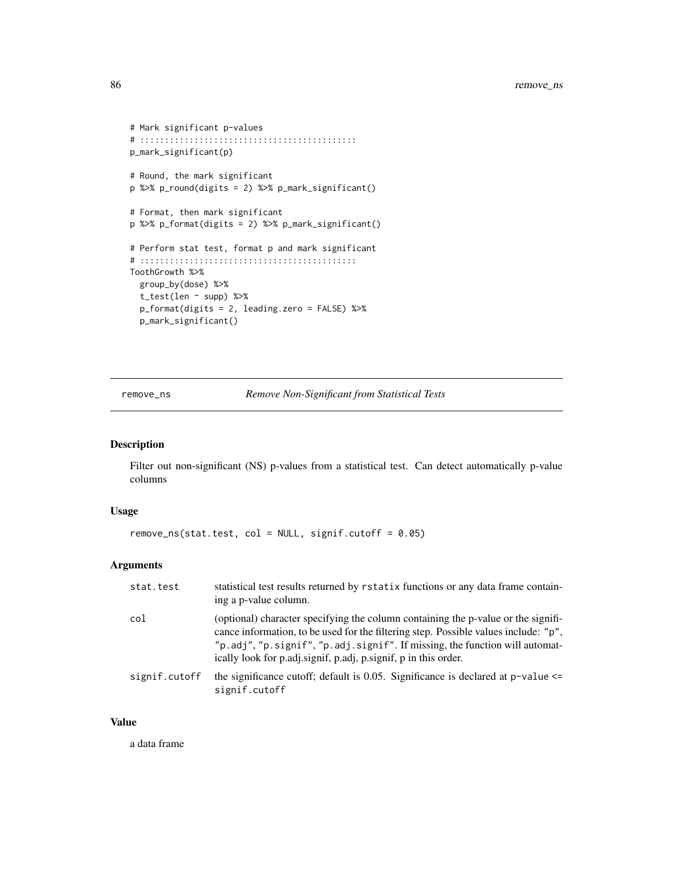```
# Mark significant p-values
# ::::::::::::::::::::::::::::::::::::::::::::
p_mark_significant(p)
# Round, the mark significant
p %>% p_round(digits = 2) %>% p_mark_significant()
# Format, then mark significant
p %>% p_format(digits = 2) %>% p_mark_significant()
# Perform stat test, format p and mark significant
# ::::::::::::::::::::::::::::::::::::::::::::
ToothGrowth %>%
  group_by(dose) %>%
  t_test(len ~ supp) %>%
  p_format(digits = 2, leading.zero = FALSE) %>%
  p_mark_significant()
```
remove\_ns *Remove Non-Significant from Statistical Tests*

# Description

Filter out non-significant (NS) p-values from a statistical test. Can detect automatically p-value columns

### Usage

```
remove_ns(stat.test, col = NULL, signif.cutoff = 0.05)
```
# Arguments

| stat.test     | statistical test results returned by rstatix functions or any data frame contain-<br>ing a p-value column.                                                                                                                                                                                                                 |
|---------------|----------------------------------------------------------------------------------------------------------------------------------------------------------------------------------------------------------------------------------------------------------------------------------------------------------------------------|
| col           | (optional) character specifying the column containing the p-value or the signifi-<br>cance information, to be used for the filtering step. Possible values include: "p",<br>"p.adj", "p.signif", "p.adj.signif". If missing, the function will automat-<br>ically look for p.adj.signif, p.adj, p.signif, p in this order. |
| signif.cutoff | the significance cutoff; default is 0.05. Significance is declared at $p$ -value $\leq$<br>signif.cutoff                                                                                                                                                                                                                   |

#### Value

a data frame

<span id="page-85-0"></span>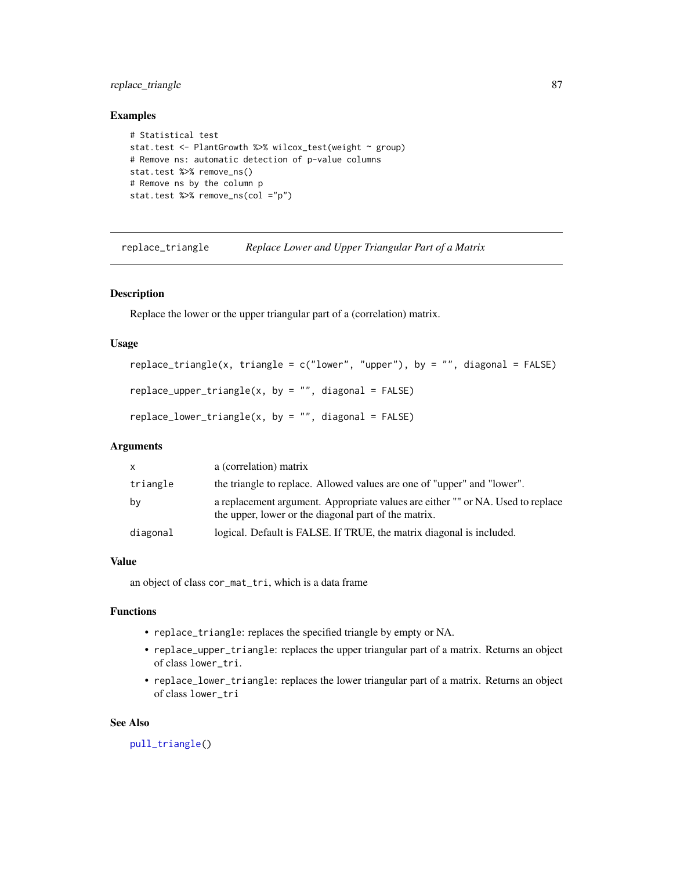# <span id="page-86-1"></span>replace\_triangle 87

### Examples

```
# Statistical test
stat.test <- PlantGrowth %>% wilcox_test(weight ~ group)
# Remove ns: automatic detection of p-value columns
stat.test %>% remove_ns()
# Remove ns by the column p
stat.test %>% remove_ns(col ="p")
```
<span id="page-86-0"></span>replace\_triangle *Replace Lower and Upper Triangular Part of a Matrix*

# Description

Replace the lower or the upper triangular part of a (correlation) matrix.

### Usage

```
replace_triangle(x, triangle = c("lower", "upper"), by = "", diagonal = FALSE)replace\_upper\_triangle(x, by = "", diagonal = FALSE)replace\_lower\_triangle(x, by = "", diagonal = FALSE)
```
# Arguments

| $\mathsf{x}$ | a (correlation) matrix                                                                                                                  |
|--------------|-----------------------------------------------------------------------------------------------------------------------------------------|
| triangle     | the triangle to replace. Allowed values are one of "upper" and "lower".                                                                 |
| by           | a replacement argument. Appropriate values are either "" or NA. Used to replace<br>the upper, lower or the diagonal part of the matrix. |
| diagonal     | logical. Default is FALSE. If TRUE, the matrix diagonal is included.                                                                    |

# Value

an object of class cor\_mat\_tri, which is a data frame

# Functions

- replace\_triangle: replaces the specified triangle by empty or NA.
- replace\_upper\_triangle: replaces the upper triangular part of a matrix. Returns an object of class lower\_tri.
- replace\_lower\_triangle: replaces the lower triangular part of a matrix. Returns an object of class lower\_tri

### See Also

[pull\\_triangle\(](#page-81-0))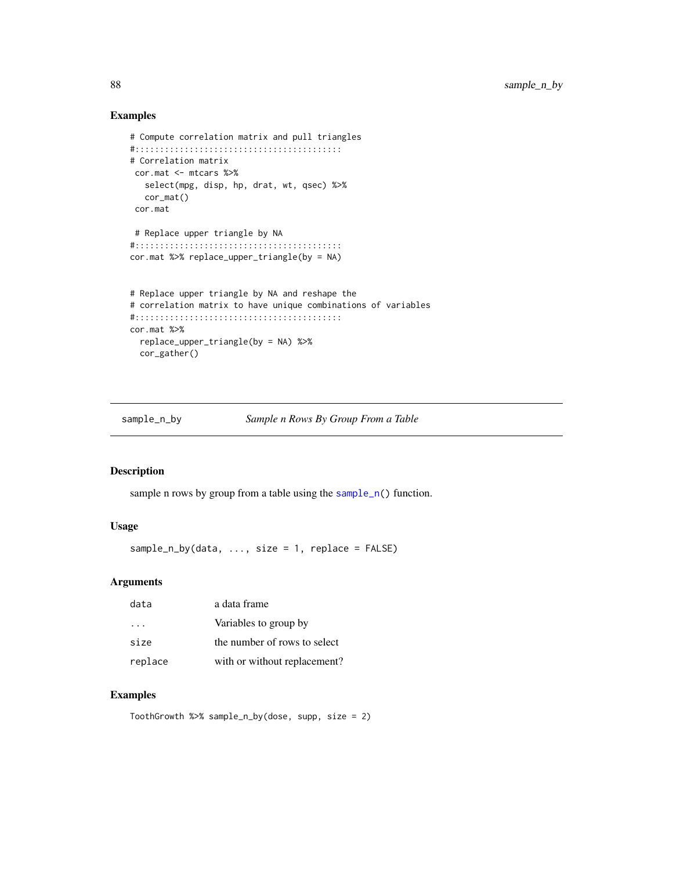# Examples

```
# Compute correlation matrix and pull triangles
#::::::::::::::::::::::::::::::::::::::::::
# Correlation matrix
 cor.mat <- mtcars %>%
   select(mpg, disp, hp, drat, wt, qsec) %>%
   cor_mat()
 cor.mat
# Replace upper triangle by NA
#::::::::::::::::::::::::::::::::::::::::::
cor.mat %>% replace_upper_triangle(by = NA)
# Replace upper triangle by NA and reshape the
# correlation matrix to have unique combinations of variables
#::::::::::::::::::::::::::::::::::::::::::
cor.mat %>%
  replace_upper_triangle(by = NA) %>%
  cor_gather()
```
sample\_n\_by *Sample n Rows By Group From a Table*

# Description

sample n rows by group from a table using the [sample\\_n\(](#page-0-0)) function.

# Usage

sample\_n\_by(data, ..., size = 1, replace = FALSE)

#### Arguments

| data     | a data frame                 |
|----------|------------------------------|
| $\cdots$ | Variables to group by        |
| size     | the number of rows to select |
| replace  | with or without replacement? |

# Examples

ToothGrowth %>% sample\_n\_by(dose, supp, size = 2)

<span id="page-87-0"></span>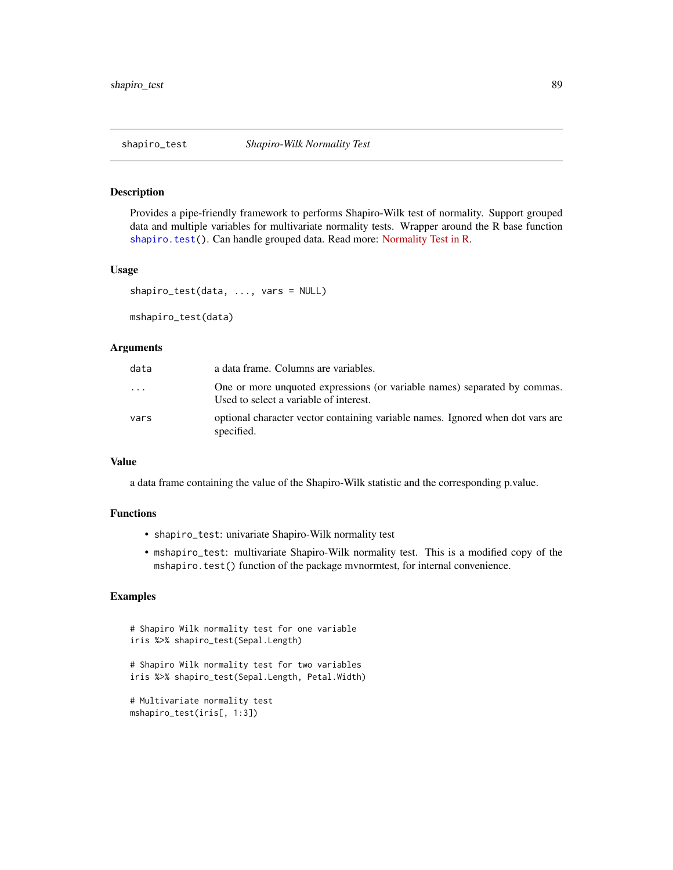<span id="page-88-0"></span>

### Description

Provides a pipe-friendly framework to performs Shapiro-Wilk test of normality. Support grouped data and multiple variables for multivariate normality tests. Wrapper around the R base function [shapiro.test\(](#page-0-0)). Can handle grouped data. Read more: [Normality Test in R.](https://www.datanovia.com/en/lessons/normality-test-in-r/)

### Usage

```
shapiro_test(data, ..., vars = NULL)
```
mshapiro\_test(data)

### **Arguments**

| data     | a data frame. Columns are variables.                                                                                |
|----------|---------------------------------------------------------------------------------------------------------------------|
| $\cdots$ | One or more unquoted expressions (or variable names) separated by commas.<br>Used to select a variable of interest. |
| vars     | optional character vector containing variable names. Ignored when dot vars are<br>specified.                        |

# Value

a data frame containing the value of the Shapiro-Wilk statistic and the corresponding p.value.

# Functions

- shapiro\_test: univariate Shapiro-Wilk normality test
- mshapiro\_test: multivariate Shapiro-Wilk normality test. This is a modified copy of the mshapiro.test() function of the package mvnormtest, for internal convenience.

```
# Shapiro Wilk normality test for one variable
iris %>% shapiro_test(Sepal.Length)
# Shapiro Wilk normality test for two variables
iris %>% shapiro_test(Sepal.Length, Petal.Width)
# Multivariate normality test
```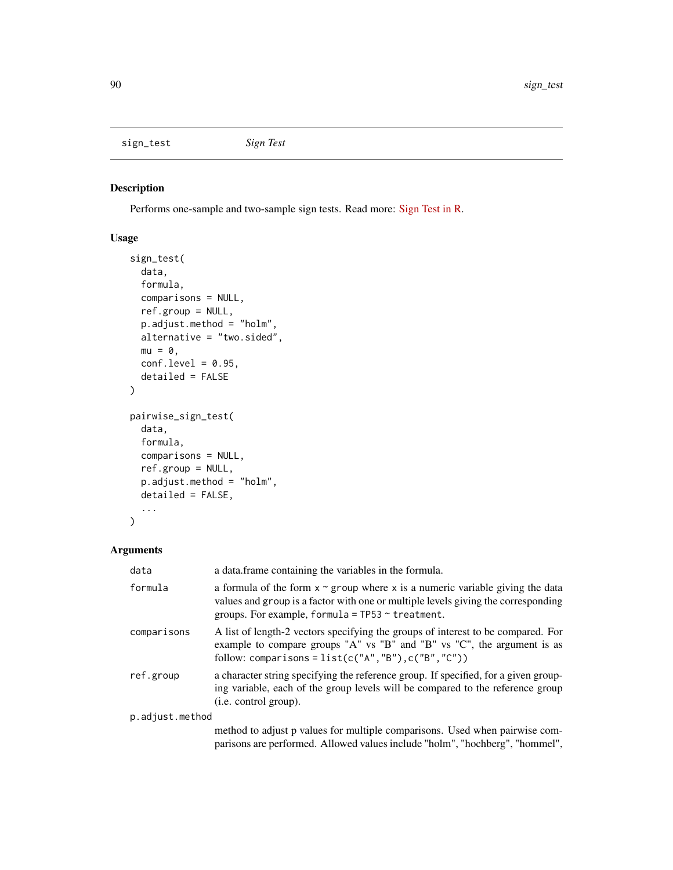<span id="page-89-0"></span>sign\_test *Sign Test*

# Description

Performs one-sample and two-sample sign tests. Read more: [Sign Test in R.](https://www.datanovia.com/en/lessons/sign-test-in-r/)

# Usage

```
sign_test(
  data,
  formula,
  comparisons = NULL,
  ref.group = NULL,
  p.adjust.method = "holm",
  alternative = "two.sided",
 mu = 0,
 conf. level = 0.95,detailed = FALSE
)
pairwise_sign_test(
  data,
  formula,
  comparisons = NULL,
  ref.group = NULL,
  p.adjust.method = "holm",
  detailed = FALSE,
  ...
)
```

| data            | a data. frame containing the variables in the formula.                                                                                                                                                                            |
|-----------------|-----------------------------------------------------------------------------------------------------------------------------------------------------------------------------------------------------------------------------------|
| formula         | a formula of the form $x \sim g$ roup where x is a numeric variable giving the data<br>values and group is a factor with one or multiple levels giving the corresponding<br>groups. For example, formula = $TP53 \sim$ treatment. |
| comparisons     | A list of length-2 vectors specifying the groups of interest to be compared. For<br>example to compare groups "A" vs "B" and "B" vs "C", the argument is as<br>follow: comparisons = $list(c("A", "B"), c("B", "C"))$             |
| ref.group       | a character string specifying the reference group. If specified, for a given group-<br>ing variable, each of the group levels will be compared to the reference group<br>( <i>i.e.</i> control group).                            |
| p.adjust.method |                                                                                                                                                                                                                                   |
|                 | method to adjust p values for multiple comparisons. Used when pairwise com-<br>parisons are performed. Allowed values include "holm", "hochberg", "hommel",                                                                       |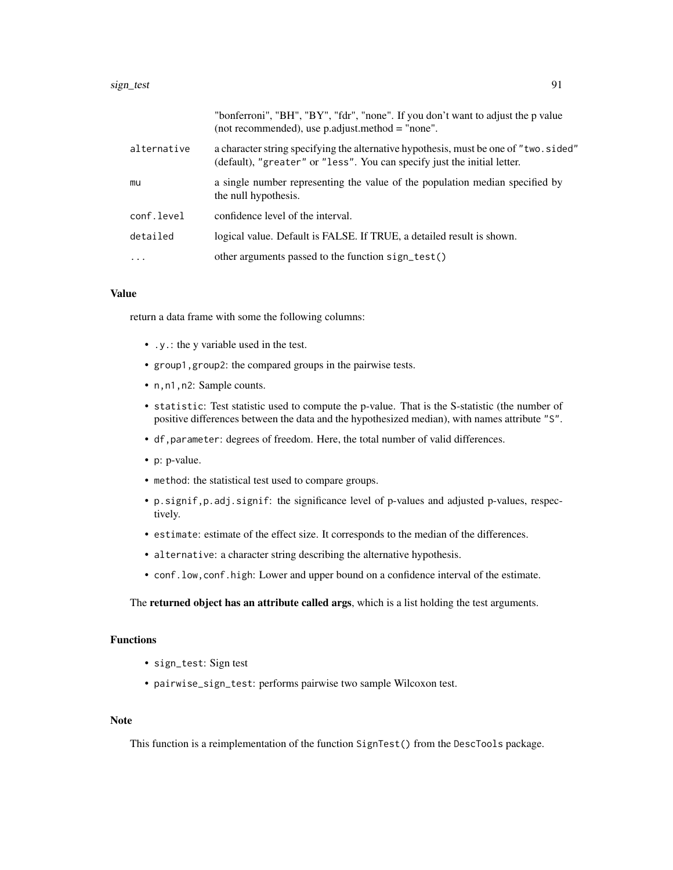|             | "bonferroni", "BH", "BY", "fdr", "none". If you don't want to adjust the p value<br>(not recommended), use $p$ adjust method = "none".                            |
|-------------|-------------------------------------------------------------------------------------------------------------------------------------------------------------------|
| alternative | a character string specifying the alternative hypothesis, must be one of "two. sided"<br>(default), "greater" or "less". You can specify just the initial letter. |
| mu          | a single number representing the value of the population median specified by<br>the null hypothesis.                                                              |
| conf.level  | confidence level of the interval.                                                                                                                                 |
| detailed    | logical value. Default is FALSE. If TRUE, a detailed result is shown.                                                                                             |
| $\cdot$     | other arguments passed to the function sign_test()                                                                                                                |

### Value

return a data frame with some the following columns:

- .y.: the y variable used in the test.
- group1,group2: the compared groups in the pairwise tests.
- n,n1,n2: Sample counts.
- statistic: Test statistic used to compute the p-value. That is the S-statistic (the number of positive differences between the data and the hypothesized median), with names attribute "S".
- df,parameter: degrees of freedom. Here, the total number of valid differences.
- p: p-value.
- method: the statistical test used to compare groups.
- p.signif,p.adj.signif: the significance level of p-values and adjusted p-values, respectively.
- estimate: estimate of the effect size. It corresponds to the median of the differences.
- alternative: a character string describing the alternative hypothesis.
- conf.low,conf.high: Lower and upper bound on a confidence interval of the estimate.

The returned object has an attribute called args, which is a list holding the test arguments.

### Functions

- sign\_test: Sign test
- pairwise\_sign\_test: performs pairwise two sample Wilcoxon test.

### Note

This function is a reimplementation of the function SignTest() from the DescTools package.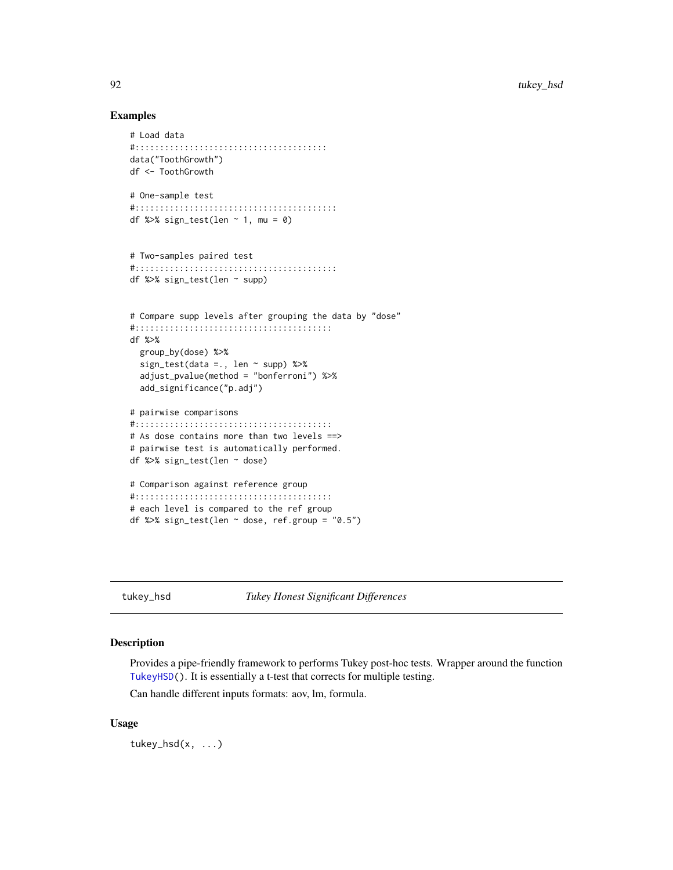### Examples

```
# Load data
#:::::::::::::::::::::::::::::::::::::::
data("ToothGrowth")
df <- ToothGrowth
# One-sample test
#:::::::::::::::::::::::::::::::::::::::::
df %>% sign_test(len ~ 1, mu = 0)
# Two-samples paired test
#:::::::::::::::::::::::::::::::::::::::::
df %>% sign_test(len ~ supp)
# Compare supp levels after grouping the data by "dose"
#::::::::::::::::::::::::::::::::::::::::
df %>%
  group_by(dose) %>%
  sign_test(data =., len ~ supp) %>%
  adjust_pvalue(method = "bonferroni") %>%
  add_significance("p.adj")
# pairwise comparisons
#::::::::::::::::::::::::::::::::::::::::
# As dose contains more than two levels ==>
# pairwise test is automatically performed.
df %>% sign_test(len ~ dose)
# Comparison against reference group
#::::::::::::::::::::::::::::::::::::::::
# each level is compared to the ref group
df %>% sign_test(len ~ dose, ref.group = "0.5")
```
tukey\_hsd *Tukey Honest Significant Differences*

### Description

Provides a pipe-friendly framework to performs Tukey post-hoc tests. Wrapper around the function [TukeyHSD\(](#page-0-0)). It is essentially a t-test that corrects for multiple testing.

Can handle different inputs formats: aov, lm, formula.

### Usage

tukey\_hsd(x, ...)

<span id="page-91-0"></span>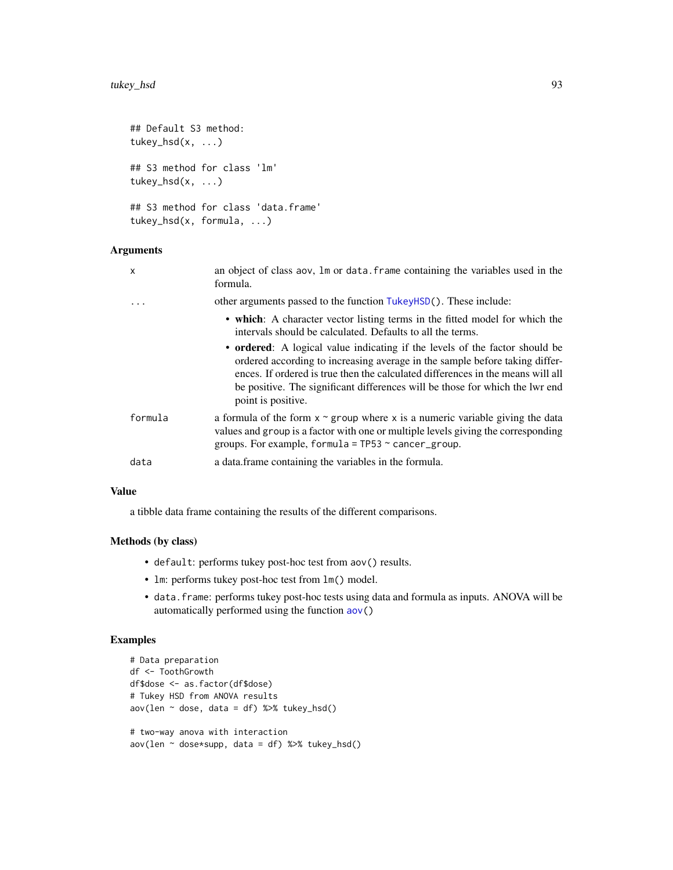```
## Default S3 method:
tukey_hsd(x, \ldots)## S3 method for class 'lm'
tukey_hsd(x, ...)
## S3 method for class 'data.frame'
tukey_hsd(x, formula, ...)
```
# Arguments

| other arguments passed to the function TukeyHSD(). These include:<br>.<br>intervals should be calculated. Defaults to all the terms.<br>point is positive.<br>formula<br>groups. For example, formula = $TP53 \sim$ cancer_group.<br>a data. frame containing the variables in the formula.<br>data | X | an object of class aov, Im or data. frame containing the variables used in the<br>formula.                                                                                                                                                                                                                                    |
|-----------------------------------------------------------------------------------------------------------------------------------------------------------------------------------------------------------------------------------------------------------------------------------------------------|---|-------------------------------------------------------------------------------------------------------------------------------------------------------------------------------------------------------------------------------------------------------------------------------------------------------------------------------|
|                                                                                                                                                                                                                                                                                                     |   |                                                                                                                                                                                                                                                                                                                               |
|                                                                                                                                                                                                                                                                                                     |   | • which: A character vector listing terms in the fitted model for which the                                                                                                                                                                                                                                                   |
|                                                                                                                                                                                                                                                                                                     |   | • ordered: A logical value indicating if the levels of the factor should be<br>ordered according to increasing average in the sample before taking differ-<br>ences. If ordered is true then the calculated differences in the means will all<br>be positive. The significant differences will be those for which the lwr end |
|                                                                                                                                                                                                                                                                                                     |   | a formula of the form $x \sim$ group where x is a numeric variable giving the data<br>values and group is a factor with one or multiple levels giving the corresponding                                                                                                                                                       |
|                                                                                                                                                                                                                                                                                                     |   |                                                                                                                                                                                                                                                                                                                               |

### Value

a tibble data frame containing the results of the different comparisons.

# Methods (by class)

- default: performs tukey post-hoc test from aov() results.
- lm: performs tukey post-hoc test from lm() model.
- data.frame: performs tukey post-hoc tests using data and formula as inputs. ANOVA will be automatically performed using the function [aov\(](#page-0-0))

```
# Data preparation
df <- ToothGrowth
df$dose <- as.factor(df$dose)
# Tukey HSD from ANOVA results
aov(len \sim dose, data = df) %>% tukey_hsd()
# two-way anova with interaction
aov(len \sim dose*supp, data = df) %>% tukey_hsd()
```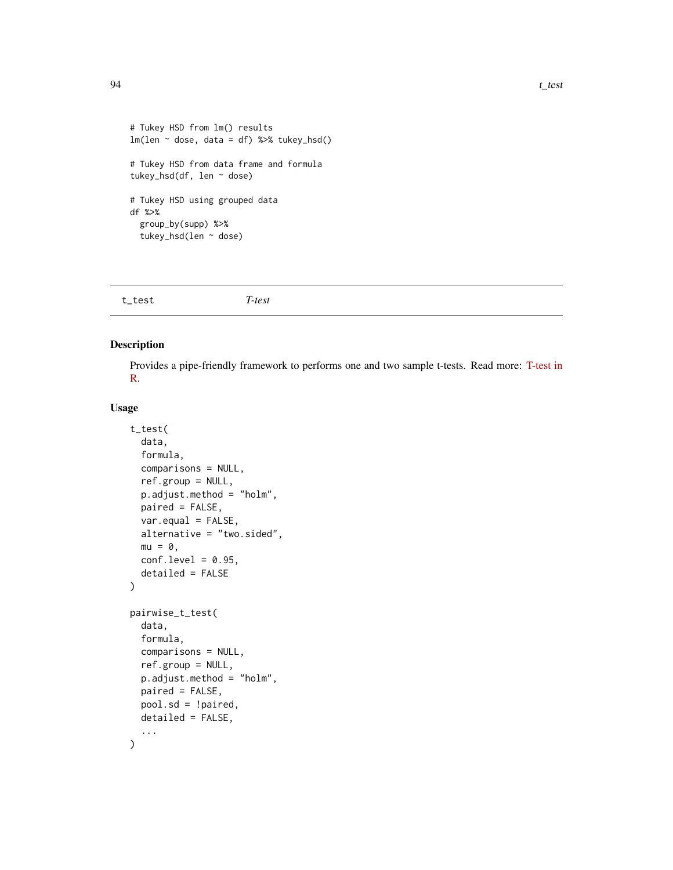```
# Tukey HSD from lm() results
lm(len \sim dose, data = df) %>% tukey_hsd()
# Tukey HSD from data frame and formula
tukey_hsd(df, len ~ dose)
# Tukey HSD using grouped data
df %>%
  group_by(supp) %>%
  tukey_hsd(len ~ dose)
```

| t_test | T-test |  |  |
|--------|--------|--|--|
|--------|--------|--|--|

# Description

Provides a pipe-friendly framework to performs one and two sample t-tests. Read more: [T-test in](https://www.datanovia.com/en/lessons/t-test-in-r/) [R.](https://www.datanovia.com/en/lessons/t-test-in-r/)

### Usage

```
t_test(
  data,
  formula,
  comparisons = NULL,
  ref.group = NULL,
  p.adjust.method = "holm",
 paired = FALSE,
  var.equal = FALSE,
  alternative = "two.sided",
 mu = 0,
  conf. level = 0.95,
  detailed = FALSE
)
pairwise_t_test(
  data,
  formula,
  comparisons = NULL,
  ref.group = NULL,
  p.adjust.method = "holm",
 paired = FALSE,
 pool.sd = !paired,
 detailed = FALSE,
  ...
)
```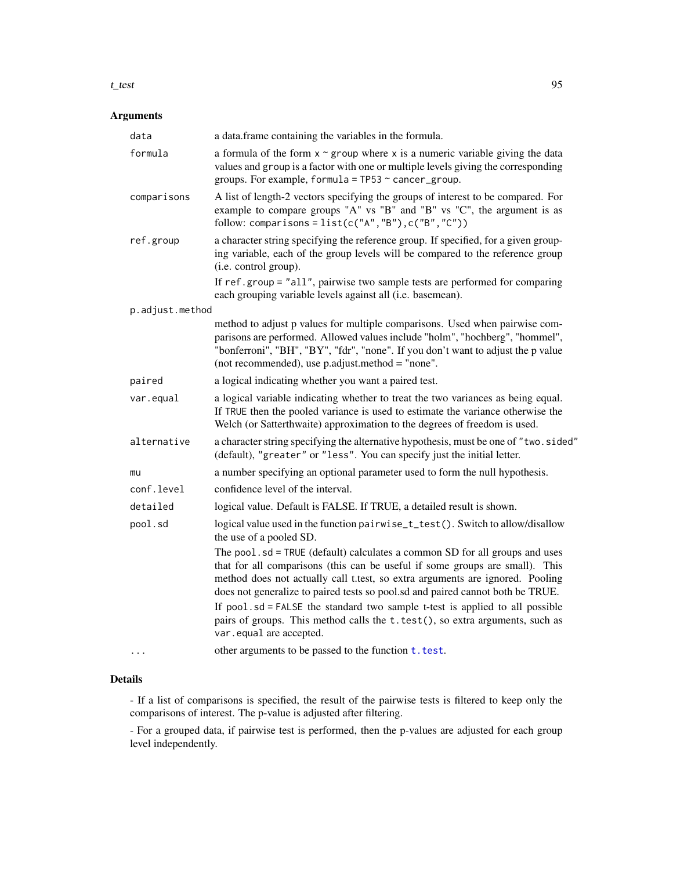#### <span id="page-94-0"></span>t\_test 95

# Arguments

| data            | a data.frame containing the variables in the formula.                                                                                                                                                                                                                                                                          |
|-----------------|--------------------------------------------------------------------------------------------------------------------------------------------------------------------------------------------------------------------------------------------------------------------------------------------------------------------------------|
| formula         | a formula of the form $x \sim g$ roup where x is a numeric variable giving the data<br>values and group is a factor with one or multiple levels giving the corresponding<br>groups. For example, formula = $TP53 \sim$ cancer_group.                                                                                           |
| comparisons     | A list of length-2 vectors specifying the groups of interest to be compared. For<br>example to compare groups "A" vs "B" and "B" vs "C", the argument is as<br>follow: comparisons = $list(c("A", "B"), c("B", "C"))$                                                                                                          |
| ref.group       | a character string specifying the reference group. If specified, for a given group-<br>ing variable, each of the group levels will be compared to the reference group<br>(i.e. control group).                                                                                                                                 |
|                 | If ref.group = "all", pairwise two sample tests are performed for comparing<br>each grouping variable levels against all (i.e. basemean).                                                                                                                                                                                      |
| p.adjust.method |                                                                                                                                                                                                                                                                                                                                |
|                 | method to adjust p values for multiple comparisons. Used when pairwise com-<br>parisons are performed. Allowed values include "holm", "hochberg", "hommel",<br>"bonferroni", "BH", "BY", "fdr", "none". If you don't want to adjust the p value<br>(not recommended), use p.adjust.method = "none".                            |
| paired          | a logical indicating whether you want a paired test.                                                                                                                                                                                                                                                                           |
| var.equal       | a logical variable indicating whether to treat the two variances as being equal.<br>If TRUE then the pooled variance is used to estimate the variance otherwise the<br>Welch (or Satterthwaite) approximation to the degrees of freedom is used.                                                                               |
| alternative     | a character string specifying the alternative hypothesis, must be one of "two.sided"<br>(default), "greater" or "less". You can specify just the initial letter.                                                                                                                                                               |
| mu              | a number specifying an optional parameter used to form the null hypothesis.                                                                                                                                                                                                                                                    |
| conf.level      | confidence level of the interval.                                                                                                                                                                                                                                                                                              |
| detailed        | logical value. Default is FALSE. If TRUE, a detailed result is shown.                                                                                                                                                                                                                                                          |
| pool.sd         | logical value used in the function pairwise_t_test(). Switch to allow/disallow<br>the use of a pooled SD.                                                                                                                                                                                                                      |
|                 | The pool.sd = TRUE (default) calculates a common SD for all groups and uses<br>that for all comparisons (this can be useful if some groups are small). This<br>method does not actually call t.test, so extra arguments are ignored. Pooling<br>does not generalize to paired tests so pool.sd and paired cannot both be TRUE. |
|                 | If $pool$ . $sd = FALSE$ the standard two sample t-test is applied to all possible<br>pairs of groups. This method calls the t.test(), so extra arguments, such as<br>var.equal are accepted.                                                                                                                                  |
|                 | other arguments to be passed to the function t. test.                                                                                                                                                                                                                                                                          |

# Details

- If a list of comparisons is specified, the result of the pairwise tests is filtered to keep only the comparisons of interest. The p-value is adjusted after filtering.

- For a grouped data, if pairwise test is performed, then the p-values are adjusted for each group level independently.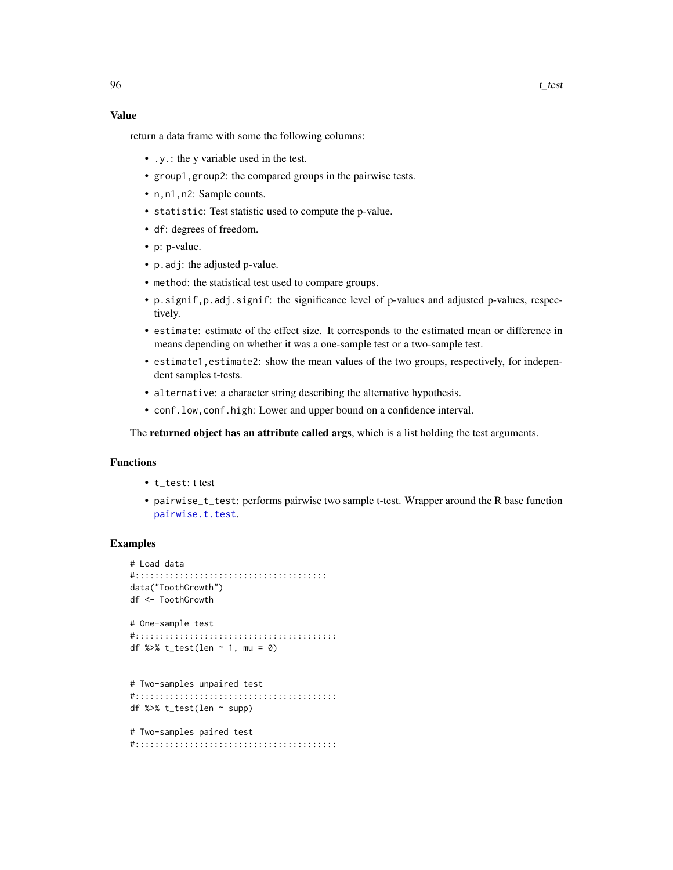### <span id="page-95-0"></span>Value

return a data frame with some the following columns:

- .y.: the y variable used in the test.
- group1,group2: the compared groups in the pairwise tests.
- n,n1,n2: Sample counts.
- statistic: Test statistic used to compute the p-value.
- df: degrees of freedom.
- p: p-value.
- p.adj: the adjusted p-value.
- method: the statistical test used to compare groups.
- p.signif,p.adj.signif: the significance level of p-values and adjusted p-values, respectively.
- estimate: estimate of the effect size. It corresponds to the estimated mean or difference in means depending on whether it was a one-sample test or a two-sample test.
- estimate1,estimate2: show the mean values of the two groups, respectively, for independent samples t-tests.
- alternative: a character string describing the alternative hypothesis.
- conf.low,conf.high: Lower and upper bound on a confidence interval.

The **returned object has an attribute called args**, which is a list holding the test arguments.

### Functions

- t\_test: t test
- pairwise\_t\_test: performs pairwise two sample t-test. Wrapper around the R base function [pairwise.t.test](#page-0-0).

### Examples

```
# Load data
#:::::::::::::::::::::::::::::::::::::::
data("ToothGrowth")
df <- ToothGrowth
# One-sample test
#:::::::::::::::::::::::::::::::::::::::::
df %>% t_test(len ~ 1, mu = 0)
# Two-samples unpaired test
#:::::::::::::::::::::::::::::::::::::::::
df %>% t_test(len ~ supp)
```
# Two-samples paired test #:::::::::::::::::::::::::::::::::::::::::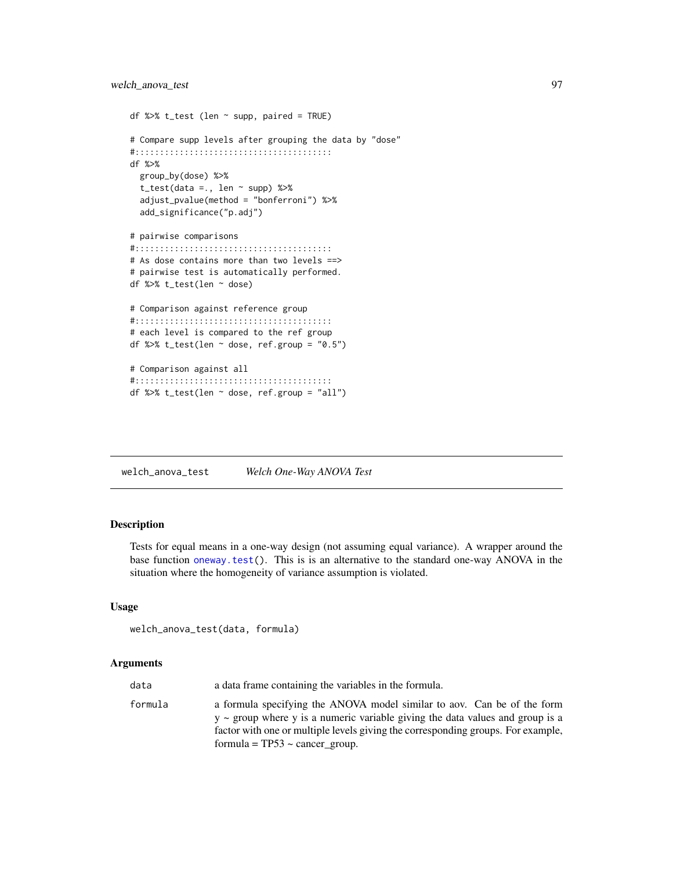```
df %>% t_test (len \sim supp, paired = TRUE)
# Compare supp levels after grouping the data by "dose"
#::::::::::::::::::::::::::::::::::::::::
df %>%
 group_by(dose) %>%
  t_{\text{test}}(data = ., len \sim supp) %>%
  adjust_pvalue(method = "bonferroni") %>%
  add_significance("p.adj")
# pairwise comparisons
#::::::::::::::::::::::::::::::::::::::::
# As dose contains more than two levels ==>
# pairwise test is automatically performed.
df %>% t_test(len ~ dose)
# Comparison against reference group
#::::::::::::::::::::::::::::::::::::::::
# each level is compared to the ref group
df %>% t_test(len \sim dose, ref.group = "0.5")
# Comparison against all
#::::::::::::::::::::::::::::::::::::::::
df %>% t_test(len ~ dose, ref.group = "all")
```
welch\_anova\_test *Welch One-Way ANOVA Test*

# Description

Tests for equal means in a one-way design (not assuming equal variance). A wrapper around the base function [oneway.test\(](#page-0-0)). This is is an alternative to the standard one-way ANOVA in the situation where the homogeneity of variance assumption is violated.

#### Usage

```
welch_anova_test(data, formula)
```

| data    | a data frame containing the variables in the formula.                                                                                                                                                                                                                                    |
|---------|------------------------------------------------------------------------------------------------------------------------------------------------------------------------------------------------------------------------------------------------------------------------------------------|
| formula | a formula specifying the ANOVA model similar to aov. Can be of the form<br>$y \sim$ group where y is a numeric variable giving the data values and group is a<br>factor with one or multiple levels giving the corresponding groups. For example,<br>formula = $TP53 \sim$ cancer group. |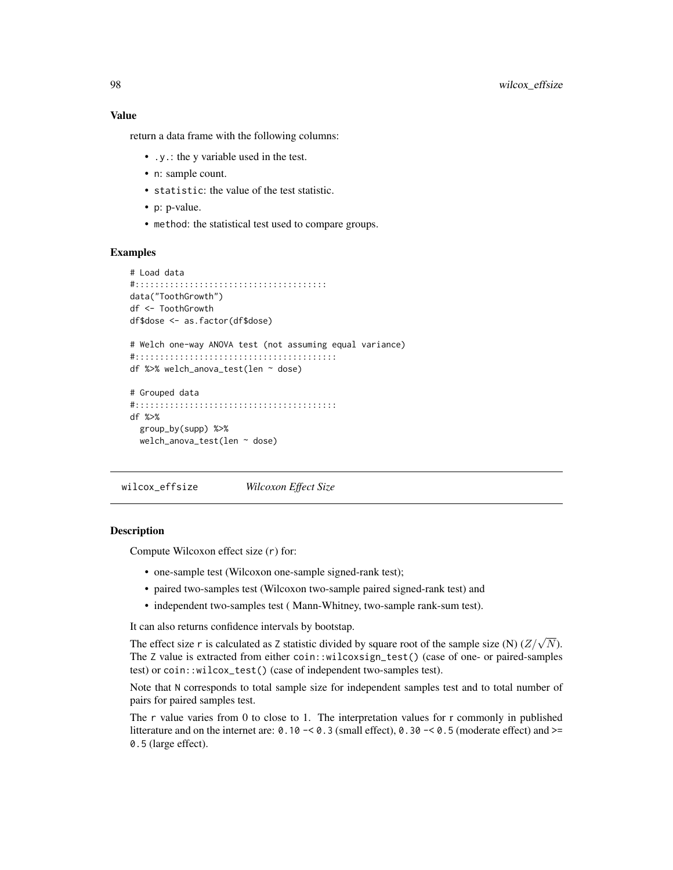### <span id="page-97-0"></span>Value

return a data frame with the following columns:

- .y.: the y variable used in the test.
- n: sample count.
- statistic: the value of the test statistic.
- p: p-value.
- method: the statistical test used to compare groups.

# Examples

```
# Load data
#:::::::::::::::::::::::::::::::::::::::
data("ToothGrowth")
df <- ToothGrowth
df$dose <- as.factor(df$dose)
# Welch one-way ANOVA test (not assuming equal variance)
#:::::::::::::::::::::::::::::::::::::::::
df %>% welch_anova_test(len ~ dose)
# Grouped data
#:::::::::::::::::::::::::::::::::::::::::
df %>%
 group_by(supp) %>%
 welch_anova_test(len ~ dose)
```
wilcox\_effsize *Wilcoxon Effect Size*

#### **Description**

Compute Wilcoxon effect size (r) for:

- one-sample test (Wilcoxon one-sample signed-rank test);
- paired two-samples test (Wilcoxon two-sample paired signed-rank test) and
- independent two-samples test ( Mann-Whitney, two-sample rank-sum test).

It can also returns confidence intervals by bootstap.

The effect size r is calculated as Z statistic divided by square root of the sample size (N)  $(\mathbb{Z}/\sqrt{N})$ . The Z value is extracted from either coin::wilcoxsign\_test() (case of one- or paired-samples test) or coin::wilcox\_test() (case of independent two-samples test).

Note that N corresponds to total sample size for independent samples test and to total number of pairs for paired samples test.

The r value varies from 0 to close to 1. The interpretation values for r commonly in published litterature and on the internet are:  $0.10 - 0.3$  (small effect),  $0.30 - 0.5$  (moderate effect) and  $>=$ 0.5 (large effect).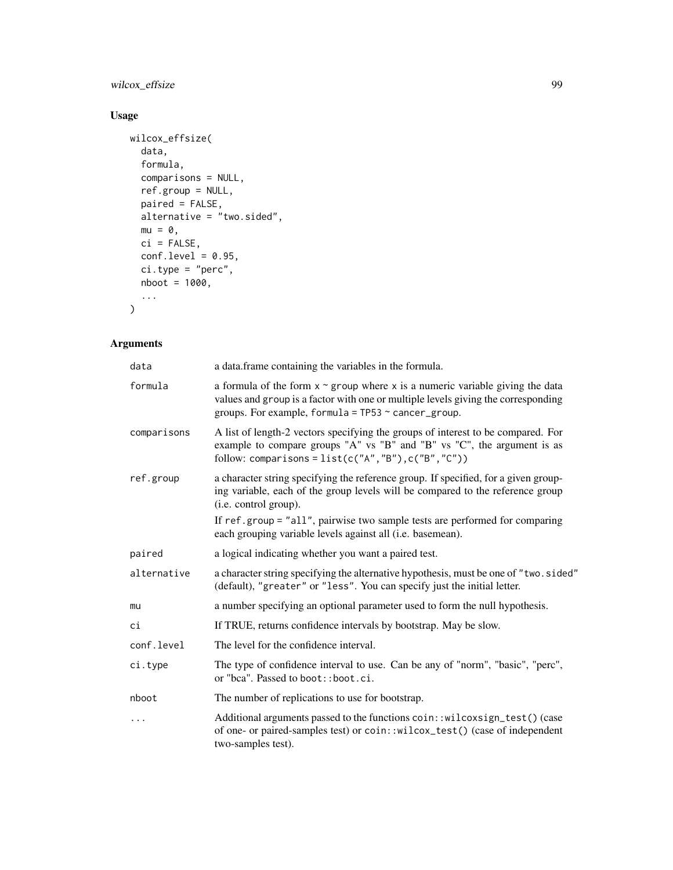# wilcox\_effsize 99

# Usage

```
wilcox_effsize(
  data,
  formula,
  comparisons = NULL,
  ref.group = NULL,
  paired = FALSE,
  alternative = "two.sided",
  mu = 0,
  ci = FALSE,conf. level = 0.95,ci.type = "perc",
  nboot = 1000,...
\mathcal{L}
```

| data        | a data.frame containing the variables in the formula.                                                                                                                                                                                |
|-------------|--------------------------------------------------------------------------------------------------------------------------------------------------------------------------------------------------------------------------------------|
| formula     | a formula of the form $x \sim g$ roup where x is a numeric variable giving the data<br>values and group is a factor with one or multiple levels giving the corresponding<br>groups. For example, formula = $TP53 \sim$ cancer_group. |
| comparisons | A list of length-2 vectors specifying the groups of interest to be compared. For<br>example to compare groups "A" vs "B" and "B" vs "C", the argument is as<br>follow: comparisons = $list(c("A", "B"), c("B", "C"))$                |
| ref.group   | a character string specifying the reference group. If specified, for a given group-<br>ing variable, each of the group levels will be compared to the reference group<br>(i.e. control group).                                       |
|             | If ref.group = "all", pairwise two sample tests are performed for comparing<br>each grouping variable levels against all (i.e. basemean).                                                                                            |
| paired      | a logical indicating whether you want a paired test.                                                                                                                                                                                 |
| alternative | a character string specifying the alternative hypothesis, must be one of "two.sided"<br>(default), "greater" or "less". You can specify just the initial letter.                                                                     |
| mu          | a number specifying an optional parameter used to form the null hypothesis.                                                                                                                                                          |
| сi          | If TRUE, returns confidence intervals by bootstrap. May be slow.                                                                                                                                                                     |
| conf.level  | The level for the confidence interval.                                                                                                                                                                                               |
| ci.type     | The type of confidence interval to use. Can be any of "norm", "basic", "perc",<br>or "bca". Passed to boot::boot.ci.                                                                                                                 |
| nboot       | The number of replications to use for bootstrap.                                                                                                                                                                                     |
| $\ddots$    | Additional arguments passed to the functions coin::wilcoxsign_test() (case<br>of one- or paired-samples test) or coin::wilcox_test() (case of independent<br>two-samples test).                                                      |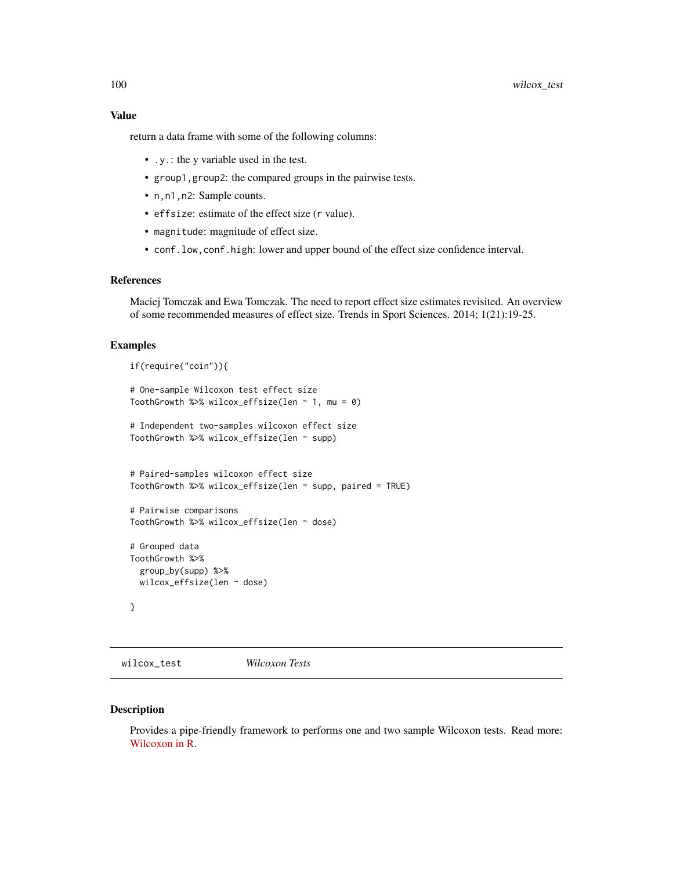<span id="page-99-0"></span>Value

return a data frame with some of the following columns:

- .y.: the y variable used in the test.
- group1,group2: the compared groups in the pairwise tests.
- n,n1,n2: Sample counts.
- effsize: estimate of the effect size (r value).
- magnitude: magnitude of effect size.
- conf.low,conf.high: lower and upper bound of the effect size confidence interval.

#### References

Maciej Tomczak and Ewa Tomczak. The need to report effect size estimates revisited. An overview of some recommended measures of effect size. Trends in Sport Sciences. 2014; 1(21):19-25.

#### Examples

```
if(require("coin")){
# One-sample Wilcoxon test effect size
ToothGrowth %>% wilcox_effsize(len \sim 1, mu = 0)
# Independent two-samples wilcoxon effect size
ToothGrowth %>% wilcox_effsize(len ~ supp)
# Paired-samples wilcoxon effect size
ToothGrowth %>% wilcox_effsize(len ~ supp, paired = TRUE)
# Pairwise comparisons
ToothGrowth %>% wilcox_effsize(len ~ dose)
# Grouped data
ToothGrowth %>%
 group_by(supp) %>%
 wilcox_effsize(len ~ dose)
}
```
wilcox\_test *Wilcoxon Tests*

#### Description

Provides a pipe-friendly framework to performs one and two sample Wilcoxon tests. Read more: [Wilcoxon in R.](https://www.datanovia.com/en/lessons/wilcoxon-test-in-r/)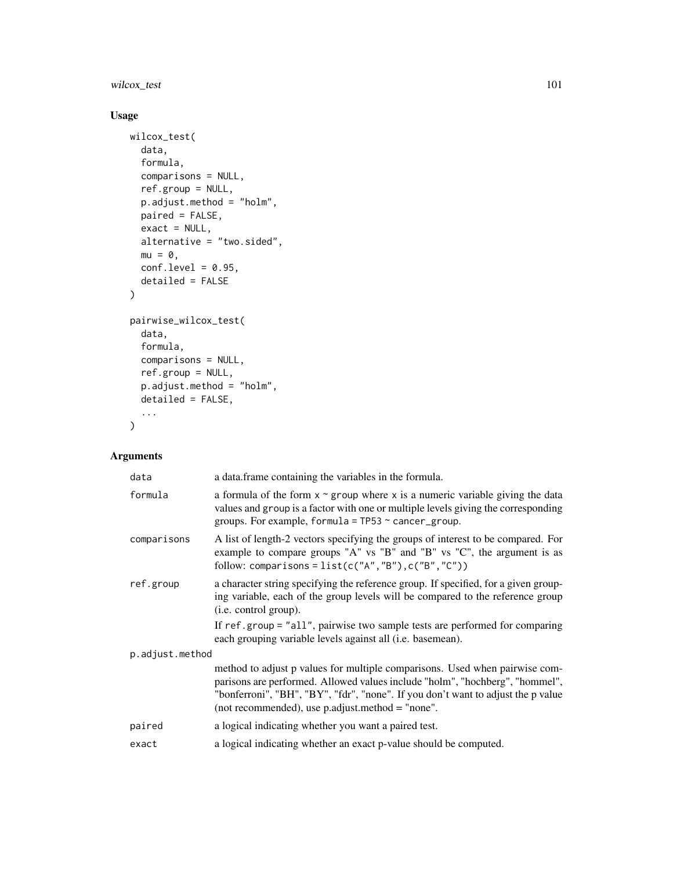wilcox\_test 101

# Usage

```
wilcox_test(
  data,
  formula,
  comparisons = NULL,
  ref.group = NULL,
  p.adjust.method = "holm",
  paired = FALSE,
  exact = NULL,alternative = "two.sided",
  mu = 0,
  conf. level = 0.95,detailed = FALSE
\mathcal{L}pairwise_wilcox_test(
  data,
  formula,
  comparisons = NULL,
  ref.group = NULL,
 p.adjust.method = "holm",
  detailed = FALSE,
  ...
\mathcal{L}
```

| data            | a data. frame containing the variables in the formula.                                                                                                                                                                                                                                              |
|-----------------|-----------------------------------------------------------------------------------------------------------------------------------------------------------------------------------------------------------------------------------------------------------------------------------------------------|
| formula         | a formula of the form $x \sim g$ roup where x is a numeric variable giving the data<br>values and group is a factor with one or multiple levels giving the corresponding<br>groups. For example, formula = $TP53 \sim$ cancer_group.                                                                |
| comparisons     | A list of length-2 vectors specifying the groups of interest to be compared. For<br>example to compare groups "A" vs "B" and "B" vs "C", the argument is as<br>follow: comparisons = $list(c("A", "B"), c("B", "C"))$                                                                               |
| ref.group       | a character string specifying the reference group. If specified, for a given group-<br>ing variable, each of the group levels will be compared to the reference group<br>(i.e. control group).                                                                                                      |
|                 | If ref.group = "all", pairwise two sample tests are performed for comparing<br>each grouping variable levels against all (i.e. basemean).                                                                                                                                                           |
| p.adjust.method |                                                                                                                                                                                                                                                                                                     |
|                 | method to adjust p values for multiple comparisons. Used when pairwise com-<br>parisons are performed. Allowed values include "holm", "hochberg", "hommel",<br>"bonferroni", "BH", "BY", "fdr", "none". If you don't want to adjust the p value<br>(not recommended), use p.adjust.method = "none". |
| paired          | a logical indicating whether you want a paired test.                                                                                                                                                                                                                                                |
| exact           | a logical indicating whether an exact p-value should be computed.                                                                                                                                                                                                                                   |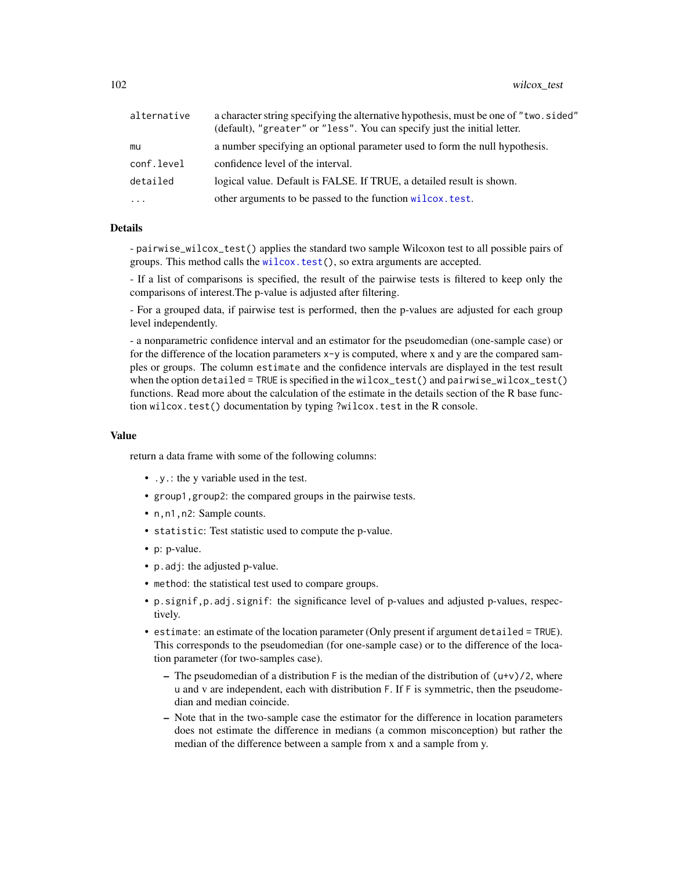<span id="page-101-0"></span>

| alternative | a character string specifying the alternative hypothesis, must be one of "two. sided"<br>(default), "greater" or "less". You can specify just the initial letter. |
|-------------|-------------------------------------------------------------------------------------------------------------------------------------------------------------------|
| mu          | a number specifying an optional parameter used to form the null hypothesis.                                                                                       |
| conf.level  | confidence level of the interval.                                                                                                                                 |
| detailed    | logical value. Default is FALSE. If TRUE, a detailed result is shown.                                                                                             |
| $\ddots$    | other arguments to be passed to the function wilcox. test.                                                                                                        |

### Details

- pairwise\_wilcox\_test() applies the standard two sample Wilcoxon test to all possible pairs of groups. This method calls the [wilcox.test\(](#page-0-0)), so extra arguments are accepted.

- If a list of comparisons is specified, the result of the pairwise tests is filtered to keep only the comparisons of interest.The p-value is adjusted after filtering.

- For a grouped data, if pairwise test is performed, then the p-values are adjusted for each group level independently.

- a nonparametric confidence interval and an estimator for the pseudomedian (one-sample case) or for the difference of the location parameters x-y is computed, where x and y are the compared samples or groups. The column estimate and the confidence intervals are displayed in the test result when the option detailed = TRUE is specified in the wilcox\_test() and pairwise\_wilcox\_test() functions. Read more about the calculation of the estimate in the details section of the R base function wilcox.test() documentation by typing ?wilcox.test in the R console.

#### Value

return a data frame with some of the following columns:

- .y.: the y variable used in the test.
- group1,group2: the compared groups in the pairwise tests.
- n,n1,n2: Sample counts.
- statistic: Test statistic used to compute the p-value.
- p: p-value.
- p.adj: the adjusted p-value.
- method: the statistical test used to compare groups.
- p.signif,p.adj.signif: the significance level of p-values and adjusted p-values, respectively.
- estimate: an estimate of the location parameter (Only present if argument detailed = TRUE). This corresponds to the pseudomedian (for one-sample case) or to the difference of the location parameter (for two-samples case).
	- The pseudomedian of a distribution  $F$  is the median of the distribution of  $(u+v)/2$ , where u and v are independent, each with distribution F. If F is symmetric, then the pseudomedian and median coincide.
	- Note that in the two-sample case the estimator for the difference in location parameters does not estimate the difference in medians (a common misconception) but rather the median of the difference between a sample from x and a sample from y.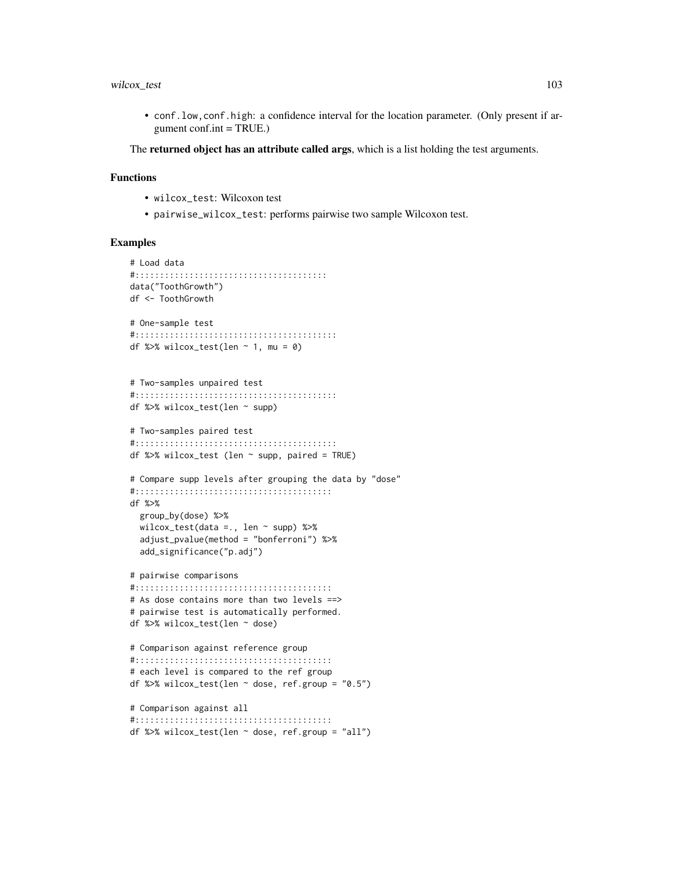### wilcox\_test 103

• conf.low,conf.high: a confidence interval for the location parameter. (Only present if argument  $conf.int = TRUE.$ )

The **returned object has an attribute called args**, which is a list holding the test arguments.

### Functions

- wilcox\_test: Wilcoxon test
- pairwise\_wilcox\_test: performs pairwise two sample Wilcoxon test.

```
# Load data
#:::::::::::::::::::::::::::::::::::::::
data("ToothGrowth")
df <- ToothGrowth
# One-sample test
#:::::::::::::::::::::::::::::::::::::::::
df %>% wilcox_test(len ~ 1, mu = 0)
# Two-samples unpaired test
#:::::::::::::::::::::::::::::::::::::::::
df %>% wilcox_test(len ~ supp)
# Two-samples paired test
#:::::::::::::::::::::::::::::::::::::::::
df %>% wilcox_test (len \sim supp, paired = TRUE)
# Compare supp levels after grouping the data by "dose"
#::::::::::::::::::::::::::::::::::::::::
df %>%
  group_by(dose) %>%
  wilcox_test(data =., len \sim supp) %>%
  adjust_pvalue(method = "bonferroni") %>%
  add_significance("p.adj")
# pairwise comparisons
#::::::::::::::::::::::::::::::::::::::::
# As dose contains more than two levels ==>
# pairwise test is automatically performed.
df %>% wilcox_test(len ~ dose)
# Comparison against reference group
#::::::::::::::::::::::::::::::::::::::::
# each level is compared to the ref group
df %>% wilcox_test(len \sim dose, ref.group = "0.5")
# Comparison against all
#::::::::::::::::::::::::::::::::::::::::
df %>% wilcox_test(len ~ dose, ref.group = "all")
```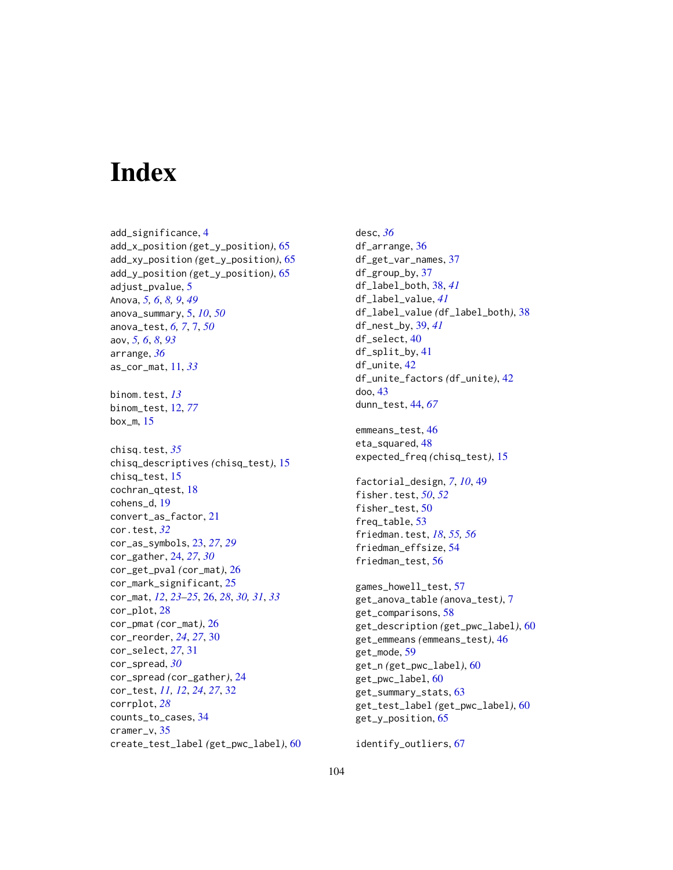# **Index**

```
add_significance, 4
add_x_position (get_y_position), 65
add_xy_position (get_y_position), 65
add_y_position (get_y_position), 65
adjust_pvalue, 5
Anova, 5, 6, 8, 9, 49
anova_summary, 5, 10, 50
anova_test, 6, 7, 7, 50
aov, 5, 6, 8, 93
arrange, 36
as_cor_mat, 11, 33
binom.test, 13
binom_test, 12, 77
box_m, 15
chisq.test, 35
chisq_descriptives (chisq_test), 15
chisq_test, 15
cochran_qtest, 18
cohens_d, 19
convert_as_factor, 21
cor.test, 32
cor_as_symbols, 23, 27, 29
cor_gather, 24, 27, 30
cor_get_pval (cor_mat), 26
cor_mark_significant, 25
cor_mat, 12, 23–25, 26, 28, 30, 31, 33
cor_plot, 28
cor_pmat (cor_mat), 26
cor_reorder, 24, 27, 30
cor_select, 27, 31
cor_spread, 30
cor_spread (cor_gather), 24
cor_test, 11, 12, 24, 27, 32
corrplot, 28
counts_to_cases, 34
cramer_v, 35
create_test_label (get_pwc_label), 60
```
desc, *[36](#page-35-0)* df\_arrange, [36](#page-35-0) df\_get\_var\_names, [37](#page-36-0) df\_group\_by, [37](#page-36-0) df\_label\_both, [38,](#page-37-0) *[41](#page-40-0)* df\_label\_value, *[41](#page-40-0)* df\_label\_value *(*df\_label\_both*)*, [38](#page-37-0) df\_nest\_by, [39,](#page-38-0) *[41](#page-40-0)* df\_select, [40](#page-39-0) df\_split\_by, [41](#page-40-0) df\_unite, [42](#page-41-0) df\_unite\_factors *(*df\_unite*)*, [42](#page-41-0) doo, [43](#page-42-0) dunn\_test, [44,](#page-43-0) *[67](#page-66-0)* emmeans\_test, [46](#page-45-0) eta\_squared, [48](#page-47-0) expected\_freq *(*chisq\_test*)*, [15](#page-14-0) factorial\_design, *[7](#page-6-0)*, *[10](#page-9-0)*, [49](#page-48-0) fisher.test, *[50](#page-49-0)*, *[52](#page-51-0)* fisher\_test, [50](#page-49-0) freq\_table, [53](#page-52-0) friedman.test, *[18](#page-17-0)*, *[55,](#page-54-0) [56](#page-55-0)* friedman\_effsize, [54](#page-53-0) friedman\_test, [56](#page-55-0) games\_howell\_test, [57](#page-56-0) get\_anova\_table *(*anova\_test*)*, [7](#page-6-0) get\_comparisons, [58](#page-57-0) get\_description *(*get\_pwc\_label*)*, [60](#page-59-0) get\_emmeans *(*emmeans\_test*)*, [46](#page-45-0) get\_mode, [59](#page-58-0) get\_n *(*get\_pwc\_label*)*, [60](#page-59-0) get\_pwc\_label, [60](#page-59-0) get\_summary\_stats, [63](#page-62-0) get\_test\_label *(*get\_pwc\_label*)*, [60](#page-59-0) get\_y\_position, [65](#page-64-0)

identify\_outliers, [67](#page-66-0)